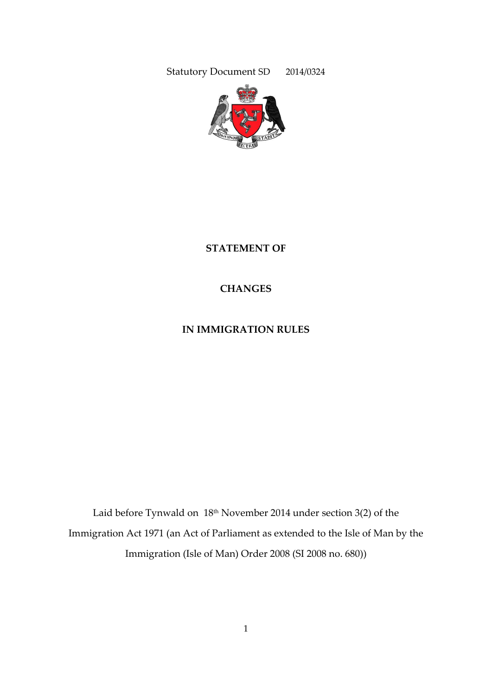Statutory Document SD 2014/0324



**STATEMENT OF**

**CHANGES**

**IN IMMIGRATION RULES**

Laid before Tynwald on 18<sup>th</sup> November 2014 under section 3(2) of the Immigration Act 1971 (an Act of Parliament as extended to the Isle of Man by the Immigration (Isle of Man) Order 2008 (SI 2008 no. 680))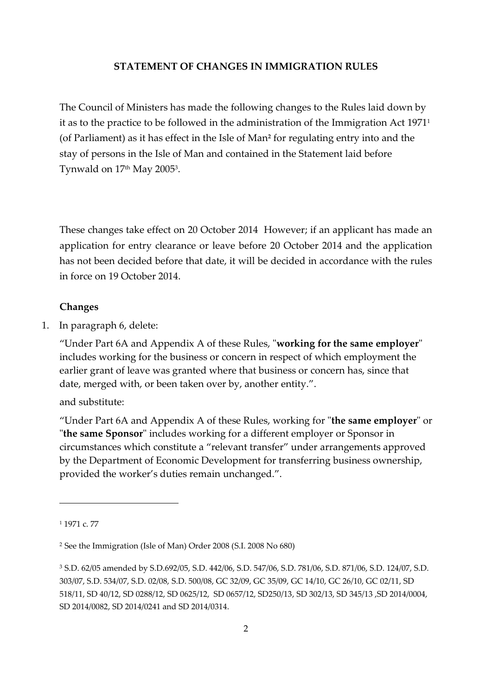#### **STATEMENT OF CHANGES IN IMMIGRATION RULES**

The Council of Ministers has made the following changes to the Rules laid down by it as to the practice to be followed in the administration of the Immigration Act 1971<sup>1</sup> (of Parliament) as it has effect in the Isle of Man**<sup>2</sup>** for regulating entry into and the stay of persons in the Isle of Man and contained in the Statement laid before Tynwald on 17th May 2005<sup>3</sup> .

These changes take effect on 20 October 2014 However; if an applicant has made an application for entry clearance or leave before 20 October 2014 and the application has not been decided before that date, it will be decided in accordance with the rules in force on 19 October 2014.

#### **Changes**

1. In paragraph 6, delete:

"Under Part 6A and Appendix A of these Rules, "**working for the same employer**" includes working for the business or concern in respect of which employment the earlier grant of leave was granted where that business or concern has, since that date, merged with, or been taken over by, another entity.".

and substitute:

"Under Part 6A and Appendix A of these Rules, working for "**the same employer**" or "**the same Sponsor**" includes working for a different employer or Sponsor in circumstances which constitute a "relevant transfer" under arrangements approved by the Department of Economic Development for transferring business ownership, provided the worker's duties remain unchanged.".

-

<sup>1</sup> 1971 c. 77

<sup>2</sup> See the Immigration (Isle of Man) Order 2008 (S.I. 2008 No 680)

<sup>3</sup> S.D. 62/05 amended by S.D.692/05, S.D. 442/06, S.D. 547/06, S.D. 781/06, S.D. 871/06, S.D. 124/07, S.D. 303/07, S.D. 534/07, S.D. 02/08, S.D. 500/08, GC 32/09, GC 35/09, GC 14/10, GC 26/10, GC 02/11, SD 518/11, SD 40/12, SD 0288/12, SD 0625/12, SD 0657/12, SD250/13, SD 302/13, SD 345/13 ,SD 2014/0004, SD 2014/0082, SD 2014/0241 and SD 2014/0314.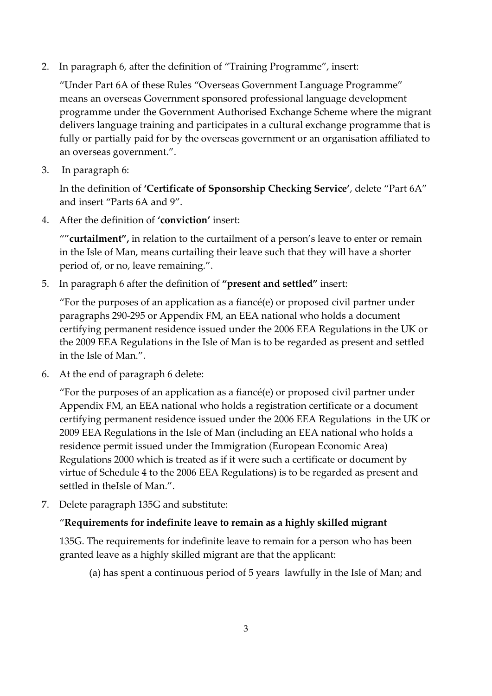2. In paragraph 6, after the definition of "Training Programme", insert:

"Under Part 6A of these Rules "Overseas Government Language Programme" means an overseas Government sponsored professional language development programme under the Government Authorised Exchange Scheme where the migrant delivers language training and participates in a cultural exchange programme that is fully or partially paid for by the overseas government or an organisation affiliated to an overseas government.".

3. In paragraph 6:

In the definition of **'Certificate of Sponsorship Checking Service'**, delete "Part 6A" and insert "Parts 6A and 9".

4. After the definition of **'conviction'** insert:

""**curtailment",** in relation to the curtailment of a person's leave to enter or remain in the Isle of Man, means curtailing their leave such that they will have a shorter period of, or no, leave remaining.".

5. In paragraph 6 after the definition of **"present and settled"** insert:

"For the purposes of an application as a fiancé(e) or proposed civil partner under paragraphs 290-295 or Appendix FM, an EEA national who holds a document certifying permanent residence issued under the 2006 EEA Regulations in the UK or the 2009 EEA Regulations in the Isle of Man is to be regarded as present and settled in the Isle of Man.".

6. At the end of paragraph 6 delete:

"For the purposes of an application as a fiancé(e) or proposed civil partner under Appendix FM, an EEA national who holds a registration certificate or a document certifying permanent residence issued under the 2006 EEA Regulations in the UK or 2009 EEA Regulations in the Isle of Man (including an EEA national who holds a residence permit issued under the Immigration (European Economic Area) Regulations 2000 which is treated as if it were such a certificate or document by virtue of Schedule 4 to the 2006 EEA Regulations) is to be regarded as present and settled in theIsle of Man.".

7. Delete paragraph 135G and substitute:

## "**Requirements for indefinite leave to remain as a highly skilled migrant**

135G. The requirements for indefinite leave to remain for a person who has been granted leave as a highly skilled migrant are that the applicant:

(a) has spent a continuous period of 5 years lawfully in the Isle of Man; and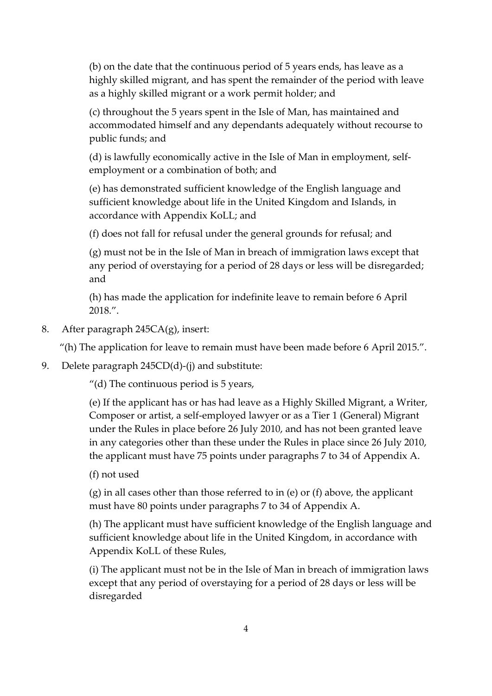(b) on the date that the continuous period of 5 years ends, has leave as a highly skilled migrant, and has spent the remainder of the period with leave as a highly skilled migrant or a work permit holder; and

(c) throughout the 5 years spent in the Isle of Man, has maintained and accommodated himself and any dependants adequately without recourse to public funds; and

(d) is lawfully economically active in the Isle of Man in employment, selfemployment or a combination of both; and

(e) has demonstrated sufficient knowledge of the English language and sufficient knowledge about life in the United Kingdom and Islands, in accordance with Appendix KoLL; and

(f) does not fall for refusal under the general grounds for refusal; and

(g) must not be in the Isle of Man in breach of immigration laws except that any period of overstaying for a period of 28 days or less will be disregarded; and

(h) has made the application for indefinite leave to remain before 6 April 2018.".

8. After paragraph 245CA(g), insert:

"(h) The application for leave to remain must have been made before 6 April 2015.".

9. Delete paragraph 245CD(d)-(j) and substitute:

"(d) The continuous period is 5 years,

(e) If the applicant has or has had leave as a Highly Skilled Migrant, a Writer, Composer or artist, a self-employed lawyer or as a Tier 1 (General) Migrant under the Rules in place before 26 July 2010, and has not been granted leave in any categories other than these under the Rules in place since 26 July 2010, the applicant must have 75 points under paragraphs 7 to 34 of Appendix A.

(f) not used

(g) in all cases other than those referred to in (e) or (f) above, the applicant must have 80 points under paragraphs 7 to 34 of Appendix A.

(h) The applicant must have sufficient knowledge of the English language and sufficient knowledge about life in the United Kingdom, in accordance with Appendix KoLL of these Rules,

(i) The applicant must not be in the Isle of Man in breach of immigration laws except that any period of overstaying for a period of 28 days or less will be disregarded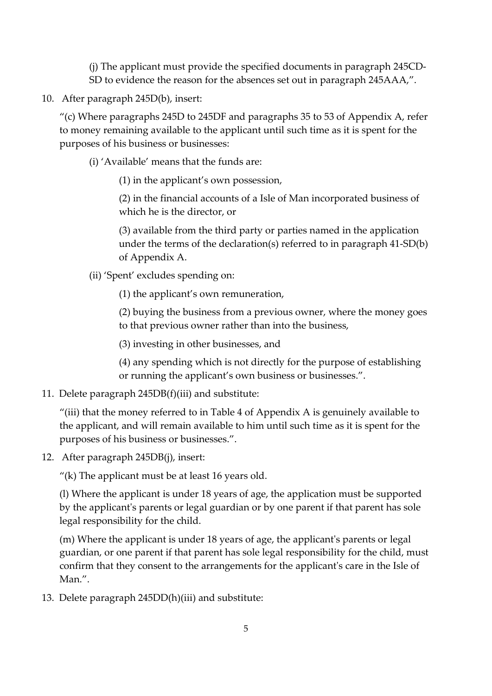(j) The applicant must provide the specified documents in paragraph 245CD-SD to evidence the reason for the absences set out in paragraph 245AAA,".

10. After paragraph 245D(b), insert:

"(c) Where paragraphs 245D to 245DF and paragraphs 35 to 53 of Appendix A, refer to money remaining available to the applicant until such time as it is spent for the purposes of his business or businesses:

(i) 'Available' means that the funds are:

(1) in the applicant's own possession,

(2) in the financial accounts of a Isle of Man incorporated business of which he is the director, or

(3) available from the third party or parties named in the application under the terms of the declaration(s) referred to in paragraph 41-SD(b) of Appendix A.

(ii) 'Spent' excludes spending on:

(1) the applicant's own remuneration,

(2) buying the business from a previous owner, where the money goes to that previous owner rather than into the business,

(3) investing in other businesses, and

(4) any spending which is not directly for the purpose of establishing or running the applicant's own business or businesses.".

11. Delete paragraph 245DB(f)(iii) and substitute:

"(iii) that the money referred to in Table 4 of Appendix A is genuinely available to the applicant, and will remain available to him until such time as it is spent for the purposes of his business or businesses.".

12. After paragraph 245DB(j), insert:

"(k) The applicant must be at least  $16$  years old.

(l) Where the applicant is under 18 years of age, the application must be supported by the applicant's parents or legal guardian or by one parent if that parent has sole legal responsibility for the child.

(m) Where the applicant is under 18 years of age, the applicant's parents or legal guardian, or one parent if that parent has sole legal responsibility for the child, must confirm that they consent to the arrangements for the applicant's care in the Isle of Man.".

13. Delete paragraph 245DD(h)(iii) and substitute: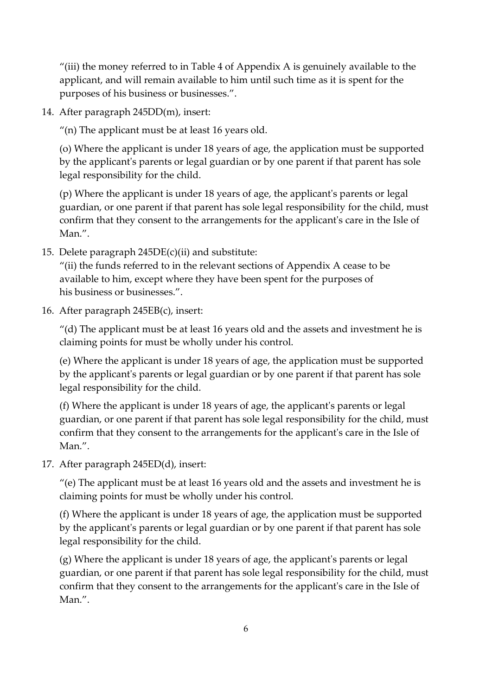"(iii) the money referred to in Table 4 of Appendix A is genuinely available to the applicant, and will remain available to him until such time as it is spent for the purposes of his business or businesses.".

14. After paragraph 245DD(m), insert:

"(n) The applicant must be at least 16 years old.

(o) Where the applicant is under 18 years of age, the application must be supported by the applicant's parents or legal guardian or by one parent if that parent has sole legal responsibility for the child.

(p) Where the applicant is under 18 years of age, the applicant's parents or legal guardian, or one parent if that parent has sole legal responsibility for the child, must confirm that they consent to the arrangements for the applicant's care in the Isle of Man.".

15. Delete paragraph 245DE(c)(ii) and substitute:

"(ii) the funds referred to in the relevant sections of Appendix A cease to be available to him, except where they have been spent for the purposes of his business or businesses.".

16. After paragraph 245EB(c), insert:

 $^{\prime\prime}$ (d) The applicant must be at least 16 years old and the assets and investment he is claiming points for must be wholly under his control.

(e) Where the applicant is under 18 years of age, the application must be supported by the applicant's parents or legal guardian or by one parent if that parent has sole legal responsibility for the child.

(f) Where the applicant is under 18 years of age, the applicant's parents or legal guardian, or one parent if that parent has sole legal responsibility for the child, must confirm that they consent to the arrangements for the applicant's care in the Isle of Man.".

17. After paragraph 245ED(d), insert:

"(e) The applicant must be at least 16 years old and the assets and investment he is claiming points for must be wholly under his control.

(f) Where the applicant is under 18 years of age, the application must be supported by the applicant's parents or legal guardian or by one parent if that parent has sole legal responsibility for the child.

(g) Where the applicant is under 18 years of age, the applicant's parents or legal guardian, or one parent if that parent has sole legal responsibility for the child, must confirm that they consent to the arrangements for the applicant's care in the Isle of Man.".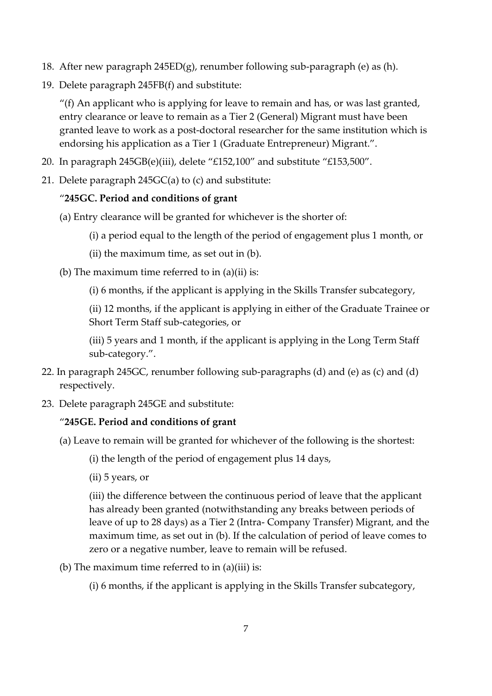- 18. After new paragraph 245ED(g), renumber following sub-paragraph (e) as (h).
- 19. Delete paragraph 245FB(f) and substitute:

"(f) An applicant who is applying for leave to remain and has, or was last granted, entry clearance or leave to remain as a Tier 2 (General) Migrant must have been granted leave to work as a post-doctoral researcher for the same institution which is endorsing his application as a Tier 1 (Graduate Entrepreneur) Migrant.".

- 20. In paragraph 245GB(e)(iii), delete "£152,100" and substitute "£153,500".
- 21. Delete paragraph 245GC(a) to (c) and substitute:

## "**245GC. Period and conditions of grant**

- (a) Entry clearance will be granted for whichever is the shorter of:
	- (i) a period equal to the length of the period of engagement plus 1 month, or
	- (ii) the maximum time, as set out in (b).
- (b) The maximum time referred to in  $(a)(ii)$  is:
	- (i) 6 months, if the applicant is applying in the Skills Transfer subcategory,

(ii) 12 months, if the applicant is applying in either of the Graduate Trainee or Short Term Staff sub-categories, or

(iii) 5 years and 1 month, if the applicant is applying in the Long Term Staff sub-category.".

- 22. In paragraph 245GC, renumber following sub-paragraphs (d) and (e) as (c) and (d) respectively.
- 23. Delete paragraph 245GE and substitute:

# "**245GE. Period and conditions of grant**

- (a) Leave to remain will be granted for whichever of the following is the shortest:
	- (i) the length of the period of engagement plus 14 days,
	- (ii) 5 years, or

(iii) the difference between the continuous period of leave that the applicant has already been granted (notwithstanding any breaks between periods of leave of up to 28 days) as a Tier 2 (Intra- Company Transfer) Migrant, and the maximum time, as set out in (b). If the calculation of period of leave comes to zero or a negative number, leave to remain will be refused.

- (b) The maximum time referred to in  $(a)(iii)$  is:
	- (i) 6 months, if the applicant is applying in the Skills Transfer subcategory,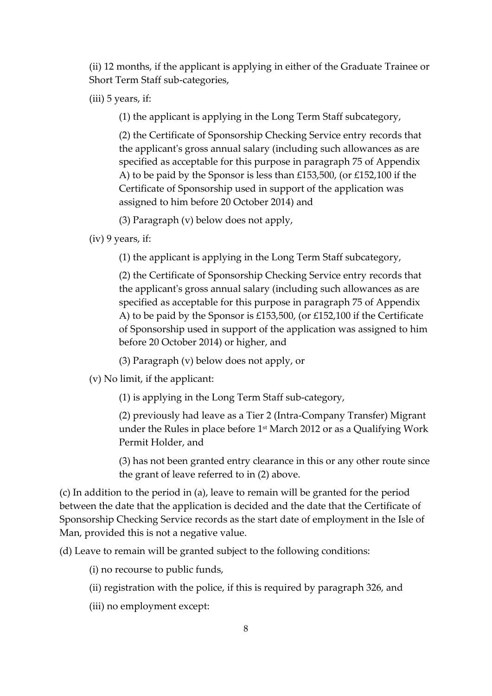(ii) 12 months, if the applicant is applying in either of the Graduate Trainee or Short Term Staff sub-categories,

(iii) 5 years, if:

(1) the applicant is applying in the Long Term Staff subcategory,

(2) the Certificate of Sponsorship Checking Service entry records that the applicant's gross annual salary (including such allowances as are specified as acceptable for this purpose in paragraph 75 of Appendix A) to be paid by the Sponsor is less than £153,500, (or £152,100 if the Certificate of Sponsorship used in support of the application was assigned to him before 20 October 2014) and

(3) Paragraph (v) below does not apply,

(iv) 9 years, if:

(1) the applicant is applying in the Long Term Staff subcategory,

(2) the Certificate of Sponsorship Checking Service entry records that the applicant's gross annual salary (including such allowances as are specified as acceptable for this purpose in paragraph 75 of Appendix A) to be paid by the Sponsor is £153,500, (or £152,100 if the Certificate of Sponsorship used in support of the application was assigned to him before 20 October 2014) or higher, and

(3) Paragraph (v) below does not apply, or

(v) No limit, if the applicant:

(1) is applying in the Long Term Staff sub-category,

(2) previously had leave as a Tier 2 (Intra-Company Transfer) Migrant under the Rules in place before 1st March 2012 or as a Qualifying Work Permit Holder, and

(3) has not been granted entry clearance in this or any other route since the grant of leave referred to in (2) above.

(c) In addition to the period in (a), leave to remain will be granted for the period between the date that the application is decided and the date that the Certificate of Sponsorship Checking Service records as the start date of employment in the Isle of Man, provided this is not a negative value.

(d) Leave to remain will be granted subject to the following conditions:

(i) no recourse to public funds,

- (ii) registration with the police, if this is required by paragraph 326, and
- (iii) no employment except: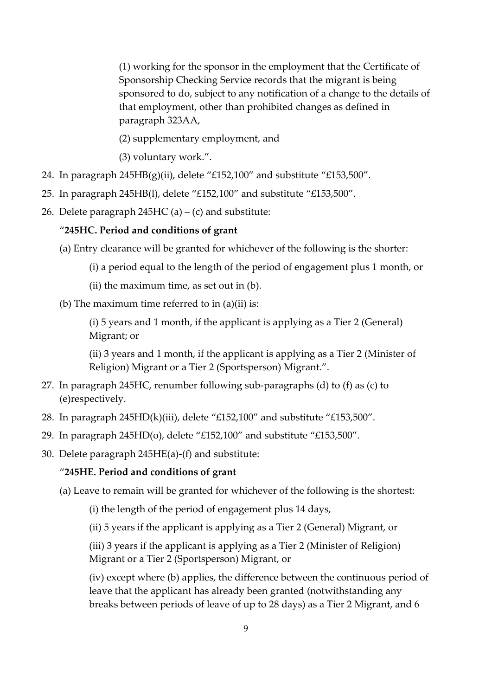(1) working for the sponsor in the employment that the Certificate of Sponsorship Checking Service records that the migrant is being sponsored to do, subject to any notification of a change to the details of that employment, other than prohibited changes as defined in paragraph 323AA,

(2) supplementary employment, and

(3) voluntary work.".

- 24. In paragraph  $245HB(g)(ii)$ , delete "£152,100" and substitute "£153,500".
- 25. In paragraph 245HB(l), delete "£152,100" and substitute "£153,500".
- 26. Delete paragraph  $245HC$  (a) (c) and substitute:

#### "**245HC. Period and conditions of grant**

- (a) Entry clearance will be granted for whichever of the following is the shorter:
	- (i) a period equal to the length of the period of engagement plus 1 month, or
	- (ii) the maximum time, as set out in (b).
- (b) The maximum time referred to in  $(a)(ii)$  is:

(i) 5 years and 1 month, if the applicant is applying as a Tier 2 (General) Migrant; or

(ii) 3 years and 1 month, if the applicant is applying as a Tier 2 (Minister of Religion) Migrant or a Tier 2 (Sportsperson) Migrant.".

- 27. In paragraph 245HC, renumber following sub-paragraphs (d) to (f) as (c) to (e)respectively.
- 28. In paragraph 245HD(k)(iii), delete "£152,100" and substitute "£153,500".
- 29. In paragraph 245HD(o), delete "£152,100" and substitute "£153,500".
- 30. Delete paragraph 245HE(a)-(f) and substitute:

#### "**245HE. Period and conditions of grant**

(a) Leave to remain will be granted for whichever of the following is the shortest:

(i) the length of the period of engagement plus 14 days,

(ii) 5 years if the applicant is applying as a Tier 2 (General) Migrant, or

(iii) 3 years if the applicant is applying as a Tier 2 (Minister of Religion) Migrant or a Tier 2 (Sportsperson) Migrant, or

(iv) except where (b) applies, the difference between the continuous period of leave that the applicant has already been granted (notwithstanding any breaks between periods of leave of up to 28 days) as a Tier 2 Migrant, and 6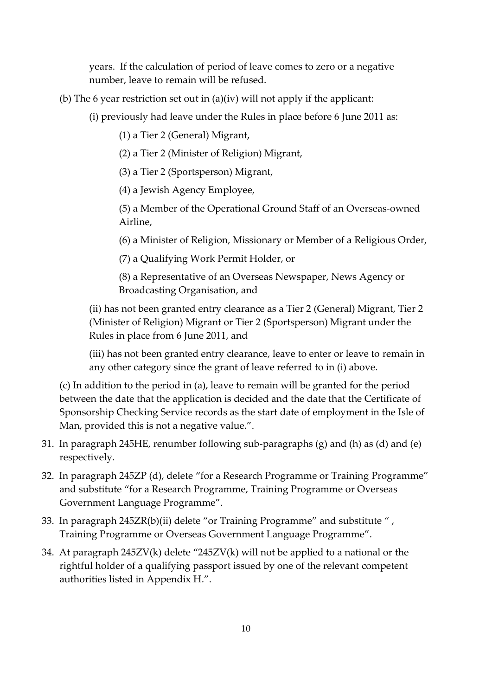years. If the calculation of period of leave comes to zero or a negative number, leave to remain will be refused.

(b) The 6 year restriction set out in (a)(iv) will not apply if the applicant:

(i) previously had leave under the Rules in place before 6 June 2011 as:

(1) a Tier 2 (General) Migrant,

(2) a Tier 2 (Minister of Religion) Migrant,

(3) a Tier 2 (Sportsperson) Migrant,

(4) a Jewish Agency Employee,

(5) a Member of the Operational Ground Staff of an Overseas-owned Airline,

(6) a Minister of Religion, Missionary or Member of a Religious Order,

(7) a Qualifying Work Permit Holder, or

(8) a Representative of an Overseas Newspaper, News Agency or Broadcasting Organisation, and

(ii) has not been granted entry clearance as a Tier 2 (General) Migrant, Tier 2 (Minister of Religion) Migrant or Tier 2 (Sportsperson) Migrant under the Rules in place from 6 June 2011, and

(iii) has not been granted entry clearance, leave to enter or leave to remain in any other category since the grant of leave referred to in (i) above.

(c) In addition to the period in (a), leave to remain will be granted for the period between the date that the application is decided and the date that the Certificate of Sponsorship Checking Service records as the start date of employment in the Isle of Man, provided this is not a negative value.".

- 31. In paragraph 245HE, renumber following sub-paragraphs (g) and (h) as (d) and (e) respectively.
- 32. In paragraph 245ZP (d), delete "for a Research Programme or Training Programme" and substitute "for a Research Programme, Training Programme or Overseas Government Language Programme".
- 33. In paragraph 245ZR(b)(ii) delete "or Training Programme" and substitute " , Training Programme or Overseas Government Language Programme".
- 34. At paragraph 245ZV(k) delete "245ZV(k) will not be applied to a national or the rightful holder of a qualifying passport issued by one of the relevant competent authorities listed in Appendix H.".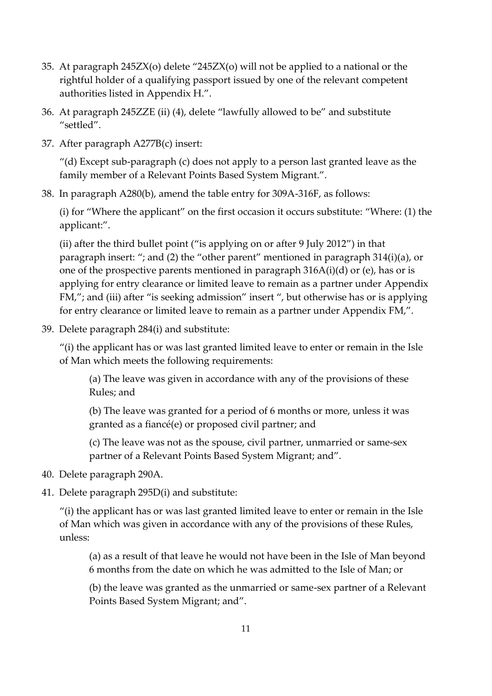- 35. At paragraph 245ZX(o) delete "245ZX(o) will not be applied to a national or the rightful holder of a qualifying passport issued by one of the relevant competent authorities listed in Appendix H.".
- 36. At paragraph 245ZZE (ii) (4), delete "lawfully allowed to be" and substitute "settled".
- 37. After paragraph A277B(c) insert:

"(d) Except sub-paragraph (c) does not apply to a person last granted leave as the family member of a Relevant Points Based System Migrant.".

38. In paragraph A280(b), amend the table entry for 309A-316F, as follows:

(i) for "Where the applicant" on the first occasion it occurs substitute: "Where: (1) the applicant:".

(ii) after the third bullet point ("is applying on or after 9 July 2012") in that paragraph insert: "; and (2) the "other parent" mentioned in paragraph 314(i)(a), or one of the prospective parents mentioned in paragraph 316A(i)(d) or (e), has or is applying for entry clearance or limited leave to remain as a partner under Appendix FM,"; and (iii) after "is seeking admission" insert ", but otherwise has or is applying for entry clearance or limited leave to remain as a partner under Appendix FM,".

39. Delete paragraph 284(i) and substitute:

"(i) the applicant has or was last granted limited leave to enter or remain in the Isle of Man which meets the following requirements:

(a) The leave was given in accordance with any of the provisions of these Rules; and

(b) The leave was granted for a period of 6 months or more, unless it was granted as a fiancé(e) or proposed civil partner; and

(c) The leave was not as the spouse, civil partner, unmarried or same-sex partner of a Relevant Points Based System Migrant; and".

- 40. Delete paragraph 290A.
- 41. Delete paragraph 295D(i) and substitute:

"(i) the applicant has or was last granted limited leave to enter or remain in the Isle of Man which was given in accordance with any of the provisions of these Rules, unless:

(a) as a result of that leave he would not have been in the Isle of Man beyond 6 months from the date on which he was admitted to the Isle of Man; or

(b) the leave was granted as the unmarried or same-sex partner of a Relevant Points Based System Migrant; and".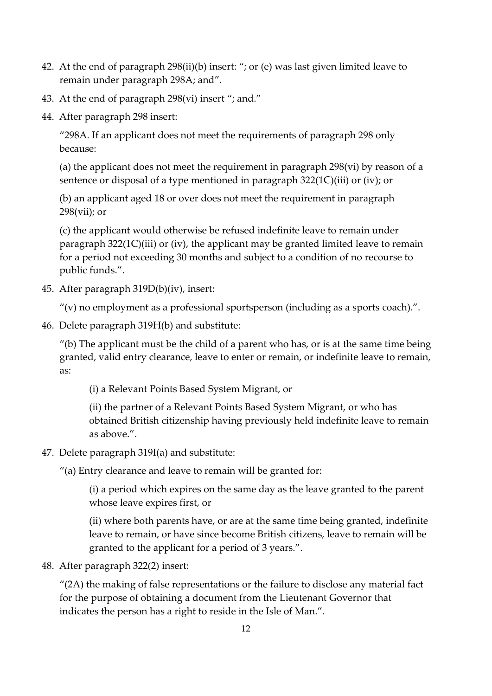- 42. At the end of paragraph 298(ii)(b) insert: "; or (e) was last given limited leave to remain under paragraph 298A; and".
- 43. At the end of paragraph 298(vi) insert "; and."
- 44. After paragraph 298 insert:

"298A. If an applicant does not meet the requirements of paragraph 298 only because:

(a) the applicant does not meet the requirement in paragraph 298(vi) by reason of a sentence or disposal of a type mentioned in paragraph 322(1C)(iii) or (iv); or

(b) an applicant aged 18 or over does not meet the requirement in paragraph 298(vii); or

(c) the applicant would otherwise be refused indefinite leave to remain under paragraph 322(1C)(iii) or (iv), the applicant may be granted limited leave to remain for a period not exceeding 30 months and subject to a condition of no recourse to public funds.".

45. After paragraph 319D(b)(iv), insert:

" $(v)$  no employment as a professional sportsperson (including as a sports coach).".

46. Delete paragraph 319H(b) and substitute:

 $''$ (b) The applicant must be the child of a parent who has, or is at the same time being granted, valid entry clearance, leave to enter or remain, or indefinite leave to remain, as:

(i) a Relevant Points Based System Migrant, or

(ii) the partner of a Relevant Points Based System Migrant, or who has obtained British citizenship having previously held indefinite leave to remain as above.".

47. Delete paragraph 319I(a) and substitute:

"(a) Entry clearance and leave to remain will be granted for:

(i) a period which expires on the same day as the leave granted to the parent whose leave expires first, or

(ii) where both parents have, or are at the same time being granted, indefinite leave to remain, or have since become British citizens, leave to remain will be granted to the applicant for a period of 3 years.".

48. After paragraph 322(2) insert:

"(2A) the making of false representations or the failure to disclose any material fact for the purpose of obtaining a document from the Lieutenant Governor that indicates the person has a right to reside in the Isle of Man.".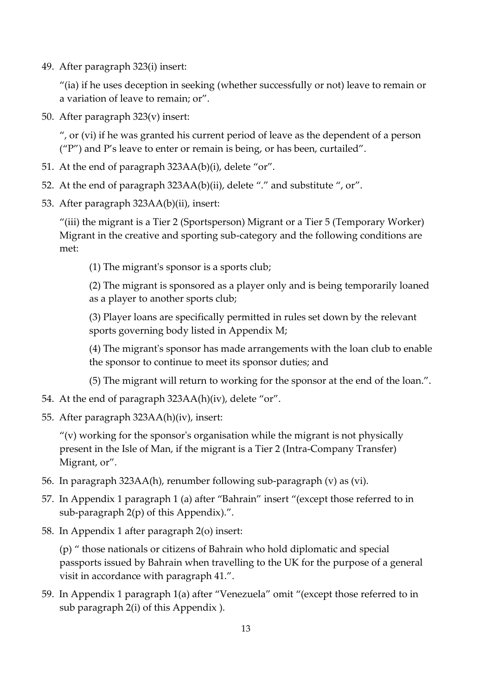49. After paragraph 323(i) insert:

"(ia) if he uses deception in seeking (whether successfully or not) leave to remain or a variation of leave to remain; or".

50. After paragraph 323(v) insert:

", or (vi) if he was granted his current period of leave as the dependent of a person ("P") and P's leave to enter or remain is being, or has been, curtailed".

- 51. At the end of paragraph 323AA(b)(i), delete "or".
- 52. At the end of paragraph 323AA(b)(ii), delete "." and substitute ", or".
- 53. After paragraph 323AA(b)(ii), insert:

"(iii) the migrant is a Tier 2 (Sportsperson) Migrant or a Tier 5 (Temporary Worker) Migrant in the creative and sporting sub-category and the following conditions are met:

(1) The migrant's sponsor is a sports club;

(2) The migrant is sponsored as a player only and is being temporarily loaned as a player to another sports club;

(3) Player loans are specifically permitted in rules set down by the relevant sports governing body listed in Appendix M;

(4) The migrant's sponsor has made arrangements with the loan club to enable the sponsor to continue to meet its sponsor duties; and

(5) The migrant will return to working for the sponsor at the end of the loan.".

- 54. At the end of paragraph 323AA(h)(iv), delete "or".
- 55. After paragraph 323AA(h)(iv), insert:

 $''(v)$  working for the sponsor's organisation while the migrant is not physically present in the Isle of Man, if the migrant is a Tier 2 (Intra-Company Transfer) Migrant, or".

- 56. In paragraph 323AA(h), renumber following sub-paragraph (v) as (vi).
- 57. In Appendix 1 paragraph 1 (a) after "Bahrain" insert "(except those referred to in sub-paragraph 2(p) of this Appendix).".
- 58. In Appendix 1 after paragraph 2(o) insert:

(p) " those nationals or citizens of Bahrain who hold diplomatic and special passports issued by Bahrain when travelling to the UK for the purpose of a general visit in accordance with paragraph 41.".

59. In Appendix 1 paragraph 1(a) after "Venezuela" omit "(except those referred to in sub paragraph 2(i) of this Appendix ).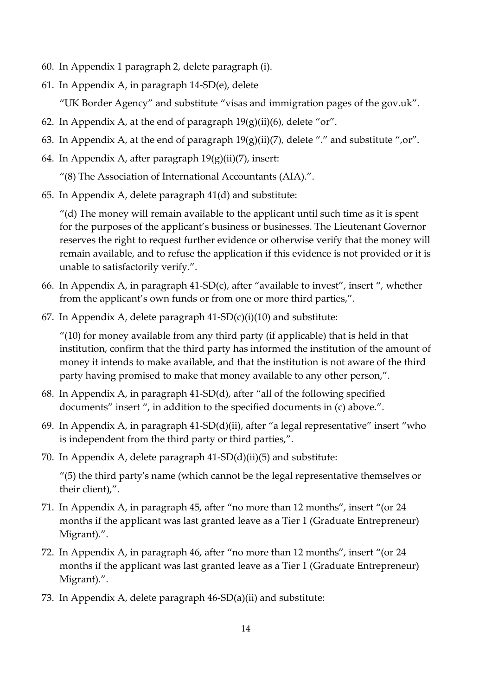- 60. In Appendix 1 paragraph 2, delete paragraph (i).
- 61. In Appendix A, in paragraph 14-SD(e), delete

"UK Border Agency" and substitute "visas and immigration pages of the gov.uk".

- 62. In Appendix A, at the end of paragraph  $19(g)(ii)(6)$ , delete "or".
- 63. In Appendix A, at the end of paragraph  $19(g)(ii)(7)$ , delete "." and substitute ",or".
- 64. In Appendix A, after paragraph  $19(g)(ii)(7)$ , insert:
	- "(8) The Association of International Accountants (AIA).".
- 65. In Appendix A, delete paragraph 41(d) and substitute:

 $^{\prime\prime}$ (d) The money will remain available to the applicant until such time as it is spent for the purposes of the applicant's business or businesses. The Lieutenant Governor reserves the right to request further evidence or otherwise verify that the money will remain available, and to refuse the application if this evidence is not provided or it is unable to satisfactorily verify.".

- 66. In Appendix A, in paragraph 41-SD(c), after "available to invest", insert ", whether from the applicant's own funds or from one or more third parties,".
- 67. In Appendix A, delete paragraph  $41-SD(c)(i)(10)$  and substitute:

 $''(10)$  for money available from any third party (if applicable) that is held in that institution, confirm that the third party has informed the institution of the amount of money it intends to make available, and that the institution is not aware of the third party having promised to make that money available to any other person,".

- 68. In Appendix A, in paragraph 41-SD(d), after "all of the following specified documents" insert ", in addition to the specified documents in (c) above.".
- 69. In Appendix A, in paragraph 41-SD(d)(ii), after "a legal representative" insert "who is independent from the third party or third parties,".
- 70. In Appendix A, delete paragraph 41-SD(d)(ii)(5) and substitute:

"(5) the third party's name (which cannot be the legal representative themselves or their client),".

- 71. In Appendix A, in paragraph 45, after "no more than 12 months", insert "(or 24 months if the applicant was last granted leave as a Tier 1 (Graduate Entrepreneur) Migrant).".
- 72. In Appendix A, in paragraph 46, after "no more than 12 months", insert "(or 24 months if the applicant was last granted leave as a Tier 1 (Graduate Entrepreneur) Migrant).".
- 73. In Appendix A, delete paragraph 46-SD(a)(ii) and substitute: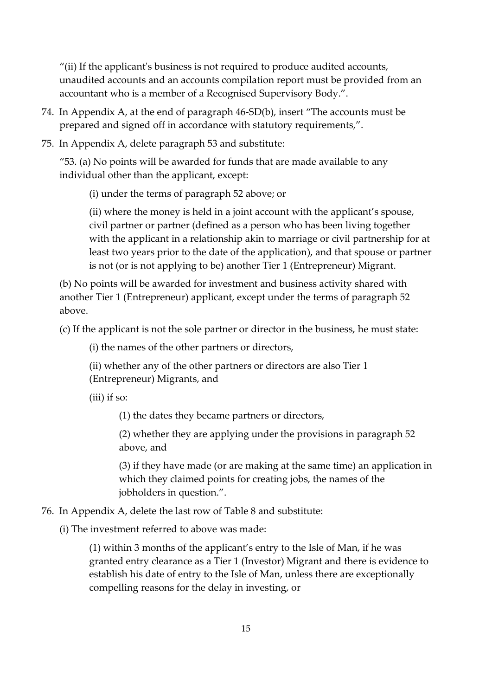"(ii) If the applicant's business is not required to produce audited accounts, unaudited accounts and an accounts compilation report must be provided from an accountant who is a member of a Recognised Supervisory Body.".

- 74. In Appendix A, at the end of paragraph 46-SD(b), insert "The accounts must be prepared and signed off in accordance with statutory requirements,".
- 75. In Appendix A, delete paragraph 53 and substitute:

"53. (a) No points will be awarded for funds that are made available to any individual other than the applicant, except:

(i) under the terms of paragraph 52 above; or

(ii) where the money is held in a joint account with the applicant's spouse, civil partner or partner (defined as a person who has been living together with the applicant in a relationship akin to marriage or civil partnership for at least two years prior to the date of the application), and that spouse or partner is not (or is not applying to be) another Tier 1 (Entrepreneur) Migrant.

(b) No points will be awarded for investment and business activity shared with another Tier 1 (Entrepreneur) applicant, except under the terms of paragraph 52 above.

(c) If the applicant is not the sole partner or director in the business, he must state:

(i) the names of the other partners or directors,

(ii) whether any of the other partners or directors are also Tier 1 (Entrepreneur) Migrants, and

(iii) if so:

(1) the dates they became partners or directors,

(2) whether they are applying under the provisions in paragraph 52 above, and

(3) if they have made (or are making at the same time) an application in which they claimed points for creating jobs, the names of the jobholders in question.".

76. In Appendix A, delete the last row of Table 8 and substitute:

(i) The investment referred to above was made:

(1) within 3 months of the applicant's entry to the Isle of Man, if he was granted entry clearance as a Tier 1 (Investor) Migrant and there is evidence to establish his date of entry to the Isle of Man, unless there are exceptionally compelling reasons for the delay in investing, or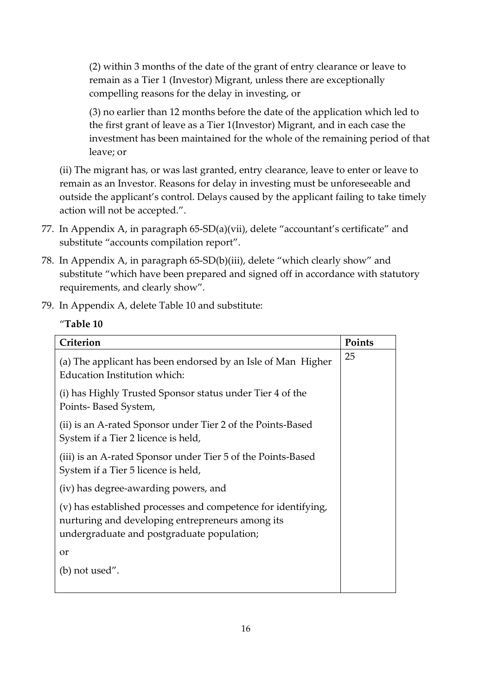(2) within 3 months of the date of the grant of entry clearance or leave to remain as a Tier 1 (Investor) Migrant, unless there are exceptionally compelling reasons for the delay in investing, or

(3) no earlier than 12 months before the date of the application which led to the first grant of leave as a Tier 1(Investor) Migrant, and in each case the investment has been maintained for the whole of the remaining period of that leave; or

(ii) The migrant has, or was last granted, entry clearance, leave to enter or leave to remain as an Investor. Reasons for delay in investing must be unforeseeable and outside the applicant's control. Delays caused by the applicant failing to take timely action will not be accepted.".

- 77. In Appendix A, in paragraph 65-SD(a)(vii), delete "accountant's certificate" and substitute "accounts compilation report".
- 78. In Appendix A, in paragraph 65-SD(b)(iii), delete "which clearly show" and substitute "which have been prepared and signed off in accordance with statutory requirements, and clearly show".
- 79. In Appendix A, delete Table 10 and substitute:

#### "**Table 10**

| Criterion                                                                                                                                                       | Points |
|-----------------------------------------------------------------------------------------------------------------------------------------------------------------|--------|
| (a) The applicant has been endorsed by an Isle of Man Higher<br>Education Institution which:                                                                    | 25     |
| (i) has Highly Trusted Sponsor status under Tier 4 of the<br>Points-Based System,                                                                               |        |
| (ii) is an A-rated Sponsor under Tier 2 of the Points-Based<br>System if a Tier 2 licence is held,                                                              |        |
| (iii) is an A-rated Sponsor under Tier 5 of the Points-Based<br>System if a Tier 5 licence is held,                                                             |        |
| (iv) has degree-awarding powers, and                                                                                                                            |        |
| (v) has established processes and competence for identifying,<br>nurturing and developing entrepreneurs among its<br>undergraduate and postgraduate population; |        |
| or                                                                                                                                                              |        |
| (b) not used".                                                                                                                                                  |        |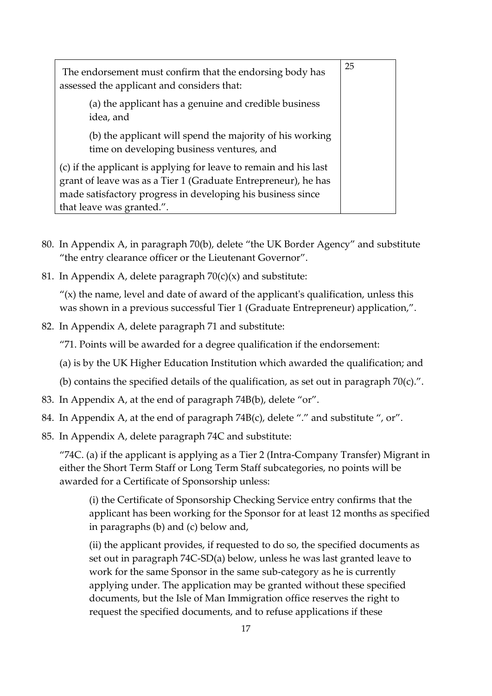| The endorsement must confirm that the endorsing body has<br>assessed the applicant and considers that:                                                                                                                          |  |
|---------------------------------------------------------------------------------------------------------------------------------------------------------------------------------------------------------------------------------|--|
| (a) the applicant has a genuine and credible business<br>idea, and                                                                                                                                                              |  |
| (b) the applicant will spend the majority of his working<br>time on developing business ventures, and                                                                                                                           |  |
| (c) if the applicant is applying for leave to remain and his last<br>grant of leave was as a Tier 1 (Graduate Entrepreneur), he has<br>made satisfactory progress in developing his business since<br>that leave was granted.". |  |

- 80. In Appendix A, in paragraph 70(b), delete "the UK Border Agency" and substitute "the entry clearance officer or the Lieutenant Governor".
- 81. In Appendix A, delete paragraph  $70(c)(x)$  and substitute:

 $''(x)$  the name, level and date of award of the applicant's qualification, unless this was shown in a previous successful Tier 1 (Graduate Entrepreneur) application,".

82. In Appendix A, delete paragraph 71 and substitute:

"71. Points will be awarded for a degree qualification if the endorsement:

- (a) is by the UK Higher Education Institution which awarded the qualification; and
- (b) contains the specified details of the qualification, as set out in paragraph 70(c).".
- 83. In Appendix A, at the end of paragraph 74B(b), delete "or".
- 84. In Appendix A, at the end of paragraph 74B(c), delete "." and substitute ", or".
- 85. In Appendix A, delete paragraph 74C and substitute:

"74C. (a) if the applicant is applying as a Tier 2 (Intra-Company Transfer) Migrant in either the Short Term Staff or Long Term Staff subcategories, no points will be awarded for a Certificate of Sponsorship unless:

(i) the Certificate of Sponsorship Checking Service entry confirms that the applicant has been working for the Sponsor for at least 12 months as specified in paragraphs (b) and (c) below and,

(ii) the applicant provides, if requested to do so, the specified documents as set out in paragraph 74C-SD(a) below, unless he was last granted leave to work for the same Sponsor in the same sub-category as he is currently applying under. The application may be granted without these specified documents, but the Isle of Man Immigration office reserves the right to request the specified documents, and to refuse applications if these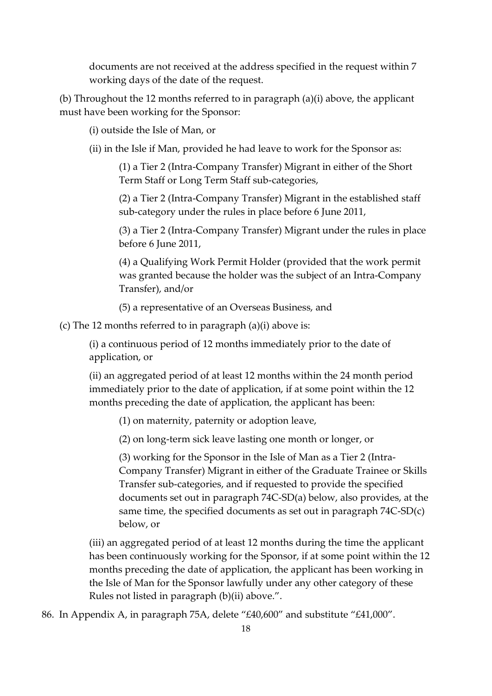documents are not received at the address specified in the request within 7 working days of the date of the request.

(b) Throughout the 12 months referred to in paragraph (a)(i) above, the applicant must have been working for the Sponsor:

(i) outside the Isle of Man, or

(ii) in the Isle if Man, provided he had leave to work for the Sponsor as:

(1) a Tier 2 (Intra-Company Transfer) Migrant in either of the Short Term Staff or Long Term Staff sub-categories,

(2) a Tier 2 (Intra-Company Transfer) Migrant in the established staff sub-category under the rules in place before 6 June 2011,

(3) a Tier 2 (Intra-Company Transfer) Migrant under the rules in place before 6 June 2011,

(4) a Qualifying Work Permit Holder (provided that the work permit was granted because the holder was the subject of an Intra-Company Transfer), and/or

(5) a representative of an Overseas Business, and

(c) The 12 months referred to in paragraph (a)(i) above is:

(i) a continuous period of 12 months immediately prior to the date of application, or

(ii) an aggregated period of at least 12 months within the 24 month period immediately prior to the date of application, if at some point within the 12 months preceding the date of application, the applicant has been:

(1) on maternity, paternity or adoption leave,

(2) on long-term sick leave lasting one month or longer, or

(3) working for the Sponsor in the Isle of Man as a Tier 2 (Intra-Company Transfer) Migrant in either of the Graduate Trainee or Skills Transfer sub-categories, and if requested to provide the specified documents set out in paragraph 74C-SD(a) below, also provides, at the same time, the specified documents as set out in paragraph 74C-SD(c) below, or

(iii) an aggregated period of at least 12 months during the time the applicant has been continuously working for the Sponsor, if at some point within the 12 months preceding the date of application, the applicant has been working in the Isle of Man for the Sponsor lawfully under any other category of these Rules not listed in paragraph (b)(ii) above.".

86. In Appendix A, in paragraph 75A, delete "£40,600" and substitute "£41,000".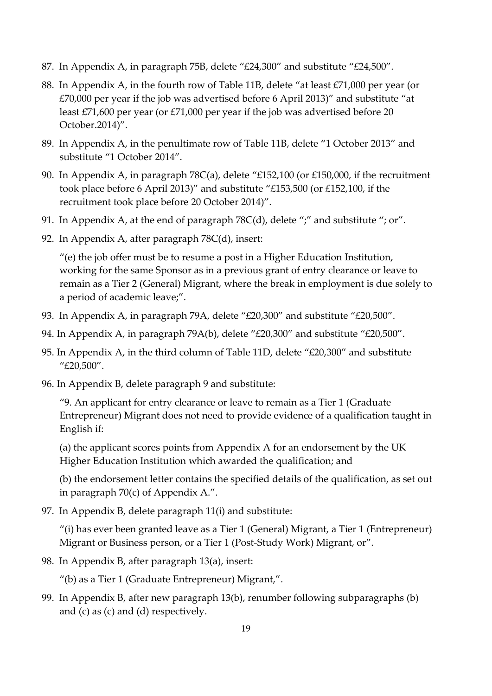- 87. In Appendix A, in paragraph 75B, delete "£24,300" and substitute "£24,500".
- 88. In Appendix A, in the fourth row of Table 11B, delete "at least £71,000 per year (or £70,000 per year if the job was advertised before 6 April 2013)" and substitute "at least £71,600 per year (or £71,000 per year if the job was advertised before 20 October.2014)".
- 89. In Appendix A, in the penultimate row of Table 11B, delete "1 October 2013" and substitute "1 October 2014".
- 90. In Appendix A, in paragraph 78C(a), delete "£152,100 (or £150,000, if the recruitment took place before 6 April 2013)" and substitute "£153,500 (or £152,100, if the recruitment took place before 20 October 2014)".
- 91. In Appendix A, at the end of paragraph 78C(d), delete ";" and substitute "; or".
- 92. In Appendix A, after paragraph 78C(d), insert:

"(e) the job offer must be to resume a post in a Higher Education Institution, working for the same Sponsor as in a previous grant of entry clearance or leave to remain as a Tier 2 (General) Migrant, where the break in employment is due solely to a period of academic leave;".

- 93. In Appendix A, in paragraph 79A, delete "£20,300" and substitute "£20,500".
- 94. In Appendix A, in paragraph 79A(b), delete "£20,300" and substitute "£20,500".
- 95. In Appendix A, in the third column of Table 11D, delete "£20,300" and substitute "£20,500".
- 96. In Appendix B, delete paragraph 9 and substitute:

"9. An applicant for entry clearance or leave to remain as a Tier 1 (Graduate Entrepreneur) Migrant does not need to provide evidence of a qualification taught in English if:

(a) the applicant scores points from Appendix A for an endorsement by the UK Higher Education Institution which awarded the qualification; and

(b) the endorsement letter contains the specified details of the qualification, as set out in paragraph 70(c) of Appendix A.".

97. In Appendix B, delete paragraph 11(i) and substitute:

"(i) has ever been granted leave as a Tier 1 (General) Migrant, a Tier 1 (Entrepreneur) Migrant or Business person, or a Tier 1 (Post-Study Work) Migrant, or".

98. In Appendix B, after paragraph 13(a), insert:

"(b) as a Tier 1 (Graduate Entrepreneur) Migrant,".

99. In Appendix B, after new paragraph 13(b), renumber following subparagraphs (b) and (c) as (c) and (d) respectively.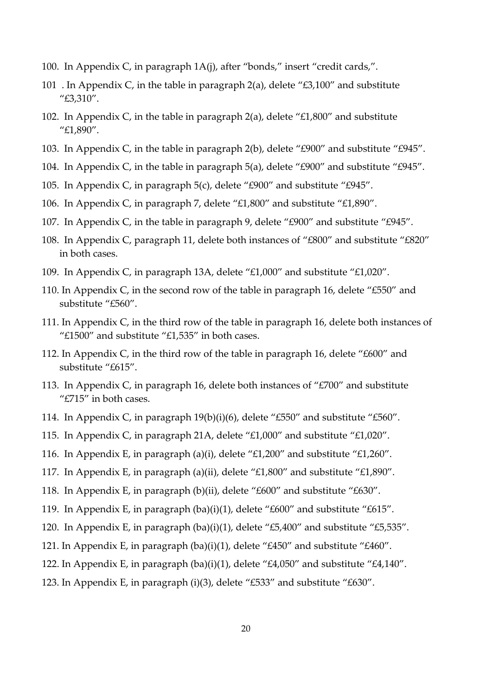- 100. In Appendix C, in paragraph 1A(j), after "bonds," insert "credit cards,".
- 101 . In Appendix C, in the table in paragraph 2(a), delete " $\text{\textsterling}3,100$ " and substitute "£3,310".
- 102. In Appendix C, in the table in paragraph 2(a), delete "£1,800" and substitute "£1,890".
- 103. In Appendix C, in the table in paragraph 2(b), delete "£900" and substitute "£945".
- 104. In Appendix C, in the table in paragraph 5(a), delete "£900" and substitute "£945".
- 105. In Appendix C, in paragraph 5(c), delete "£900" and substitute "£945".
- 106. In Appendix C, in paragraph 7, delete "£1,800" and substitute "£1,890".
- 107. In Appendix C, in the table in paragraph 9, delete "£900" and substitute "£945".
- 108. In Appendix C, paragraph 11, delete both instances of "£800" and substitute "£820" in both cases.
- 109. In Appendix C, in paragraph 13A, delete "£1,000" and substitute "£1,020".
- 110. In Appendix C, in the second row of the table in paragraph 16, delete "£550" and substitute "£560".
- 111. In Appendix C, in the third row of the table in paragraph 16, delete both instances of " $£1500"$  and substitute " $£1,535"$  in both cases.
- 112. In Appendix C, in the third row of the table in paragraph 16, delete "£600" and substitute "£615".
- 113. In Appendix C, in paragraph 16, delete both instances of "£700" and substitute "£715" in both cases.
- 114. In Appendix C, in paragraph 19(b)(i)(6), delete "£550" and substitute "£560".
- 115. In Appendix C, in paragraph 21A, delete "£1,000" and substitute "£1,020".
- 116. In Appendix E, in paragraph (a)(i), delete "£1,200" and substitute "£1,260".
- 117. In Appendix E, in paragraph (a)(ii), delete "£1,800" and substitute "£1,890".
- 118. In Appendix E, in paragraph (b)(ii), delete "£600" and substitute "£630".
- 119. In Appendix E, in paragraph (ba)(i)(1), delete "£600" and substitute "£615".
- 120. In Appendix E, in paragraph (ba)(i)(1), delete "£5,400" and substitute "£5,535".
- 121. In Appendix E, in paragraph (ba)(i)(1), delete "£450" and substitute "£460".
- 122. In Appendix E, in paragraph (ba)(i)(1), delete "£4,050" and substitute "£4,140".
- 123. In Appendix E, in paragraph (i)(3), delete "£533" and substitute "£630".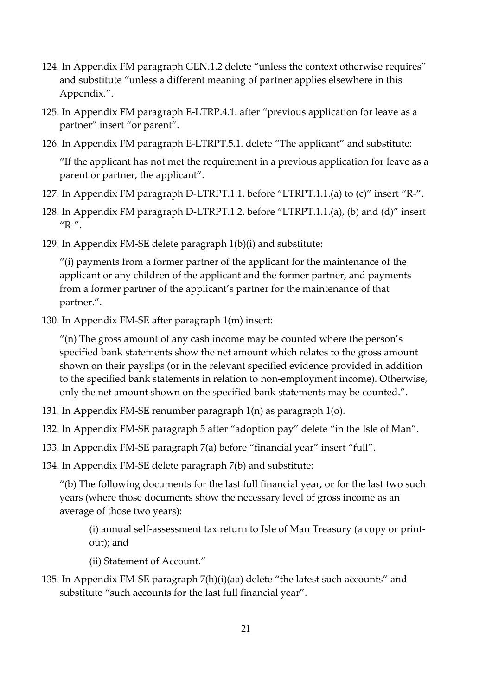- 124. In Appendix FM paragraph GEN.1.2 delete "unless the context otherwise requires" and substitute "unless a different meaning of partner applies elsewhere in this Appendix.".
- 125. In Appendix FM paragraph E-LTRP.4.1. after "previous application for leave as a partner" insert "or parent".
- 126. In Appendix FM paragraph E-LTRPT.5.1. delete "The applicant" and substitute:

"If the applicant has not met the requirement in a previous application for leave as a parent or partner, the applicant".

- 127. In Appendix FM paragraph D-LTRPT.1.1. before "LTRPT.1.1.(a) to (c)" insert "R-".
- 128. In Appendix FM paragraph D-LTRPT.1.2. before "LTRPT.1.1.(a), (b) and (d)" insert  $^{\prime\prime}$ R- $^{\prime\prime}$ .
- 129. In Appendix FM-SE delete paragraph 1(b)(i) and substitute:

"(i) payments from a former partner of the applicant for the maintenance of the applicant or any children of the applicant and the former partner, and payments from a former partner of the applicant's partner for the maintenance of that partner.".

130. In Appendix FM-SE after paragraph 1(m) insert:

"(n) The gross amount of any cash income may be counted where the person's specified bank statements show the net amount which relates to the gross amount shown on their payslips (or in the relevant specified evidence provided in addition to the specified bank statements in relation to non-employment income). Otherwise, only the net amount shown on the specified bank statements may be counted.".

131. In Appendix FM-SE renumber paragraph 1(n) as paragraph 1(o).

132. In Appendix FM-SE paragraph 5 after "adoption pay" delete "in the Isle of Man".

133. In Appendix FM-SE paragraph 7(a) before "financial year" insert "full".

134. In Appendix FM-SE delete paragraph 7(b) and substitute:

"(b) The following documents for the last full financial year, or for the last two such years (where those documents show the necessary level of gross income as an average of those two years):

(i) annual self-assessment tax return to Isle of Man Treasury (a copy or printout); and

(ii) Statement of Account."

135. In Appendix FM-SE paragraph 7(h)(i)(aa) delete "the latest such accounts" and substitute "such accounts for the last full financial year".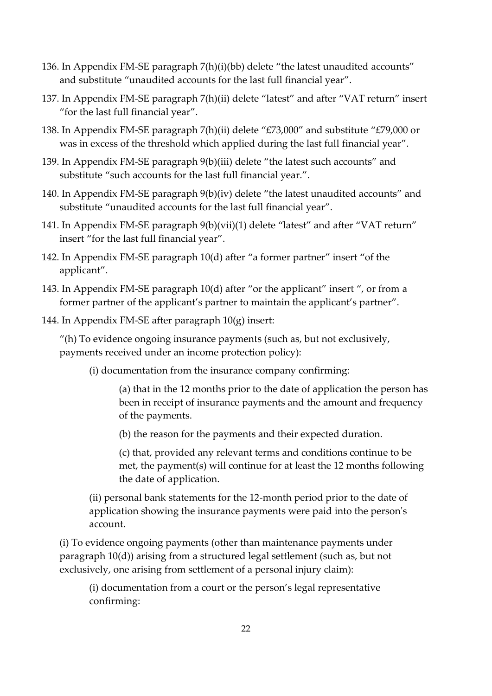- 136. In Appendix FM-SE paragraph 7(h)(i)(bb) delete "the latest unaudited accounts" and substitute "unaudited accounts for the last full financial year".
- 137. In Appendix FM-SE paragraph 7(h)(ii) delete "latest" and after "VAT return" insert "for the last full financial year".
- 138. In Appendix FM-SE paragraph 7(h)(ii) delete "£73,000" and substitute "£79,000 or was in excess of the threshold which applied during the last full financial year".
- 139. In Appendix FM-SE paragraph 9(b)(iii) delete "the latest such accounts" and substitute "such accounts for the last full financial year.".
- 140. In Appendix FM-SE paragraph 9(b)(iv) delete "the latest unaudited accounts" and substitute "unaudited accounts for the last full financial year".
- 141. In Appendix FM-SE paragraph 9(b)(vii)(1) delete "latest" and after "VAT return" insert "for the last full financial year".
- 142. In Appendix FM-SE paragraph 10(d) after "a former partner" insert "of the applicant".
- 143. In Appendix FM-SE paragraph 10(d) after "or the applicant" insert ", or from a former partner of the applicant's partner to maintain the applicant's partner".
- 144. In Appendix FM-SE after paragraph 10(g) insert:

"(h) To evidence ongoing insurance payments (such as, but not exclusively, payments received under an income protection policy):

(i) documentation from the insurance company confirming:

(a) that in the 12 months prior to the date of application the person has been in receipt of insurance payments and the amount and frequency of the payments.

(b) the reason for the payments and their expected duration.

(c) that, provided any relevant terms and conditions continue to be met, the payment(s) will continue for at least the 12 months following the date of application.

(ii) personal bank statements for the 12-month period prior to the date of application showing the insurance payments were paid into the person's account.

(i) To evidence ongoing payments (other than maintenance payments under paragraph 10(d)) arising from a structured legal settlement (such as, but not exclusively, one arising from settlement of a personal injury claim):

(i) documentation from a court or the person's legal representative confirming: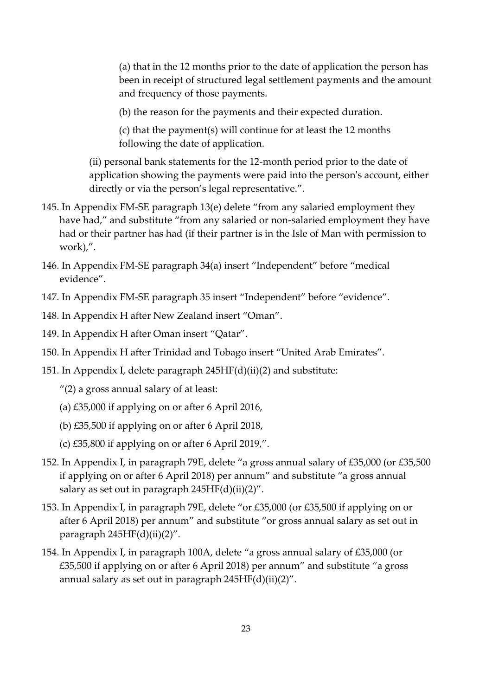(a) that in the 12 months prior to the date of application the person has been in receipt of structured legal settlement payments and the amount and frequency of those payments.

(b) the reason for the payments and their expected duration.

(c) that the payment(s) will continue for at least the 12 months following the date of application.

(ii) personal bank statements for the 12-month period prior to the date of application showing the payments were paid into the person's account, either directly or via the person's legal representative.".

- 145. In Appendix FM-SE paragraph 13(e) delete "from any salaried employment they have had," and substitute "from any salaried or non-salaried employment they have had or their partner has had (if their partner is in the Isle of Man with permission to work),".
- 146. In Appendix FM-SE paragraph 34(a) insert "Independent" before "medical evidence".
- 147. In Appendix FM-SE paragraph 35 insert "Independent" before "evidence".
- 148. In Appendix H after New Zealand insert "Oman".
- 149. In Appendix H after Oman insert "Qatar".
- 150. In Appendix H after Trinidad and Tobago insert "United Arab Emirates".
- 151. In Appendix I, delete paragraph 245HF(d)(ii)(2) and substitute:
	- "(2) a gross annual salary of at least:
	- (a) £35,000 if applying on or after 6 April 2016,
	- (b) £35,500 if applying on or after 6 April 2018,
	- (c) £35,800 if applying on or after 6 April 2019,".
- 152. In Appendix I, in paragraph 79E, delete "a gross annual salary of £35,000 (or £35,500 if applying on or after 6 April 2018) per annum" and substitute "a gross annual salary as set out in paragraph  $245HF(d)(ii)(2)$ ".
- 153. In Appendix I, in paragraph 79E, delete "or £35,000 (or £35,500 if applying on or after 6 April 2018) per annum" and substitute "or gross annual salary as set out in paragraph  $245HF(d)(ii)(2)$ ".
- 154. In Appendix I, in paragraph 100A, delete "a gross annual salary of £35,000 (or £35,500 if applying on or after 6 April 2018) per annum" and substitute "a gross annual salary as set out in paragraph 245HF(d)(ii)(2)".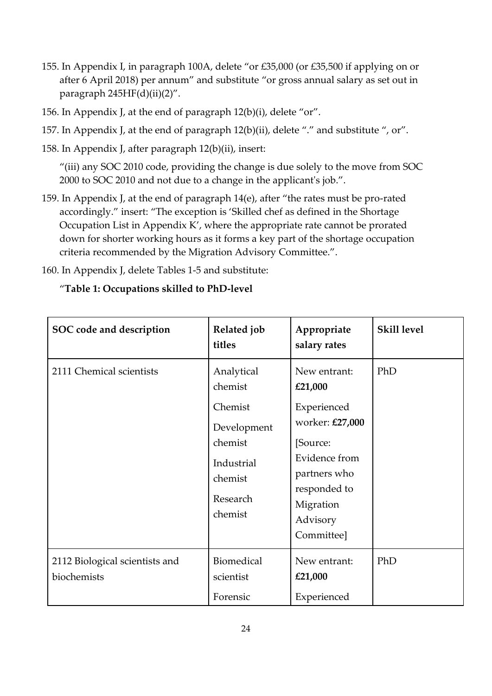- 155. In Appendix I, in paragraph 100A, delete "or £35,000 (or £35,500 if applying on or after 6 April 2018) per annum" and substitute "or gross annual salary as set out in paragraph  $245HF(d)(ii)(2)$ ".
- 156. In Appendix J, at the end of paragraph 12(b)(i), delete "or".
- 157. In Appendix J, at the end of paragraph 12(b)(ii), delete "." and substitute ", or".
- 158. In Appendix J, after paragraph 12(b)(ii), insert:

"(iii) any SOC 2010 code, providing the change is due solely to the move from SOC 2000 to SOC 2010 and not due to a change in the applicant's job.".

- 159. In Appendix J, at the end of paragraph 14(e), after "the rates must be pro-rated accordingly." insert: "The exception is 'Skilled chef as defined in the Shortage Occupation List in Appendix K', where the appropriate rate cannot be prorated down for shorter working hours as it forms a key part of the shortage occupation criteria recommended by the Migration Advisory Committee.".
- 160. In Appendix J, delete Tables 1-5 and substitute:

## "**Table 1: Occupations skilled to PhD-level**

| SOC code and description                      | Related job<br>titles                                                                                      | Appropriate<br>salary rates                                                                                                                                   | <b>Skill level</b> |
|-----------------------------------------------|------------------------------------------------------------------------------------------------------------|---------------------------------------------------------------------------------------------------------------------------------------------------------------|--------------------|
| 2111 Chemical scientists                      | Analytical<br>chemist<br>Chemist<br>Development<br>chemist<br>Industrial<br>chemist<br>Research<br>chemist | New entrant:<br>£21,000<br>Experienced<br>worker: £27,000<br>[Source:<br>Evidence from<br>partners who<br>responded to<br>Migration<br>Advisory<br>Committee] | PhD                |
| 2112 Biological scientists and<br>biochemists | Biomedical<br>scientist<br>Forensic                                                                        | New entrant:<br>£21,000<br>Experienced                                                                                                                        | PhD                |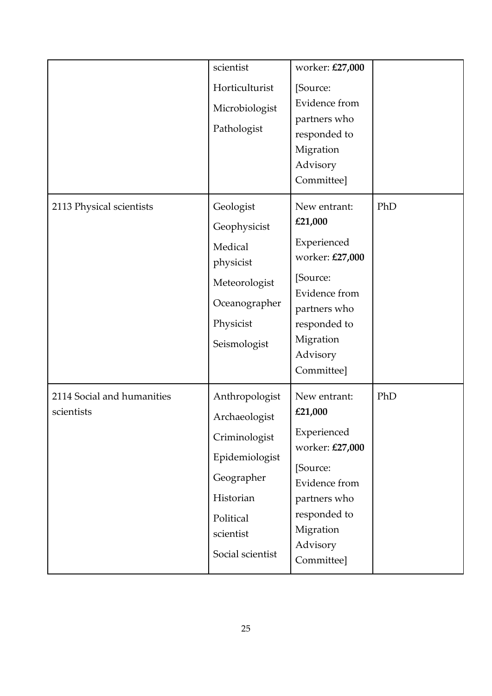|                                          | scientist<br>Horticulturist<br>Microbiologist<br>Pathologist                                                                                | worker: £27,000<br>[Source:<br>Evidence from<br>partners who<br>responded to<br>Migration<br>Advisory<br>Committee]                                           |     |
|------------------------------------------|---------------------------------------------------------------------------------------------------------------------------------------------|---------------------------------------------------------------------------------------------------------------------------------------------------------------|-----|
| 2113 Physical scientists                 | Geologist<br>Geophysicist<br>Medical<br>physicist<br>Meteorologist<br>Oceanographer<br>Physicist<br>Seismologist                            | New entrant:<br>£21,000<br>Experienced<br>worker: £27,000<br>[Source:<br>Evidence from<br>partners who<br>responded to<br>Migration<br>Advisory<br>Committee] | PhD |
| 2114 Social and humanities<br>scientists | Anthropologist<br>Archaeologist<br>Criminologist<br>Epidemiologist<br>Geographer<br>Historian<br>Political<br>scientist<br>Social scientist | New entrant:<br>£21,000<br>Experienced<br>worker: £27,000<br>[Source:<br>Evidence from<br>partners who<br>responded to<br>Migration<br>Advisory<br>Committee] | PhD |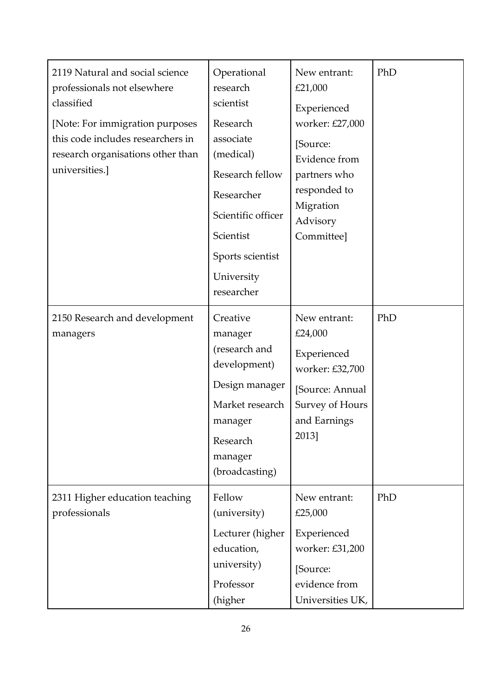| 2119 Natural and social science<br>professionals not elsewhere<br>classified<br>[Note: For immigration purposes<br>this code includes researchers in<br>research organisations other than<br>universities.] | Operational<br>research<br>scientist<br>Research<br>associate<br>(medical)<br>Research fellow<br>Researcher<br>Scientific officer<br>Scientist<br>Sports scientist<br>University<br>researcher | New entrant:<br>£21,000<br>Experienced<br>worker: £27,000<br>[Source:<br>Evidence from<br>partners who<br>responded to<br>Migration<br>Advisory<br>Committee] | PhD |
|-------------------------------------------------------------------------------------------------------------------------------------------------------------------------------------------------------------|------------------------------------------------------------------------------------------------------------------------------------------------------------------------------------------------|---------------------------------------------------------------------------------------------------------------------------------------------------------------|-----|
| 2150 Research and development<br>managers                                                                                                                                                                   | Creative<br>manager<br>(research and<br>development)<br>Design manager<br>Market research<br>manager<br>Research<br>manager<br>(broadcasting)                                                  | New entrant:<br>£24,000<br>Experienced<br>worker: £32,700<br>[Source: Annual<br>Survey of Hours<br>and Earnings<br>2013]                                      | PhD |
| 2311 Higher education teaching<br>professionals                                                                                                                                                             | Fellow<br>(university)<br>Lecturer (higher<br>education,<br>university)<br>Professor<br>(higher                                                                                                | New entrant:<br>£25,000<br>Experienced<br>worker: £31,200<br>[Source:<br>evidence from<br>Universities UK,                                                    | PhD |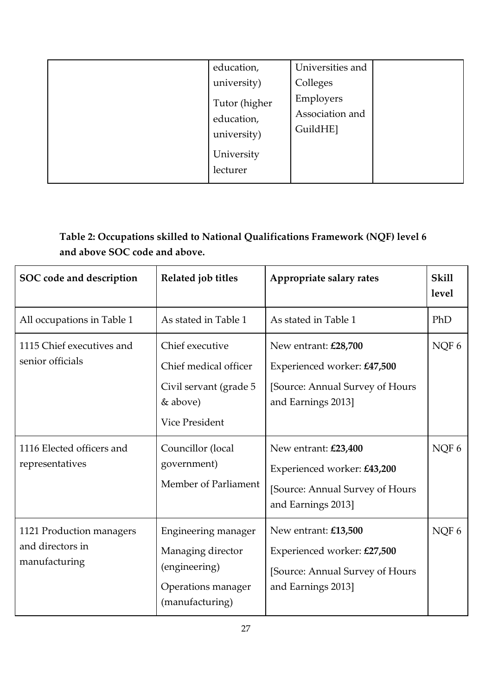| education,<br>university)<br>Tutor (higher<br>education,<br>university)<br>University<br>lecturer | Universities and<br>Colleges<br>Employers<br>Association and<br>GuildHE] |
|---------------------------------------------------------------------------------------------------|--------------------------------------------------------------------------|
|---------------------------------------------------------------------------------------------------|--------------------------------------------------------------------------|

# **Table 2: Occupations skilled to National Qualifications Framework (NQF) level 6 and above SOC code and above.**

| SOC code and description                                      | Related job titles                                                                                      | Appropriate salary rates                                                                                     | <b>Skill</b><br>level |
|---------------------------------------------------------------|---------------------------------------------------------------------------------------------------------|--------------------------------------------------------------------------------------------------------------|-----------------------|
| All occupations in Table 1                                    | As stated in Table 1                                                                                    | As stated in Table 1                                                                                         | PhD                   |
| 1115 Chief executives and<br>senior officials                 | Chief executive<br>Chief medical officer<br>Civil servant (grade 5<br>& above)<br><b>Vice President</b> | New entrant: £28,700<br>Experienced worker: £47,500<br>[Source: Annual Survey of Hours<br>and Earnings 2013] | NQF 6                 |
| 1116 Elected officers and<br>representatives                  | Councillor (local<br>government)<br>Member of Parliament                                                | New entrant: £23,400<br>Experienced worker: £43,200<br>[Source: Annual Survey of Hours<br>and Earnings 2013] | NQF 6                 |
| 1121 Production managers<br>and directors in<br>manufacturing | Engineering manager<br>Managing director<br>(engineering)<br>Operations manager<br>(manufacturing)      | New entrant: £13,500<br>Experienced worker: £27,500<br>[Source: Annual Survey of Hours<br>and Earnings 2013] | NQF6                  |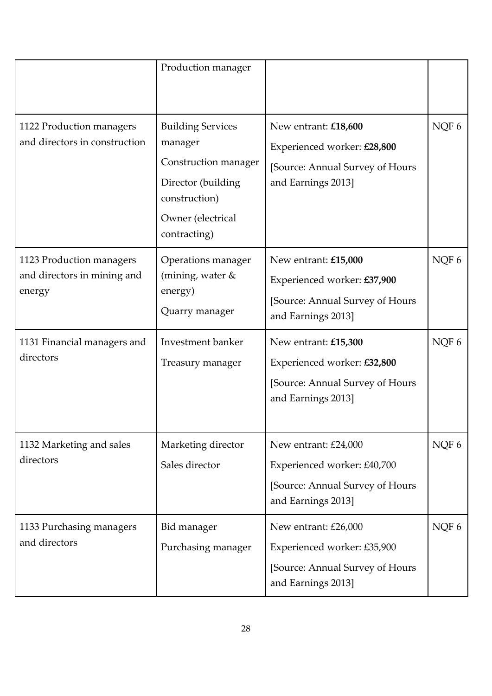|                                                                   | Production manager                                                                                                                      |                                                                                                              |       |
|-------------------------------------------------------------------|-----------------------------------------------------------------------------------------------------------------------------------------|--------------------------------------------------------------------------------------------------------------|-------|
| 1122 Production managers<br>and directors in construction         | <b>Building Services</b><br>manager<br>Construction manager<br>Director (building<br>construction)<br>Owner (electrical<br>contracting) | New entrant: £18,600<br>Experienced worker: £28,800<br>[Source: Annual Survey of Hours<br>and Earnings 2013] | NQF 6 |
| 1123 Production managers<br>and directors in mining and<br>energy | Operations manager<br>(mining, water $&$<br>energy)<br>Quarry manager                                                                   | New entrant: £15,000<br>Experienced worker: £37,900<br>[Source: Annual Survey of Hours<br>and Earnings 2013] | NQF6  |
| 1131 Financial managers and<br>directors                          | Investment banker<br>Treasury manager                                                                                                   | New entrant: £15,300<br>Experienced worker: £32,800<br>[Source: Annual Survey of Hours<br>and Earnings 2013] | NQF6  |
| 1132 Marketing and sales<br>directors                             | Marketing director<br>Sales director                                                                                                    | New entrant: £24,000<br>Experienced worker: £40,700<br>[Source: Annual Survey of Hours<br>and Earnings 2013] | NQF 6 |
| 1133 Purchasing managers<br>and directors                         | Bid manager<br>Purchasing manager                                                                                                       | New entrant: £26,000<br>Experienced worker: £35,900<br>[Source: Annual Survey of Hours<br>and Earnings 2013] | NQF 6 |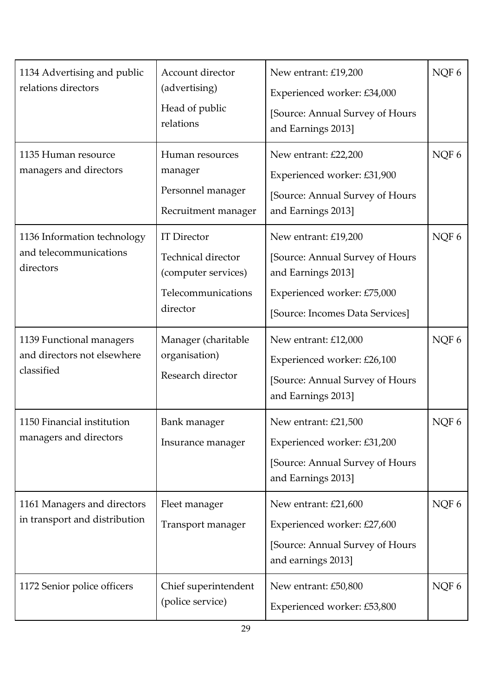| 1134 Advertising and public<br>relations directors                    | Account director<br>(advertising)<br>Head of public<br>relations                                         | New entrant: £19,200<br>Experienced worker: £34,000<br>[Source: Annual Survey of Hours<br>and Earnings 2013]                                    | NQF 6 |
|-----------------------------------------------------------------------|----------------------------------------------------------------------------------------------------------|-------------------------------------------------------------------------------------------------------------------------------------------------|-------|
| 1135 Human resource<br>managers and directors                         | Human resources<br>manager<br>Personnel manager<br>Recruitment manager                                   | New entrant: £22,200<br>Experienced worker: £31,900<br>[Source: Annual Survey of Hours<br>and Earnings 2013]                                    | NQF 6 |
| 1136 Information technology<br>and telecommunications<br>directors    | <b>IT Director</b><br><b>Technical director</b><br>(computer services)<br>Telecommunications<br>director | New entrant: £19,200<br>[Source: Annual Survey of Hours<br>and Earnings 2013]<br>Experienced worker: £75,000<br>[Source: Incomes Data Services] | NQF6  |
| 1139 Functional managers<br>and directors not elsewhere<br>classified | Manager (charitable<br>organisation)<br>Research director                                                | New entrant: £12,000<br>Experienced worker: £26,100<br>[Source: Annual Survey of Hours<br>and Earnings 2013]                                    | NQF 6 |
| 1150 Financial institution<br>managers and directors                  | Bank manager<br>Insurance manager                                                                        | New entrant: £21,500<br>Experienced worker: £31,200<br>[Source: Annual Survey of Hours<br>and Earnings 2013]                                    | NQF 6 |
| 1161 Managers and directors<br>in transport and distribution          | Fleet manager<br>Transport manager                                                                       | New entrant: £21,600<br>Experienced worker: £27,600<br>[Source: Annual Survey of Hours<br>and earnings 2013]                                    | NQF 6 |
| 1172 Senior police officers                                           | Chief superintendent<br>(police service)                                                                 | New entrant: £50,800<br>Experienced worker: £53,800                                                                                             | NQF 6 |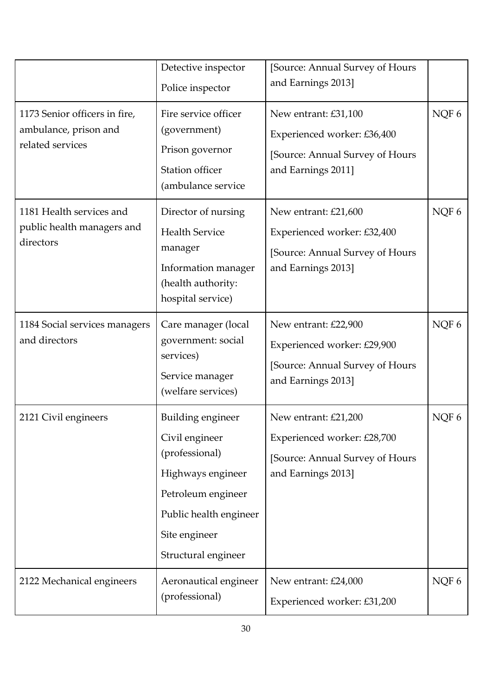|                                                                            | Detective inspector<br>Police inspector                                                                                                                                   | [Source: Annual Survey of Hours<br>and Earnings 2013]                                                         |       |
|----------------------------------------------------------------------------|---------------------------------------------------------------------------------------------------------------------------------------------------------------------------|---------------------------------------------------------------------------------------------------------------|-------|
| 1173 Senior officers in fire,<br>ambulance, prison and<br>related services | Fire service officer<br>(government)<br>Prison governor<br><b>Station officer</b><br>(ambulance service                                                                   | New entrant: £31,100<br>Experienced worker: £36,400<br>[Source: Annual Survey of Hours<br>and Earnings 2011]  | NQF 6 |
| 1181 Health services and<br>public health managers and<br>directors        | Director of nursing<br><b>Health Service</b><br>manager<br>Information manager<br>(health authority:<br>hospital service)                                                 | New entrant: £21,600<br>Experienced worker: £32,400<br>[Source: Annual Survey of Hours<br>and Earnings 2013]  | NQF 6 |
| 1184 Social services managers<br>and directors                             | Care manager (local<br>government: social<br>services)<br>Service manager<br>(welfare services)                                                                           | New entrant: £22,900<br>Experienced worker: £29,900<br>[Source: Annual Survey of Hours<br>and Earnings 2013]  | NQF 6 |
| 2121 Civil engineers                                                       | <b>Building engineer</b><br>Civil engineer<br>(professional)<br>Highways engineer<br>Petroleum engineer<br>Public health engineer<br>Site engineer<br>Structural engineer | New entrant: £21,200<br>Experienced worker: £28,700<br>[Source: Annual Survey of Hours]<br>and Earnings 2013] | NQF 6 |
| 2122 Mechanical engineers                                                  | Aeronautical engineer<br>(professional)                                                                                                                                   | New entrant: £24,000<br>Experienced worker: £31,200                                                           | NQF 6 |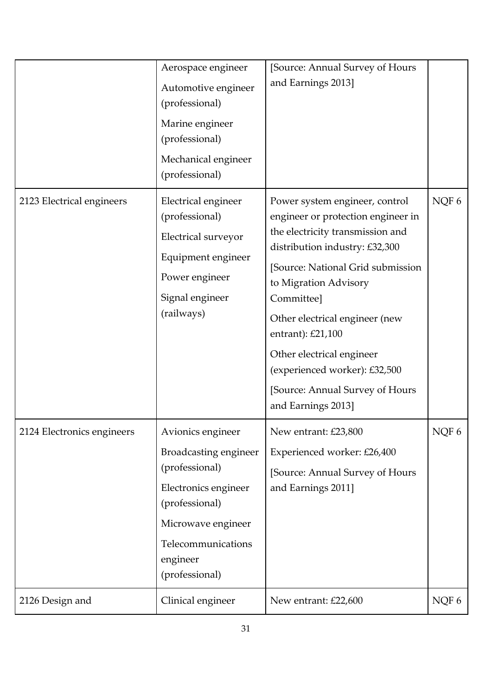|                            | Aerospace engineer<br>Automotive engineer<br>(professional)<br>Marine engineer<br>(professional)<br>Mechanical engineer<br>(professional)                                               | [Source: Annual Survey of Hours<br>and Earnings 2013]                                                                                                                                                                                                                                                                                                                                                |       |
|----------------------------|-----------------------------------------------------------------------------------------------------------------------------------------------------------------------------------------|------------------------------------------------------------------------------------------------------------------------------------------------------------------------------------------------------------------------------------------------------------------------------------------------------------------------------------------------------------------------------------------------------|-------|
| 2123 Electrical engineers  | Electrical engineer<br>(professional)<br>Electrical surveyor<br>Equipment engineer<br>Power engineer<br>Signal engineer<br>(railways)                                                   | Power system engineer, control<br>engineer or protection engineer in<br>the electricity transmission and<br>distribution industry: £32,300<br>[Source: National Grid submission<br>to Migration Advisory<br>Committee]<br>Other electrical engineer (new<br>entrant): £21,100<br>Other electrical engineer<br>(experienced worker): £32,500<br>[Source: Annual Survey of Hours<br>and Earnings 2013] | NQF 6 |
| 2124 Electronics engineers | Avionics engineer<br><b>Broadcasting engineer</b><br>(professional)<br>Electronics engineer<br>(professional)<br>Microwave engineer<br>Telecommunications<br>engineer<br>(professional) | New entrant: £23,800<br>Experienced worker: £26,400<br>[Source: Annual Survey of Hours]<br>and Earnings 2011]                                                                                                                                                                                                                                                                                        | NQF 6 |
| 2126 Design and            | Clinical engineer                                                                                                                                                                       | New entrant: £22,600                                                                                                                                                                                                                                                                                                                                                                                 | NQF 6 |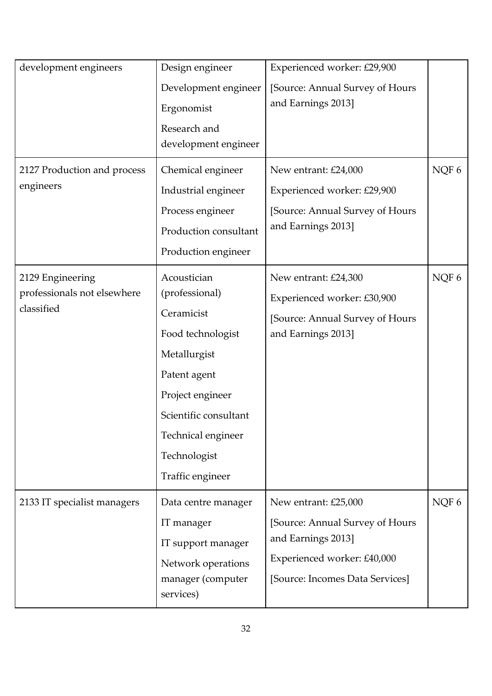| development engineers                                         | Design engineer<br>Development engineer<br>Ergonomist<br>Research and<br>development engineer                                                                                                           | Experienced worker: £29,900<br>[Source: Annual Survey of Hours<br>and Earnings 2013]                                                            |       |
|---------------------------------------------------------------|---------------------------------------------------------------------------------------------------------------------------------------------------------------------------------------------------------|-------------------------------------------------------------------------------------------------------------------------------------------------|-------|
| 2127 Production and process<br>engineers                      | Chemical engineer<br>Industrial engineer<br>Process engineer<br>Production consultant<br>Production engineer                                                                                            | New entrant: £24,000<br>Experienced worker: £29,900<br>[Source: Annual Survey of Hours<br>and Earnings 2013]                                    | NQF 6 |
| 2129 Engineering<br>professionals not elsewhere<br>classified | Acoustician<br>(professional)<br>Ceramicist<br>Food technologist<br>Metallurgist<br>Patent agent<br>Project engineer<br>Scientific consultant<br>Technical engineer<br>Technologist<br>Traffic engineer | New entrant: £24,300<br>Experienced worker: £30,900<br>[Source: Annual Survey of Hours<br>and Earnings 2013]                                    | NQF 6 |
| 2133 IT specialist managers                                   | Data centre manager<br>IT manager<br>IT support manager<br>Network operations<br>manager (computer<br>services)                                                                                         | New entrant: £25,000<br>[Source: Annual Survey of Hours<br>and Earnings 2013]<br>Experienced worker: £40,000<br>[Source: Incomes Data Services] | NQF 6 |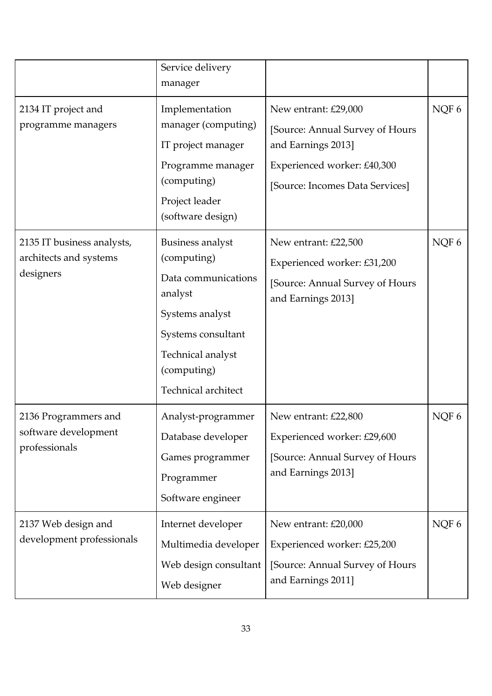|                                                                   | Service delivery<br>manager                                                                                                                                                  |                                                                                                                                                 |       |
|-------------------------------------------------------------------|------------------------------------------------------------------------------------------------------------------------------------------------------------------------------|-------------------------------------------------------------------------------------------------------------------------------------------------|-------|
| 2134 IT project and<br>programme managers                         | Implementation<br>manager (computing)<br>IT project manager<br>Programme manager<br>(computing)<br>Project leader<br>(software design)                                       | New entrant: £29,000<br>[Source: Annual Survey of Hours<br>and Earnings 2013]<br>Experienced worker: £40,300<br>[Source: Incomes Data Services] | NQF6  |
| 2135 IT business analysts,<br>architects and systems<br>designers | <b>Business analyst</b><br>(computing)<br>Data communications<br>analyst<br>Systems analyst<br>Systems consultant<br>Technical analyst<br>(computing)<br>Technical architect | New entrant: £22,500<br>Experienced worker: £31,200<br>[Source: Annual Survey of Hours<br>and Earnings 2013]                                    | NQF6  |
| 2136 Programmers and<br>software development<br>professionals     | Analyst-programmer<br>Database developer<br>Games programmer<br>Programmer<br>Software engineer                                                                              | New entrant: £22,800<br>Experienced worker: £29,600<br>[Source: Annual Survey of Hours<br>and Earnings 2013]                                    | NQF 6 |
| 2137 Web design and<br>development professionals                  | Internet developer<br>Multimedia developer<br>Web design consultant<br>Web designer                                                                                          | New entrant: £20,000<br>Experienced worker: £25,200<br>[Source: Annual Survey of Hours<br>and Earnings 2011]                                    | NQF 6 |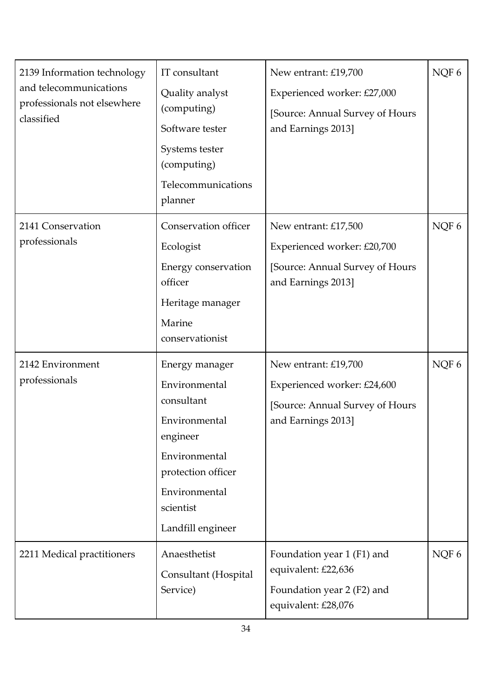| 2139 Information technology<br>and telecommunications<br>professionals not elsewhere<br>classified | IT consultant<br>Quality analyst<br>(computing)<br>Software tester<br>Systems tester<br>(computing)<br>Telecommunications<br>planner                                 | New entrant: £19,700<br>Experienced worker: £27,000<br>[Source: Annual Survey of Hours<br>and Earnings 2013] | NQF 6   |
|----------------------------------------------------------------------------------------------------|----------------------------------------------------------------------------------------------------------------------------------------------------------------------|--------------------------------------------------------------------------------------------------------------|---------|
| 2141 Conservation<br>professionals                                                                 | Conservation officer<br>Ecologist<br>Energy conservation<br>officer<br>Heritage manager<br>Marine<br>conservationist                                                 | New entrant: £17,500<br>Experienced worker: £20,700<br>[Source: Annual Survey of Hours<br>and Earnings 2013] | NQF $6$ |
| 2142 Environment<br>professionals                                                                  | Energy manager<br>Environmental<br>consultant<br>Environmental<br>engineer<br>Environmental<br>protection officer<br>Environmental<br>scientist<br>Landfill engineer | New entrant: £19,700<br>Experienced worker: £24,600<br>[Source: Annual Survey of Hours<br>and Earnings 2013] | NQF 6   |
| 2211 Medical practitioners                                                                         | Anaesthetist<br>Consultant (Hospital<br>Service)                                                                                                                     | Foundation year 1 (F1) and<br>equivalent: £22,636<br>Foundation year 2 (F2) and<br>equivalent: £28,076       | NQF 6   |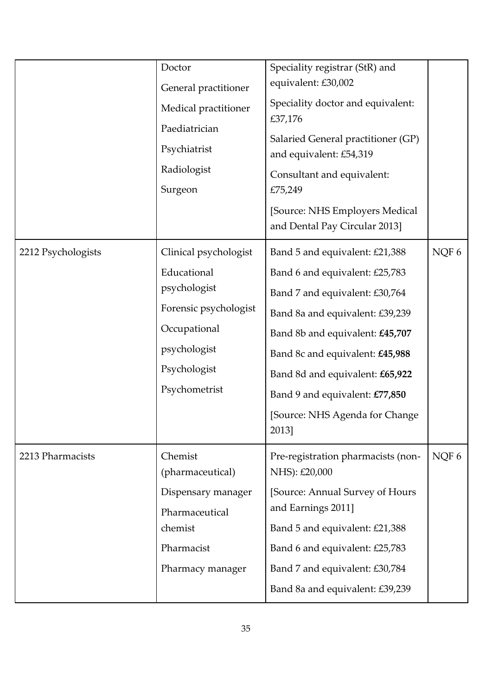|                    | Doctor<br>General practitioner<br>Medical practitioner<br>Paediatrician<br>Psychiatrist<br>Radiologist<br>Surgeon                              | Speciality registrar (StR) and<br>equivalent: £30,002<br>Speciality doctor and equivalent:<br>£37,176<br>Salaried General practitioner (GP)<br>and equivalent: £54,319<br>Consultant and equivalent:<br>£75,249<br>[Source: NHS Employers Medical]<br>and Dental Pay Circular 2013]                                         |       |
|--------------------|------------------------------------------------------------------------------------------------------------------------------------------------|-----------------------------------------------------------------------------------------------------------------------------------------------------------------------------------------------------------------------------------------------------------------------------------------------------------------------------|-------|
| 2212 Psychologists | Clinical psychologist<br>Educational<br>psychologist<br>Forensic psychologist<br>Occupational<br>psychologist<br>Psychologist<br>Psychometrist | Band 5 and equivalent: £21,388<br>Band 6 and equivalent: £25,783<br>Band 7 and equivalent: £30,764<br>Band 8a and equivalent: £39,239<br>Band 8b and equivalent: £45,707<br>Band 8c and equivalent: £45,988<br>Band 8d and equivalent: £65,922<br>Band 9 and equivalent: £77,850<br>[Source: NHS Agenda for Change<br>2013] | NQF 6 |
| 2213 Pharmacists   | Chemist<br>(pharmaceutical)<br>Dispensary manager<br>Pharmaceutical<br>chemist<br>Pharmacist<br>Pharmacy manager                               | Pre-registration pharmacists (non-<br>NHS): £20,000<br>[Source: Annual Survey of Hours<br>and Earnings 2011]<br>Band 5 and equivalent: £21,388<br>Band 6 and equivalent: £25,783<br>Band 7 and equivalent: £30,784<br>Band 8a and equivalent: £39,239                                                                       | NQF 6 |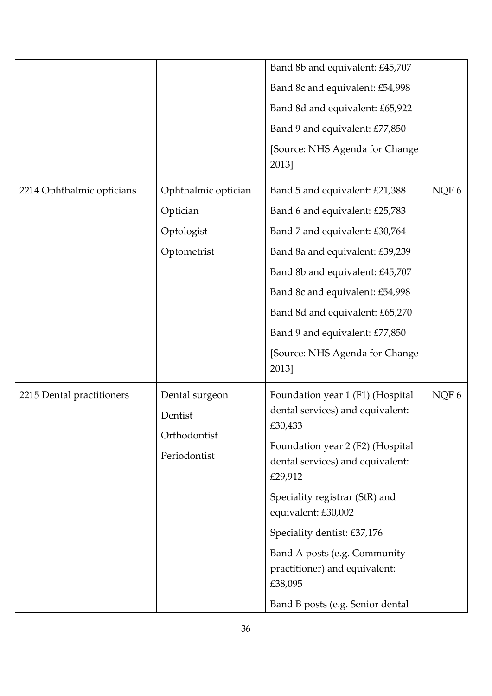|                           |                                                           | Band 8b and equivalent: £45,707                                                 |       |
|---------------------------|-----------------------------------------------------------|---------------------------------------------------------------------------------|-------|
|                           |                                                           | Band 8c and equivalent: £54,998                                                 |       |
|                           |                                                           | Band 8d and equivalent: £65,922                                                 |       |
|                           |                                                           | Band 9 and equivalent: £77,850                                                  |       |
|                           |                                                           | [Source: NHS Agenda for Change<br>2013]                                         |       |
| 2214 Ophthalmic opticians | Ophthalmic optician                                       | Band 5 and equivalent: £21,388                                                  | NQF 6 |
|                           | Optician                                                  | Band 6 and equivalent: £25,783                                                  |       |
|                           | Optologist                                                | Band 7 and equivalent: £30,764                                                  |       |
|                           | Optometrist                                               | Band 8a and equivalent: £39,239                                                 |       |
|                           |                                                           | Band 8b and equivalent: £45,707                                                 |       |
|                           |                                                           | Band 8c and equivalent: £54,998                                                 |       |
|                           |                                                           | Band 8d and equivalent: £65,270                                                 |       |
|                           |                                                           | Band 9 and equivalent: £77,850                                                  |       |
|                           |                                                           | [Source: NHS Agenda for Change<br>2013]                                         |       |
| 2215 Dental practitioners | Dental surgeon<br>Dentist<br>Orthodontist<br>Periodontist | Foundation year 1 (F1) (Hospital<br>dental services) and equivalent:<br>£30,433 | NQF 6 |
|                           |                                                           | Foundation year 2 (F2) (Hospital<br>dental services) and equivalent:<br>£29,912 |       |
|                           |                                                           | Speciality registrar (StR) and<br>equivalent: £30,002                           |       |
|                           |                                                           | Speciality dentist: £37,176                                                     |       |
|                           |                                                           | Band A posts (e.g. Community<br>practitioner) and equivalent:<br>£38,095        |       |
|                           |                                                           | Band B posts (e.g. Senior dental                                                |       |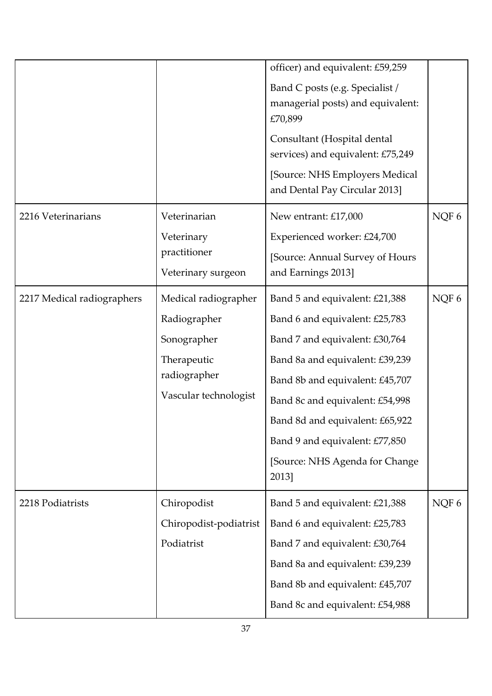|                            |                                                                                                             | officer) and equivalent: £59,259<br>Band C posts (e.g. Specialist /<br>managerial posts) and equivalent:<br>£70,899<br>Consultant (Hospital dental<br>services) and equivalent: £75,249<br>[Source: NHS Employers Medical<br>and Dental Pay Circular 2013]                                                                  |       |
|----------------------------|-------------------------------------------------------------------------------------------------------------|-----------------------------------------------------------------------------------------------------------------------------------------------------------------------------------------------------------------------------------------------------------------------------------------------------------------------------|-------|
| 2216 Veterinarians         | Veterinarian<br>Veterinary<br>practitioner<br>Veterinary surgeon                                            | New entrant: £17,000<br>Experienced worker: £24,700<br>[Source: Annual Survey of Hours<br>and Earnings 2013]                                                                                                                                                                                                                | NQF 6 |
| 2217 Medical radiographers | Medical radiographer<br>Radiographer<br>Sonographer<br>Therapeutic<br>radiographer<br>Vascular technologist | Band 5 and equivalent: £21,388<br>Band 6 and equivalent: £25,783<br>Band 7 and equivalent: £30,764<br>Band 8a and equivalent: £39,239<br>Band 8b and equivalent: £45,707<br>Band 8c and equivalent: £54,998<br>Band 8d and equivalent: £65,922<br>Band 9 and equivalent: £77,850<br>[Source: NHS Agenda for Change<br>2013] | NQF 6 |
| 2218 Podiatrists           | Chiropodist<br>Chiropodist-podiatrist<br>Podiatrist                                                         | Band 5 and equivalent: £21,388<br>Band 6 and equivalent: £25,783<br>Band 7 and equivalent: £30,764<br>Band 8a and equivalent: £39,239<br>Band 8b and equivalent: £45,707<br>Band 8c and equivalent: £54,988                                                                                                                 | NQF 6 |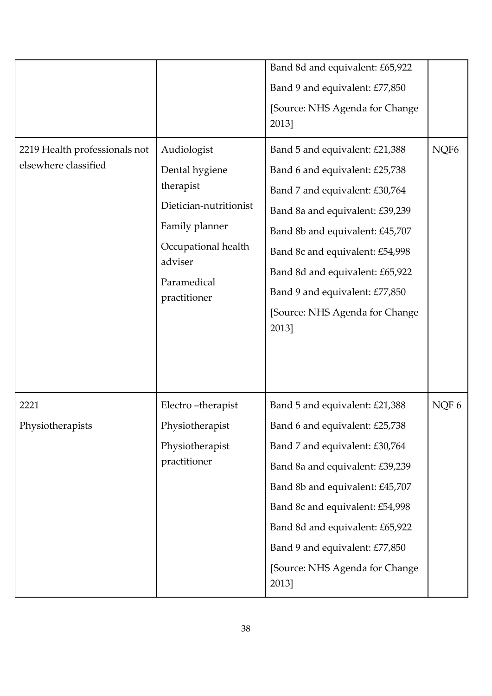| 2219 Health professionals not<br>elsewhere classified | Audiologist<br>Dental hygiene<br>therapist<br>Dietician-nutritionist<br>Family planner<br>Occupational health<br>adviser<br>Paramedical<br>practitioner | Band 8d and equivalent: £65,922<br>Band 9 and equivalent: £77,850<br>[Source: NHS Agenda for Change<br>2013]<br>Band 5 and equivalent: £21,388<br>Band 6 and equivalent: £25,738<br>Band 7 and equivalent: £30,764<br>Band 8a and equivalent: £39,239<br>Band 8b and equivalent: £45,707<br>Band 8c and equivalent: £54,998<br>Band 8d and equivalent: £65,922<br>Band 9 and equivalent: £77,850<br>[Source: NHS Agenda for Change<br>2013] | NQF <sub>6</sub> |
|-------------------------------------------------------|---------------------------------------------------------------------------------------------------------------------------------------------------------|---------------------------------------------------------------------------------------------------------------------------------------------------------------------------------------------------------------------------------------------------------------------------------------------------------------------------------------------------------------------------------------------------------------------------------------------|------------------|
| 2221<br>Physiotherapists                              | Electro-therapist<br>Physiotherapist<br>Physiotherapist<br>practitioner                                                                                 | Band 5 and equivalent: £21,388<br>Band 6 and equivalent: £25,738<br>Band 7 and equivalent: £30,764<br>Band 8a and equivalent: £39,239<br>Band 8b and equivalent: £45,707<br>Band 8c and equivalent: £54,998<br>Band 8d and equivalent: £65,922<br>Band 9 and equivalent: £77,850<br>[Source: NHS Agenda for Change<br>2013]                                                                                                                 | NQF 6            |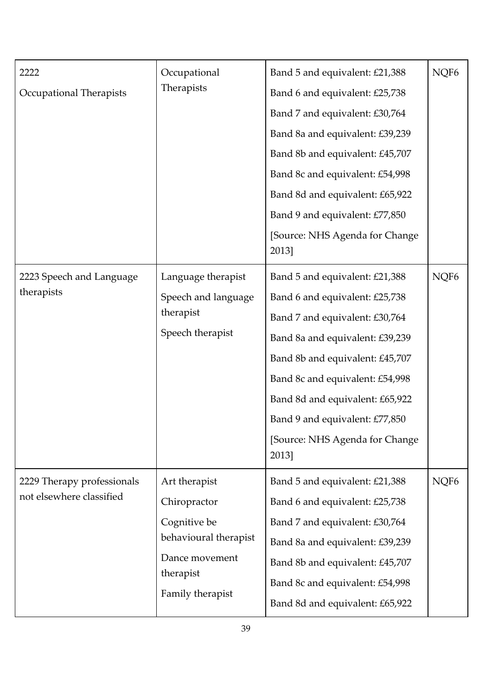| 2222<br>Occupational Therapists                        | Occupational<br>Therapists                                                                                                | Band 5 and equivalent: £21,388<br>Band 6 and equivalent: £25,738<br>Band 7 and equivalent: £30,764<br>Band 8a and equivalent: £39,239<br>Band 8b and equivalent: £45,707<br>Band 8c and equivalent: £54,998<br>Band 8d and equivalent: £65,922                                                                              | NQF <sub>6</sub> |
|--------------------------------------------------------|---------------------------------------------------------------------------------------------------------------------------|-----------------------------------------------------------------------------------------------------------------------------------------------------------------------------------------------------------------------------------------------------------------------------------------------------------------------------|------------------|
|                                                        |                                                                                                                           | Band 9 and equivalent: £77,850<br>[Source: NHS Agenda for Change<br>2013]                                                                                                                                                                                                                                                   |                  |
| 2223 Speech and Language<br>therapists                 | Language therapist<br>Speech and language<br>therapist<br>Speech therapist                                                | Band 5 and equivalent: £21,388<br>Band 6 and equivalent: £25,738<br>Band 7 and equivalent: £30,764<br>Band 8a and equivalent: £39,239<br>Band 8b and equivalent: £45,707<br>Band 8c and equivalent: £54,998<br>Band 8d and equivalent: £65,922<br>Band 9 and equivalent: £77,850<br>[Source: NHS Agenda for Change<br>2013] | NQF <sub>6</sub> |
| 2229 Therapy professionals<br>not elsewhere classified | Art therapist<br>Chiropractor<br>Cognitive be<br>behavioural therapist<br>Dance movement<br>therapist<br>Family therapist | Band 5 and equivalent: £21,388<br>Band 6 and equivalent: £25,738<br>Band 7 and equivalent: £30,764<br>Band 8a and equivalent: £39,239<br>Band 8b and equivalent: £45,707<br>Band 8c and equivalent: £54,998<br>Band 8d and equivalent: £65,922                                                                              | NQF <sub>6</sub> |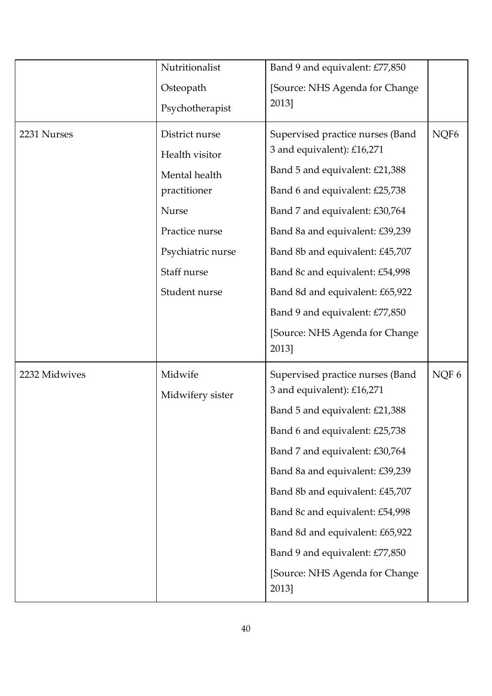|               | Nutritionalist<br>Osteopath<br>Psychotherapist                                                                                                           | Band 9 and equivalent: £77,850<br>[Source: NHS Agenda for Change<br>2013]                                                                                                                                                                                                                                                                                                                     |                  |
|---------------|----------------------------------------------------------------------------------------------------------------------------------------------------------|-----------------------------------------------------------------------------------------------------------------------------------------------------------------------------------------------------------------------------------------------------------------------------------------------------------------------------------------------------------------------------------------------|------------------|
| 2231 Nurses   | District nurse<br>Health visitor<br>Mental health<br>practitioner<br><b>Nurse</b><br>Practice nurse<br>Psychiatric nurse<br>Staff nurse<br>Student nurse | Supervised practice nurses (Band<br>3 and equivalent): £16,271<br>Band 5 and equivalent: £21,388<br>Band 6 and equivalent: £25,738<br>Band 7 and equivalent: £30,764<br>Band 8a and equivalent: £39,239<br>Band 8b and equivalent: £45,707<br>Band 8c and equivalent: £54,998<br>Band 8d and equivalent: £65,922<br>Band 9 and equivalent: £77,850<br>[Source: NHS Agenda for Change<br>2013] | NQF <sub>6</sub> |
| 2232 Midwives | Midwife<br>Midwifery sister                                                                                                                              | Supervised practice nurses (Band<br>3 and equivalent): £16,271<br>Band 5 and equivalent: £21,388<br>Band 6 and equivalent: £25,738<br>Band 7 and equivalent: £30,764<br>Band 8a and equivalent: £39,239<br>Band 8b and equivalent: £45,707<br>Band 8c and equivalent: £54,998<br>Band 8d and equivalent: £65,922<br>Band 9 and equivalent: £77,850<br>[Source: NHS Agenda for Change<br>2013] | NQF 6            |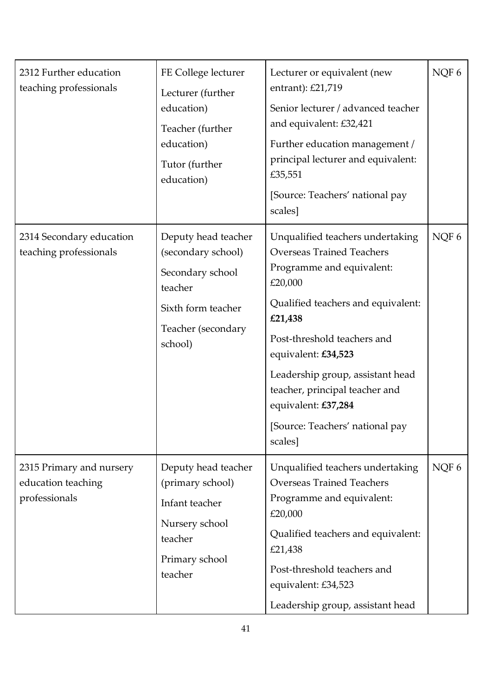| 2312 Further education<br>teaching professionals                | FE College lecturer<br>Lecturer (further<br>education)<br>Teacher (further<br>education)<br>Tutor (further<br>education)        | Lecturer or equivalent (new<br>entrant): £21,719<br>Senior lecturer / advanced teacher<br>and equivalent: £32,421<br>Further education management /<br>principal lecturer and equivalent:<br>£35,551<br>[Source: Teachers' national pay<br>scales]                                                                                                             | NQF 6            |
|-----------------------------------------------------------------|---------------------------------------------------------------------------------------------------------------------------------|----------------------------------------------------------------------------------------------------------------------------------------------------------------------------------------------------------------------------------------------------------------------------------------------------------------------------------------------------------------|------------------|
| 2314 Secondary education<br>teaching professionals              | Deputy head teacher<br>(secondary school)<br>Secondary school<br>teacher<br>Sixth form teacher<br>Teacher (secondary<br>school) | Unqualified teachers undertaking<br><b>Overseas Trained Teachers</b><br>Programme and equivalent:<br>£20,000<br>Qualified teachers and equivalent:<br>£21,438<br>Post-threshold teachers and<br>equivalent: £34,523<br>Leadership group, assistant head<br>teacher, principal teacher and<br>equivalent: £37,284<br>[Source: Teachers' national pay<br>scales] | NQF 6            |
| 2315 Primary and nursery<br>education teaching<br>professionals | Deputy head teacher<br>(primary school)<br>Infant teacher<br>Nursery school<br>teacher<br>Primary school<br>teacher             | Unqualified teachers undertaking<br><b>Overseas Trained Teachers</b><br>Programme and equivalent:<br>£20,000<br>Qualified teachers and equivalent:<br>£21,438<br>Post-threshold teachers and<br>equivalent: £34,523<br>Leadership group, assistant head                                                                                                        | NOF <sub>6</sub> |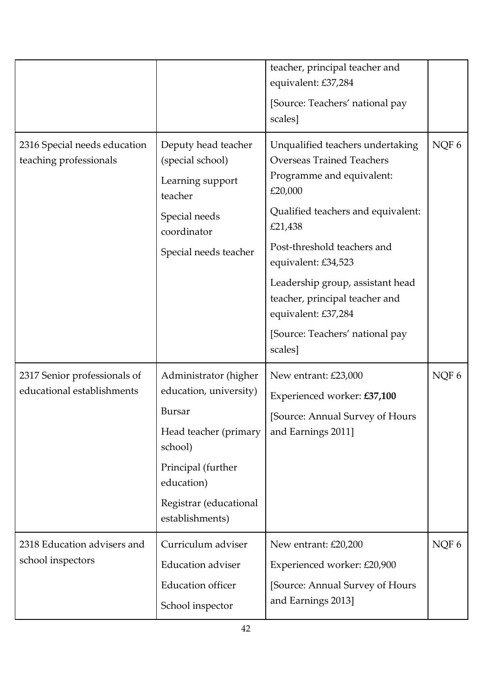|                                                            |                                                                                                                                                                                       | teacher, principal teacher and<br>equivalent: £37,284<br>[Source: Teachers' national pay<br>scales]                                                                                                                                                                                                                                                            |       |
|------------------------------------------------------------|---------------------------------------------------------------------------------------------------------------------------------------------------------------------------------------|----------------------------------------------------------------------------------------------------------------------------------------------------------------------------------------------------------------------------------------------------------------------------------------------------------------------------------------------------------------|-------|
| 2316 Special needs education<br>teaching professionals     | Deputy head teacher<br>(special school)<br>Learning support<br>teacher<br>Special needs<br>coordinator<br>Special needs teacher                                                       | Unqualified teachers undertaking<br><b>Overseas Trained Teachers</b><br>Programme and equivalent:<br>£20,000<br>Qualified teachers and equivalent:<br>£21,438<br>Post-threshold teachers and<br>equivalent: £34,523<br>Leadership group, assistant head<br>teacher, principal teacher and<br>equivalent: £37,284<br>[Source: Teachers' national pay<br>scales] | NQF 6 |
| 2317 Senior professionals of<br>educational establishments | Administrator (higher<br>education, university)<br><b>Bursar</b><br>Head teacher (primary<br>school)<br>Principal (further<br>education)<br>Registrar (educational<br>establishments) | New entrant: £23,000<br>Experienced worker: £37,100<br>[Source: Annual Survey of Hours<br>and Earnings 2011]                                                                                                                                                                                                                                                   | NQF 6 |
| 2318 Education advisers and<br>school inspectors           | Curriculum adviser<br><b>Education adviser</b><br><b>Education</b> officer<br>School inspector                                                                                        | New entrant: £20,200<br>Experienced worker: £20,900<br>[Source: Annual Survey of Hours<br>and Earnings 2013]                                                                                                                                                                                                                                                   | NQF 6 |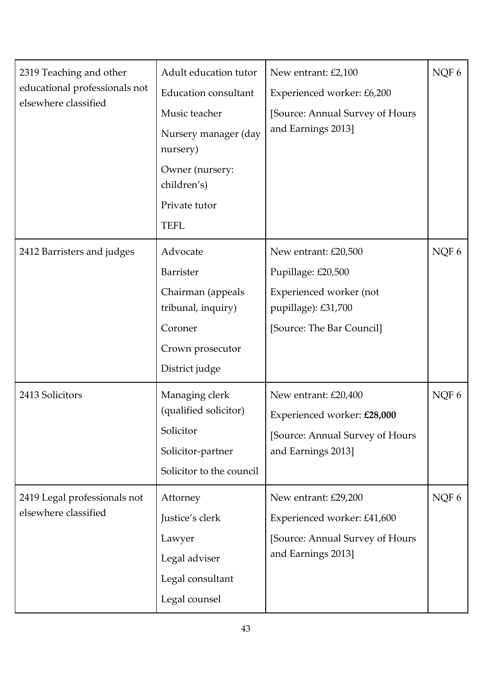| 2319 Teaching and other<br>educational professionals not<br>elsewhere classified | Adult education tutor                                                                                 | New entrant: £2,100                                                                                          | NQF6  |
|----------------------------------------------------------------------------------|-------------------------------------------------------------------------------------------------------|--------------------------------------------------------------------------------------------------------------|-------|
|                                                                                  | <b>Education consultant</b>                                                                           | Experienced worker: £6,200                                                                                   |       |
|                                                                                  | Music teacher                                                                                         | [Source: Annual Survey of Hours                                                                              |       |
|                                                                                  | Nursery manager (day<br>nursery)                                                                      | and Earnings 2013]                                                                                           |       |
|                                                                                  | Owner (nursery:<br>children's)                                                                        |                                                                                                              |       |
|                                                                                  | Private tutor                                                                                         |                                                                                                              |       |
|                                                                                  | <b>TEFL</b>                                                                                           |                                                                                                              |       |
| 2412 Barristers and judges                                                       | Advocate                                                                                              | New entrant: £20,500                                                                                         | NQF 6 |
|                                                                                  | <b>Barrister</b>                                                                                      | Pupillage: £20,500                                                                                           |       |
|                                                                                  | Chairman (appeals<br>tribunal, inquiry)                                                               | Experienced worker (not<br>pupillage): £31,700                                                               |       |
|                                                                                  | Coroner                                                                                               | [Source: The Bar Council]                                                                                    |       |
|                                                                                  | Crown prosecutor                                                                                      |                                                                                                              |       |
|                                                                                  | District judge                                                                                        |                                                                                                              |       |
| 2413 Solicitors                                                                  | Managing clerk<br>(qualified solicitor)<br>Solicitor<br>Solicitor-partner<br>Solicitor to the council | New entrant: £20,400<br>Experienced worker: £28,000<br>[Source: Annual Survey of Hours<br>and Earnings 2013] | NQF 6 |
| 2419 Legal professionals not                                                     | Attorney                                                                                              | New entrant: £29,200                                                                                         | NQF 6 |
| elsewhere classified                                                             | Justice's clerk                                                                                       | Experienced worker: £41,600                                                                                  |       |
|                                                                                  | Lawyer                                                                                                | [Source: Annual Survey of Hours]                                                                             |       |
|                                                                                  | Legal adviser                                                                                         | and Earnings 2013]                                                                                           |       |
|                                                                                  | Legal consultant                                                                                      |                                                                                                              |       |
|                                                                                  | Legal counsel                                                                                         |                                                                                                              |       |
|                                                                                  |                                                                                                       |                                                                                                              |       |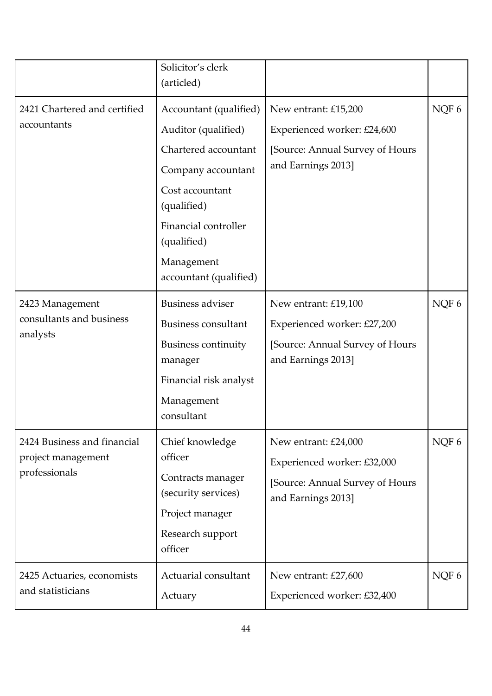|                                                                    | Solicitor's clerk<br>(articled)                                                                                                                                                                              |                                                                                                              |       |
|--------------------------------------------------------------------|--------------------------------------------------------------------------------------------------------------------------------------------------------------------------------------------------------------|--------------------------------------------------------------------------------------------------------------|-------|
| 2421 Chartered and certified<br>accountants                        | Accountant (qualified)<br>Auditor (qualified)<br>Chartered accountant<br>Company accountant<br>Cost accountant<br>(qualified)<br>Financial controller<br>(qualified)<br>Management<br>accountant (qualified) | New entrant: £15,200<br>Experienced worker: £24,600<br>[Source: Annual Survey of Hours<br>and Earnings 2013] | NQF 6 |
| 2423 Management<br>consultants and business<br>analysts            | <b>Business adviser</b><br><b>Business consultant</b><br><b>Business continuity</b><br>manager<br>Financial risk analyst<br>Management<br>consultant                                                         | New entrant: £19,100<br>Experienced worker: £27,200<br>[Source: Annual Survey of Hours<br>and Earnings 2013] | NQF6  |
| 2424 Business and financial<br>project management<br>professionals | Chief knowledge<br>officer<br>Contracts manager<br>(security services)<br>Project manager<br>Research support<br>officer                                                                                     | New entrant: £24,000<br>Experienced worker: £32,000<br>[Source: Annual Survey of Hours<br>and Earnings 2013] | NQF 6 |
| 2425 Actuaries, economists<br>and statisticians                    | Actuarial consultant<br>Actuary                                                                                                                                                                              | New entrant: £27,600<br>Experienced worker: £32,400                                                          | NQF 6 |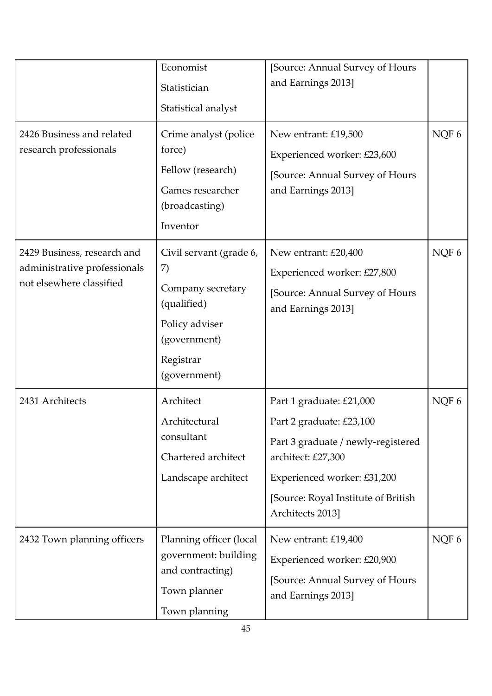|                                                                                         | Economist<br>Statistician<br>Statistical analyst                                                                                 | [Source: Annual Survey of Hours]<br>and Earnings 2013]                                                                                                                                                      |       |
|-----------------------------------------------------------------------------------------|----------------------------------------------------------------------------------------------------------------------------------|-------------------------------------------------------------------------------------------------------------------------------------------------------------------------------------------------------------|-------|
| 2426 Business and related<br>research professionals                                     | Crime analyst (police<br>force)<br>Fellow (research)<br>Games researcher<br>(broadcasting)<br>Inventor                           | New entrant: £19,500<br>Experienced worker: £23,600<br>[Source: Annual Survey of Hours<br>and Earnings 2013]                                                                                                | NQF 6 |
| 2429 Business, research and<br>administrative professionals<br>not elsewhere classified | Civil servant (grade 6,<br>7)<br>Company secretary<br>(qualified)<br>Policy adviser<br>(government)<br>Registrar<br>(government) | New entrant: £20,400<br>Experienced worker: £27,800<br>[Source: Annual Survey of Hours<br>and Earnings 2013]                                                                                                | NQF 6 |
| 2431 Architects                                                                         | Architect<br>Architectural<br>consultant<br>Chartered architect<br>Landscape architect                                           | Part 1 graduate: £21,000<br>Part 2 graduate: £23,100<br>Part 3 graduate / newly-registered<br>architect: £27,300<br>Experienced worker: £31,200<br>[Source: Royal Institute of British]<br>Architects 2013] | NQF 6 |
| 2432 Town planning officers                                                             | Planning officer (local<br>government: building<br>and contracting)<br>Town planner<br>Town planning                             | New entrant: £19,400<br>Experienced worker: £20,900<br>[Source: Annual Survey of Hours<br>and Earnings 2013]                                                                                                | NQF 6 |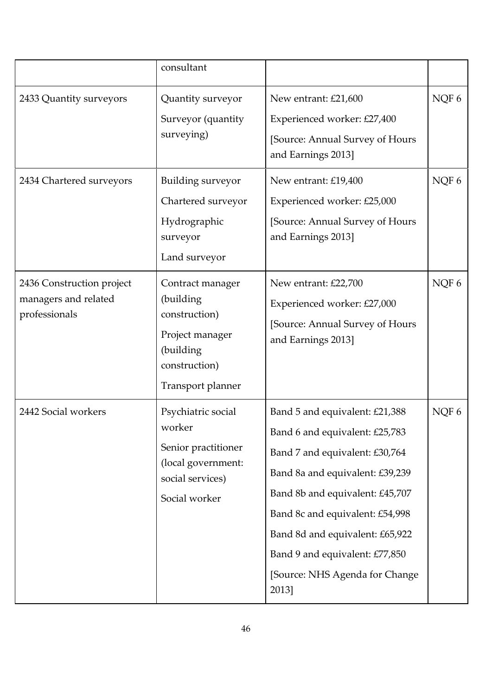|                                                                    | consultant                                                                                                            |                                                                                                                                                                                                                                                                                                                             |         |
|--------------------------------------------------------------------|-----------------------------------------------------------------------------------------------------------------------|-----------------------------------------------------------------------------------------------------------------------------------------------------------------------------------------------------------------------------------------------------------------------------------------------------------------------------|---------|
| 2433 Quantity surveyors                                            | Quantity surveyor<br>Surveyor (quantity<br>surveying)                                                                 | New entrant: £21,600<br>Experienced worker: £27,400<br>[Source: Annual Survey of Hours<br>and Earnings 2013]                                                                                                                                                                                                                | NQF 6   |
| 2434 Chartered surveyors                                           | Building surveyor<br>Chartered surveyor<br>Hydrographic<br>surveyor<br>Land surveyor                                  | New entrant: £19,400<br>Experienced worker: £25,000<br>[Source: Annual Survey of Hours<br>and Earnings 2013]                                                                                                                                                                                                                | NQF 6   |
| 2436 Construction project<br>managers and related<br>professionals | Contract manager<br>(building)<br>construction)<br>Project manager<br>(building<br>construction)<br>Transport planner | New entrant: £22,700<br>Experienced worker: £27,000<br>[Source: Annual Survey of Hours<br>and Earnings 2013]                                                                                                                                                                                                                | NQF $6$ |
| 2442 Social workers                                                | Psychiatric social<br>worker<br>Senior practitioner<br>(local government:<br>social services)<br>Social worker        | Band 5 and equivalent: £21,388<br>Band 6 and equivalent: £25,783<br>Band 7 and equivalent: £30,764<br>Band 8a and equivalent: £39,239<br>Band 8b and equivalent: £45,707<br>Band 8c and equivalent: £54,998<br>Band 8d and equivalent: £65,922<br>Band 9 and equivalent: £77,850<br>[Source: NHS Agenda for Change<br>2013] | NQF 6   |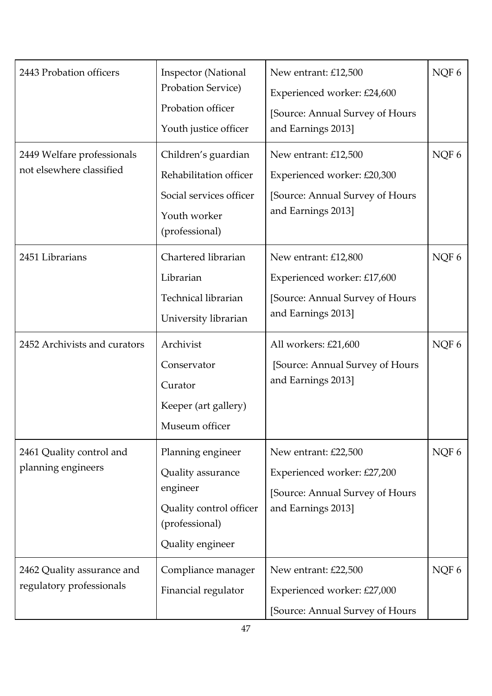| 2443 Probation officers                                | <b>Inspector</b> (National<br>Probation Service)<br>Probation officer<br>Youth justice officer                      | New entrant: £12,500<br>Experienced worker: £24,600<br>[Source: Annual Survey of Hours<br>and Earnings 2013] | NQF 6 |
|--------------------------------------------------------|---------------------------------------------------------------------------------------------------------------------|--------------------------------------------------------------------------------------------------------------|-------|
| 2449 Welfare professionals<br>not elsewhere classified | Children's guardian<br>Rehabilitation officer<br>Social services officer<br>Youth worker<br>(professional)          | New entrant: £12,500<br>Experienced worker: £20,300<br>[Source: Annual Survey of Hours<br>and Earnings 2013] | NQF 6 |
| 2451 Librarians                                        | Chartered librarian<br>Librarian<br>Technical librarian<br>University librarian                                     | New entrant: £12,800<br>Experienced worker: £17,600<br>[Source: Annual Survey of Hours<br>and Earnings 2013] | NQF 6 |
| 2452 Archivists and curators                           | Archivist<br>Conservator<br>Curator<br>Keeper (art gallery)<br>Museum officer                                       | All workers: £21,600<br>[Source: Annual Survey of Hours<br>and Earnings 2013]                                | NQF 6 |
| 2461 Quality control and<br>planning engineers         | Planning engineer<br>Quality assurance<br>engineer<br>Quality control officer<br>(professional)<br>Quality engineer | New entrant: £22,500<br>Experienced worker: £27,200<br>[Source: Annual Survey of Hours<br>and Earnings 2013] | NQF 6 |
| 2462 Quality assurance and<br>regulatory professionals | Compliance manager<br>Financial regulator                                                                           | New entrant: £22,500<br>Experienced worker: £27,000<br>[Source: Annual Survey of Hours                       | NQF 6 |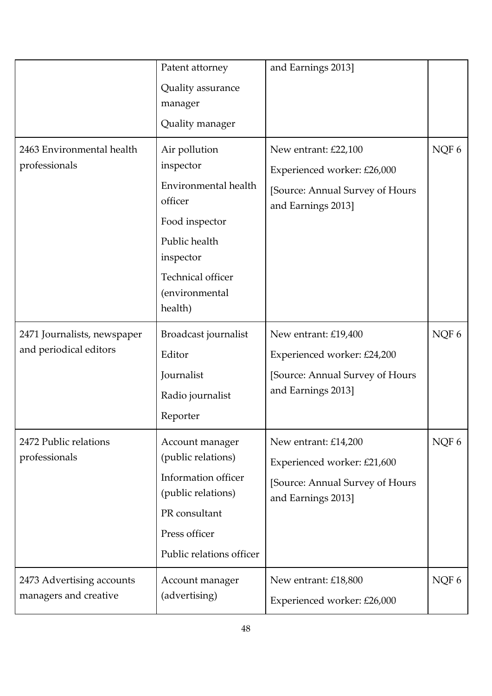|                                                       | Patent attorney                                                                                                                                      | and Earnings 2013]                                                                                           |       |
|-------------------------------------------------------|------------------------------------------------------------------------------------------------------------------------------------------------------|--------------------------------------------------------------------------------------------------------------|-------|
|                                                       | Quality assurance<br>manager                                                                                                                         |                                                                                                              |       |
|                                                       | Quality manager                                                                                                                                      |                                                                                                              |       |
| 2463 Environmental health<br>professionals            | Air pollution<br>inspector<br>Environmental health<br>officer<br>Food inspector<br>Public health<br>inspector<br>Technical officer<br>(environmental | New entrant: £22,100<br>Experienced worker: £26,000<br>[Source: Annual Survey of Hours<br>and Earnings 2013] | NQF 6 |
|                                                       | health)                                                                                                                                              |                                                                                                              |       |
| 2471 Journalists, newspaper<br>and periodical editors | Broadcast journalist<br>Editor<br>Journalist<br>Radio journalist<br>Reporter                                                                         | New entrant: £19,400<br>Experienced worker: £24,200<br>[Source: Annual Survey of Hours<br>and Earnings 2013] | NQF 6 |
| 2472 Public relations<br>professionals                | Account manager<br>(public relations)<br>Information officer<br>(public relations)<br>PR consultant<br>Press officer<br>Public relations officer     | New entrant: £14,200<br>Experienced worker: £21,600<br>[Source: Annual Survey of Hours<br>and Earnings 2013] | NQF 6 |
| 2473 Advertising accounts<br>managers and creative    | Account manager<br>(advertising)                                                                                                                     | New entrant: £18,800<br>Experienced worker: £26,000                                                          | NQF 6 |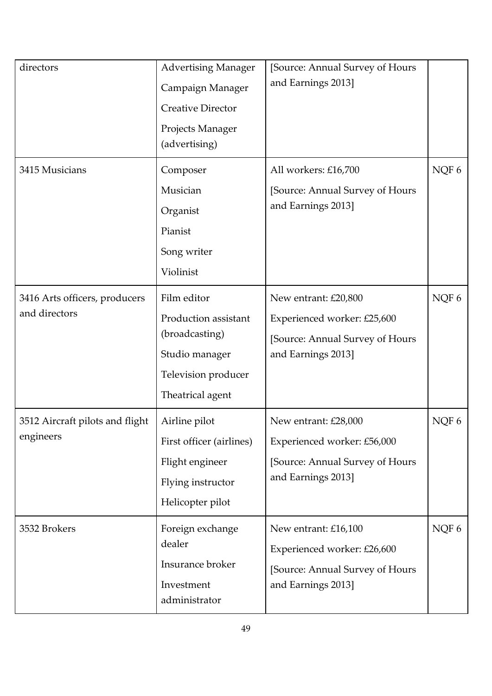| directors                                      | <b>Advertising Manager</b><br>Campaign Manager<br><b>Creative Director</b><br>Projects Manager<br>(advertising)    | [Source: Annual Survey of Hours<br>and Earnings 2013]                                                        |       |
|------------------------------------------------|--------------------------------------------------------------------------------------------------------------------|--------------------------------------------------------------------------------------------------------------|-------|
| 3415 Musicians                                 | Composer<br>Musician<br>Organist<br>Pianist<br>Song writer<br>Violinist                                            | All workers: £16,700<br>[Source: Annual Survey of Hours<br>and Earnings 2013]                                | NQF 6 |
| 3416 Arts officers, producers<br>and directors | Film editor<br>Production assistant<br>(broadcasting)<br>Studio manager<br>Television producer<br>Theatrical agent | New entrant: £20,800<br>Experienced worker: £25,600<br>[Source: Annual Survey of Hours<br>and Earnings 2013] | NQF 6 |
| 3512 Aircraft pilots and flight<br>engineers   | Airline pilot<br>First officer (airlines)<br>Flight engineer<br>Flying instructor<br>Helicopter pilot              | New entrant: £28,000<br>Experienced worker: £56,000<br>[Source: Annual Survey of Hours<br>and Earnings 2013] | NQF 6 |
| 3532 Brokers                                   | Foreign exchange<br>dealer<br>Insurance broker<br>Investment<br>administrator                                      | New entrant: £16,100<br>Experienced worker: £26,600<br>[Source: Annual Survey of Hours<br>and Earnings 2013] | NQF 6 |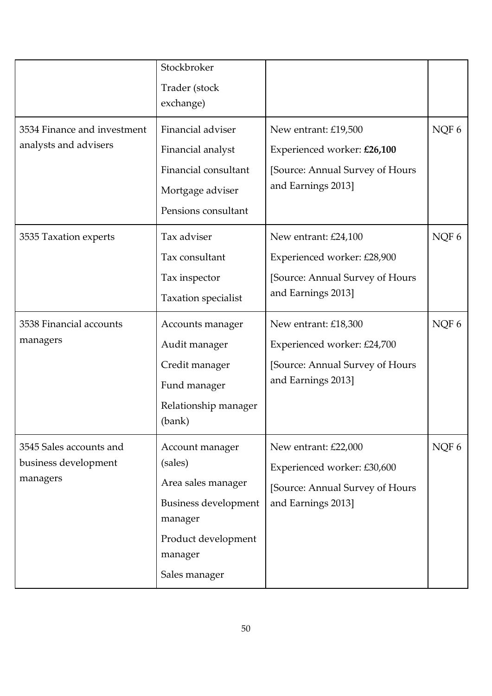|                                                              | Stockbroker<br>Trader (stock<br>exchange)                                                                                              |                                                                                                                                      |                |
|--------------------------------------------------------------|----------------------------------------------------------------------------------------------------------------------------------------|--------------------------------------------------------------------------------------------------------------------------------------|----------------|
| 3534 Finance and investment<br>analysts and advisers         | Financial adviser<br>Financial analyst<br>Financial consultant<br>Mortgage adviser<br>Pensions consultant                              | New entrant: £19,500<br>Experienced worker: £26,100<br>[Source: Annual Survey of Hours<br>and Earnings 2013]                         | NQF 6          |
| 3535 Taxation experts<br>3538 Financial accounts<br>managers | Tax adviser<br>Tax consultant<br>Tax inspector<br>Taxation specialist<br>Accounts manager                                              | New entrant: £24,100<br>Experienced worker: £28,900<br>[Source: Annual Survey of Hours<br>and Earnings 2013]<br>New entrant: £18,300 | NQF 6<br>NQF 6 |
|                                                              | Audit manager<br>Credit manager<br>Fund manager<br>Relationship manager<br>(bank)                                                      | Experienced worker: £24,700<br>[Source: Annual Survey of Hours<br>and Earnings 2013]                                                 |                |
| 3545 Sales accounts and<br>business development<br>managers  | Account manager<br>(sales)<br>Area sales manager<br>Business development<br>manager<br>Product development<br>manager<br>Sales manager | New entrant: £22,000<br>Experienced worker: £30,600<br>[Source: Annual Survey of Hours<br>and Earnings 2013]                         | NQF 6          |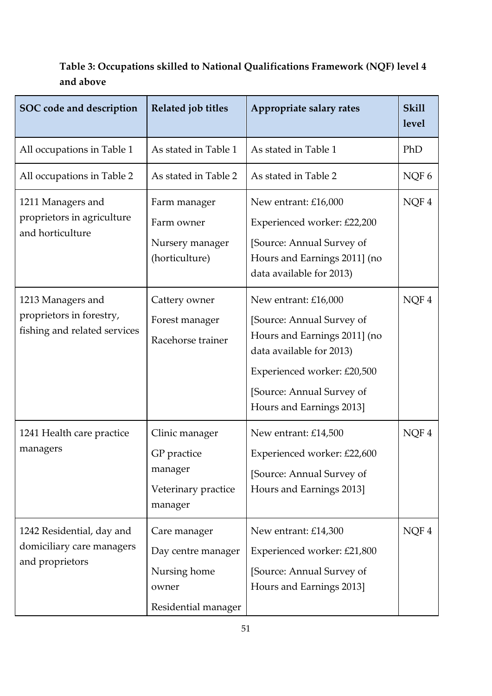## **SOC code and description** Related job titles Appropriate salary rates [Skill] **level**  All occupations in Table 1  $|$  As stated in Table 1  $|$  As stated in Table 1  $|$  PhD All occupations in Table 2 As stated in Table 2 As stated in Table 2 NQF 6 1211 Managers and proprietors in agriculture and horticulture Farm manager Farm owner Nursery manager (horticulture) New entrant: £16,000 Experienced worker: £22,200 [Source: Annual Survey of Hours and Earnings 2011] (no data available for 2013) NQF 4 1213 Managers and proprietors in forestry, fishing and related services Cattery owner Forest manager Racehorse trainer New entrant: £16,000 [Source: Annual Survey of Hours and Earnings 2011] (no data available for 2013) Experienced worker: £20,500 [Source: Annual Survey of Hours and Earnings 2013] NQF 4 1241 Health care practice managers Clinic manager GP practice manager Veterinary practice manager New entrant: £14,500 Experienced worker: £22,600 [Source: Annual Survey of Hours and Earnings 2013] NQF 4 1242 Residential, day and domiciliary care managers and proprietors Care manager Day centre manager Nursing home owner Residential manager New entrant: £14,300 Experienced worker: £21,800 [Source: Annual Survey of Hours and Earnings 2013] NQF 4

## **Table 3: Occupations skilled to National Qualifications Framework (NQF) level 4 and above**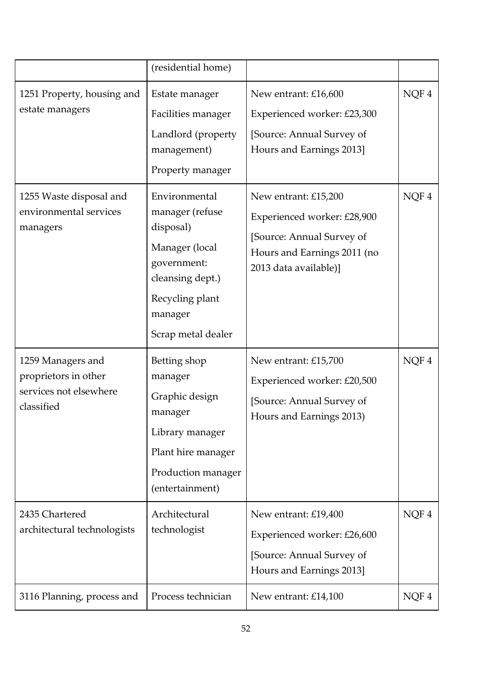|                                                                                   | (residential home)                                                                                                                                     |                                                                                                                                          |      |
|-----------------------------------------------------------------------------------|--------------------------------------------------------------------------------------------------------------------------------------------------------|------------------------------------------------------------------------------------------------------------------------------------------|------|
| 1251 Property, housing and<br>estate managers                                     | Estate manager<br>Facilities manager<br>Landlord (property<br>management)<br>Property manager                                                          | New entrant: £16,600<br>Experienced worker: £23,300<br>[Source: Annual Survey of<br>Hours and Earnings 2013]                             | NQF4 |
| 1255 Waste disposal and<br>environmental services<br>managers                     | Environmental<br>manager (refuse<br>disposal)<br>Manager (local<br>government:<br>cleansing dept.)<br>Recycling plant<br>manager<br>Scrap metal dealer | New entrant: £15,200<br>Experienced worker: £28,900<br>[Source: Annual Survey of<br>Hours and Earnings 2011 (no<br>2013 data available)] | NQF4 |
| 1259 Managers and<br>proprietors in other<br>services not elsewhere<br>classified | Betting shop<br>manager<br>Graphic design<br>manager<br>Library manager<br>Plant hire manager<br>Production manager<br>(entertainment)                 | New entrant: £15,700<br>Experienced worker: £20,500<br>[Source: Annual Survey of<br>Hours and Earnings 2013)                             | NQF4 |
| 2435 Chartered<br>architectural technologists                                     | Architectural<br>technologist                                                                                                                          | New entrant: £19,400<br>Experienced worker: £26,600<br>[Source: Annual Survey of<br>Hours and Earnings 2013]                             | NQF4 |
| 3116 Planning, process and                                                        | Process technician                                                                                                                                     | New entrant: £14,100                                                                                                                     | NQF4 |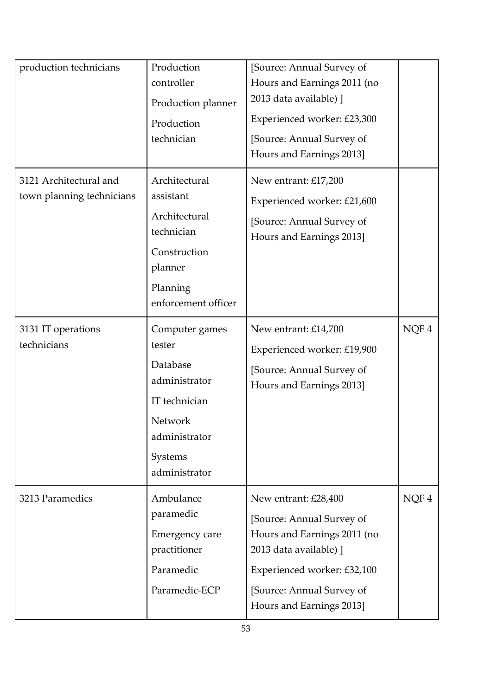| production technicians                              | Production<br>controller<br>Production planner<br>Production<br>technician                                                     | [Source: Annual Survey of<br>Hours and Earnings 2011 (no<br>2013 data available) ]<br>Experienced worker: £23,300<br>[Source: Annual Survey of<br>Hours and Earnings 2013]                         |      |
|-----------------------------------------------------|--------------------------------------------------------------------------------------------------------------------------------|----------------------------------------------------------------------------------------------------------------------------------------------------------------------------------------------------|------|
| 3121 Architectural and<br>town planning technicians | Architectural<br>assistant<br>Architectural<br>technician<br>Construction<br>planner<br>Planning<br>enforcement officer        | New entrant: £17,200<br>Experienced worker: £21,600<br>[Source: Annual Survey of<br>Hours and Earnings 2013]                                                                                       |      |
| 3131 IT operations<br>technicians                   | Computer games<br>tester<br>Database<br>administrator<br>IT technician<br>Network<br>administrator<br>Systems<br>administrator | New entrant: £14,700<br>Experienced worker: £19,900<br>[Source: Annual Survey of<br>Hours and Earnings 2013]                                                                                       | NQF4 |
| 3213 Paramedics                                     | Ambulance<br>paramedic<br>Emergency care<br>practitioner<br>Paramedic<br>Paramedic-ECP                                         | New entrant: £28,400<br>[Source: Annual Survey of<br>Hours and Earnings 2011 (no<br>2013 data available) ]<br>Experienced worker: £32,100<br>[Source: Annual Survey of<br>Hours and Earnings 2013] | NQF4 |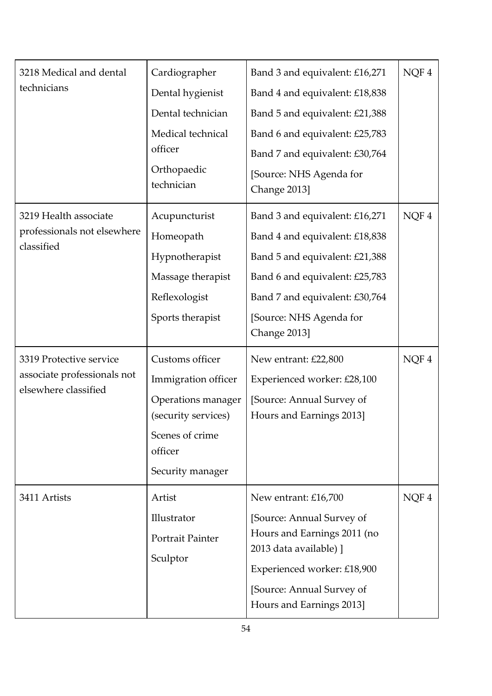| 3218 Medical and dental<br>technicians                                         | Cardiographer<br>Dental hygienist<br>Dental technician<br>Medical technical<br>officer<br>Orthopaedic<br>technician                   | Band 3 and equivalent: £16,271<br>Band 4 and equivalent: £18,838<br>Band 5 and equivalent: £21,388<br>Band 6 and equivalent: £25,783<br>Band 7 and equivalent: £30,764<br>[Source: NHS Agenda for<br>Change 2013] | NQF4 |
|--------------------------------------------------------------------------------|---------------------------------------------------------------------------------------------------------------------------------------|-------------------------------------------------------------------------------------------------------------------------------------------------------------------------------------------------------------------|------|
| 3219 Health associate<br>professionals not elsewhere<br>classified             | Acupuncturist<br>Homeopath<br>Hypnotherapist<br>Massage therapist<br>Reflexologist<br>Sports therapist                                | Band 3 and equivalent: £16,271<br>Band 4 and equivalent: £18,838<br>Band 5 and equivalent: £21,388<br>Band 6 and equivalent: £25,783<br>Band 7 and equivalent: £30,764<br>[Source: NHS Agenda for<br>Change 2013] | NQF4 |
| 3319 Protective service<br>associate professionals not<br>elsewhere classified | Customs officer<br>Immigration officer<br>Operations manager<br>(security services)<br>Scenes of crime<br>officer<br>Security manager | New entrant: £22,800<br>Experienced worker: £28,100<br>[Source: Annual Survey of<br>Hours and Earnings 2013]                                                                                                      | NQF4 |
| 3411 Artists                                                                   | Artist<br>Illustrator<br>Portrait Painter<br>Sculptor                                                                                 | New entrant: £16,700<br>[Source: Annual Survey of<br>Hours and Earnings 2011 (no<br>2013 data available) ]<br>Experienced worker: £18,900<br>[Source: Annual Survey of<br>Hours and Earnings 2013]                | NQF4 |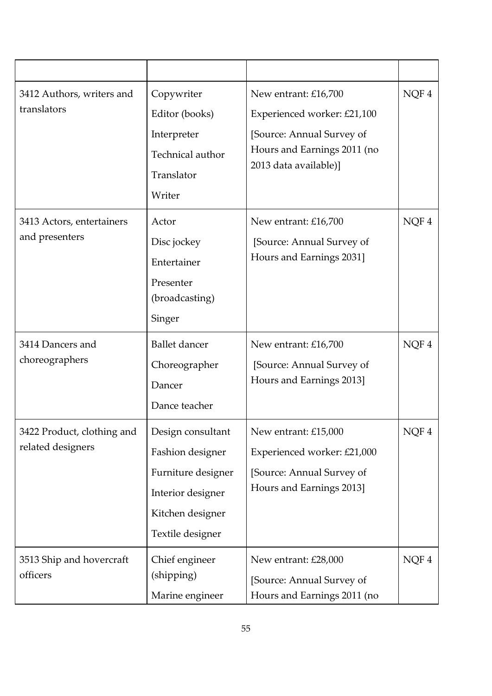| 3412 Authors, writers and<br>translators        | Copywriter<br>Editor (books)<br>Interpreter<br>Technical author<br>Translator<br>Writer                                  | New entrant: £16,700<br>Experienced worker: £21,100<br>[Source: Annual Survey of<br>Hours and Earnings 2011 (no<br>2013 data available)] | NQF4 |
|-------------------------------------------------|--------------------------------------------------------------------------------------------------------------------------|------------------------------------------------------------------------------------------------------------------------------------------|------|
| 3413 Actors, entertainers<br>and presenters     | Actor<br>Disc jockey<br>Entertainer<br>Presenter<br>(broadcasting)<br>Singer                                             | New entrant: £16,700<br>[Source: Annual Survey of<br>Hours and Earnings 2031]                                                            | NQF4 |
| 3414 Dancers and<br>choreographers              | <b>Ballet</b> dancer<br>Choreographer<br>Dancer<br>Dance teacher                                                         | New entrant: £16,700<br>[Source: Annual Survey of<br>Hours and Earnings 2013]                                                            | NQF4 |
| 3422 Product, clothing and<br>related designers | Design consultant<br>Fashion designer<br>Furniture designer<br>Interior designer<br>Kitchen designer<br>Textile designer | New entrant: £15,000<br>Experienced worker: £21,000<br>[Source: Annual Survey of<br>Hours and Earnings 2013]                             | NQF4 |
| 3513 Ship and hovercraft<br>officers            | Chief engineer<br>(shipping)<br>Marine engineer                                                                          | New entrant: £28,000<br>[Source: Annual Survey of<br>Hours and Earnings 2011 (no                                                         | NQF4 |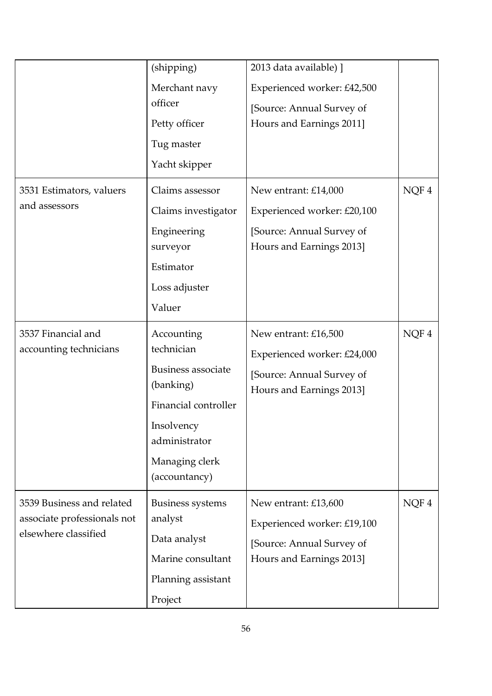|                             | (shipping)                | 2013 data available) ]      |      |
|-----------------------------|---------------------------|-----------------------------|------|
|                             | Merchant navy             | Experienced worker: £42,500 |      |
|                             | officer                   | [Source: Annual Survey of   |      |
|                             | Petty officer             | Hours and Earnings 2011]    |      |
|                             | Tug master                |                             |      |
|                             | Yacht skipper             |                             |      |
| 3531 Estimators, valuers    | Claims assessor           | New entrant: £14,000        | NQF4 |
| and assessors               | Claims investigator       | Experienced worker: £20,100 |      |
|                             | Engineering               | [Source: Annual Survey of   |      |
|                             | surveyor                  | Hours and Earnings 2013]    |      |
|                             | Estimator                 |                             |      |
|                             | Loss adjuster             |                             |      |
|                             | Valuer                    |                             |      |
| 3537 Financial and          | Accounting                | New entrant: £16,500        | NQF4 |
| accounting technicians      | technician                | Experienced worker: £24,000 |      |
|                             | <b>Business associate</b> | [Source: Annual Survey of   |      |
|                             | (banking)                 | Hours and Earnings 2013]    |      |
|                             | Financial controller      |                             |      |
|                             | Insolvency                |                             |      |
|                             | administrator             |                             |      |
|                             | Managing clerk            |                             |      |
|                             | (accountancy)             |                             |      |
| 3539 Business and related   | <b>Business systems</b>   | New entrant: £13,600        | NQF4 |
| associate professionals not | analyst                   | Experienced worker: £19,100 |      |
| elsewhere classified        | Data analyst              | [Source: Annual Survey of   |      |
|                             | Marine consultant         | Hours and Earnings 2013]    |      |
|                             | Planning assistant        |                             |      |
|                             | Project                   |                             |      |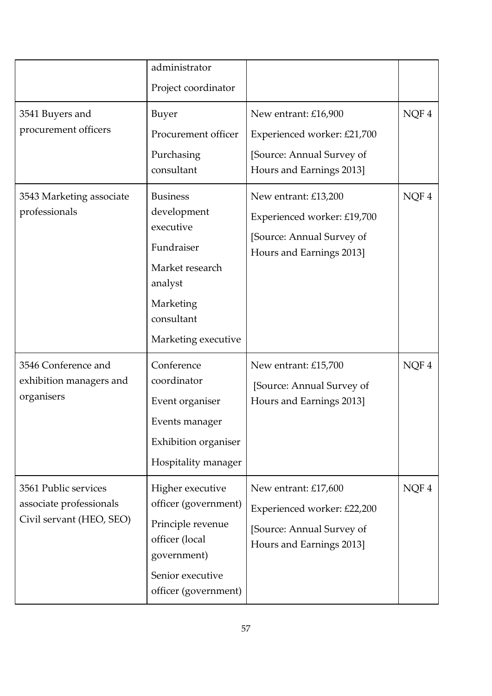|                                                                             | administrator<br>Project coordinator                                                                                                       |                                                                                                              |      |
|-----------------------------------------------------------------------------|--------------------------------------------------------------------------------------------------------------------------------------------|--------------------------------------------------------------------------------------------------------------|------|
| 3541 Buyers and<br>procurement officers                                     | <b>Buyer</b><br>Procurement officer<br>Purchasing<br>consultant                                                                            | New entrant: £16,900<br>Experienced worker: £21,700<br>[Source: Annual Survey of<br>Hours and Earnings 2013] | NQF4 |
| 3543 Marketing associate<br>professionals                                   | <b>Business</b><br>development<br>executive<br>Fundraiser<br>Market research<br>analyst<br>Marketing<br>consultant<br>Marketing executive  | New entrant: £13,200<br>Experienced worker: £19,700<br>[Source: Annual Survey of<br>Hours and Earnings 2013] | NQF4 |
| 3546 Conference and<br>exhibition managers and<br>organisers                | Conference<br>coordinator<br>Event organiser<br>Events manager<br>Exhibition organiser<br>Hospitality manager                              | New entrant: £15,700<br>[Source: Annual Survey of<br>Hours and Earnings 2013]                                | NQF4 |
| 3561 Public services<br>associate professionals<br>Civil servant (HEO, SEO) | Higher executive<br>officer (government)<br>Principle revenue<br>officer (local<br>government)<br>Senior executive<br>officer (government) | New entrant: £17,600<br>Experienced worker: £22,200<br>[Source: Annual Survey of<br>Hours and Earnings 2013] | NQF4 |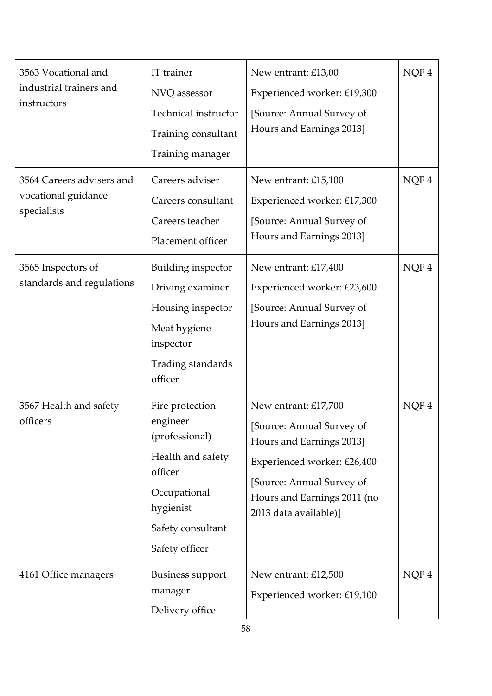| 3563 Vocational and<br>industrial trainers and<br>instructors   | IT trainer<br>NVQ assessor<br>Technical instructor<br>Training consultant<br>Training manager                                                     | New entrant: £13,00<br>Experienced worker: £19,300<br>[Source: Annual Survey of<br>Hours and Earnings 2013]                                                                                       | NQF4 |
|-----------------------------------------------------------------|---------------------------------------------------------------------------------------------------------------------------------------------------|---------------------------------------------------------------------------------------------------------------------------------------------------------------------------------------------------|------|
| 3564 Careers advisers and<br>vocational guidance<br>specialists | Careers adviser<br>Careers consultant<br>Careers teacher<br>Placement officer                                                                     | New entrant: £15,100<br>Experienced worker: £17,300<br>[Source: Annual Survey of<br>Hours and Earnings 2013]                                                                                      | NQF4 |
| 3565 Inspectors of<br>standards and regulations                 | Building inspector<br>Driving examiner<br>Housing inspector<br>Meat hygiene<br>inspector<br>Trading standards<br>officer                          | New entrant: £17,400<br>Experienced worker: £23,600<br>[Source: Annual Survey of<br>Hours and Earnings 2013]                                                                                      | NQF4 |
| 3567 Health and safety<br>officers                              | Fire protection<br>engineer<br>(professional)<br>Health and safety<br>officer<br>Occupational<br>hygienist<br>Safety consultant<br>Safety officer | New entrant: £17,700<br>[Source: Annual Survey of<br>Hours and Earnings 2013]<br>Experienced worker: £26,400<br>[Source: Annual Survey of<br>Hours and Earnings 2011 (no<br>2013 data available)] | NQF4 |
| 4161 Office managers                                            | <b>Business support</b><br>manager<br>Delivery office                                                                                             | New entrant: £12,500<br>Experienced worker: £19,100                                                                                                                                               | NQF4 |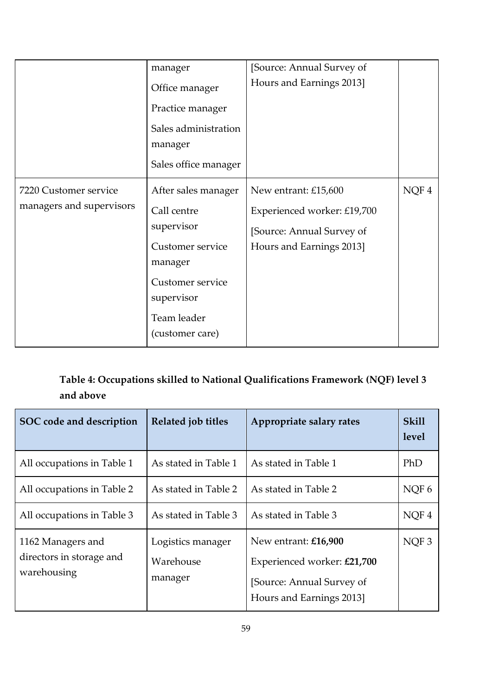|                                                   | manager<br>Office manager<br>Practice manager<br>Sales administration<br>manager<br>Sales office manager                                            | [Source: Annual Survey of<br>Hours and Earnings 2013]                                                        |      |
|---------------------------------------------------|-----------------------------------------------------------------------------------------------------------------------------------------------------|--------------------------------------------------------------------------------------------------------------|------|
| 7220 Customer service<br>managers and supervisors | After sales manager<br>Call centre<br>supervisor<br>Customer service<br>manager<br>Customer service<br>supervisor<br>Team leader<br>(customer care) | New entrant: £15,600<br>Experienced worker: £19,700<br>[Source: Annual Survey of<br>Hours and Earnings 2013] | NQF4 |

## **Table 4: Occupations skilled to National Qualifications Framework (NQF) level 3 and above**

| SOC code and description                                     | Related job titles                        | Appropriate salary rates                                                                                     | <b>Skill</b><br>level |
|--------------------------------------------------------------|-------------------------------------------|--------------------------------------------------------------------------------------------------------------|-----------------------|
| All occupations in Table 1                                   | As stated in Table 1                      | As stated in Table 1                                                                                         | PhD                   |
| All occupations in Table 2                                   | As stated in Table 2                      | As stated in Table 2                                                                                         | NOF <sub>6</sub>      |
| All occupations in Table 3                                   | As stated in Table 3                      | As stated in Table 3                                                                                         | NOF <sub>4</sub>      |
| 1162 Managers and<br>directors in storage and<br>warehousing | Logistics manager<br>Warehouse<br>manager | New entrant: £16,900<br>Experienced worker: £21,700<br>[Source: Annual Survey of<br>Hours and Earnings 2013] | NOF <sub>3</sub>      |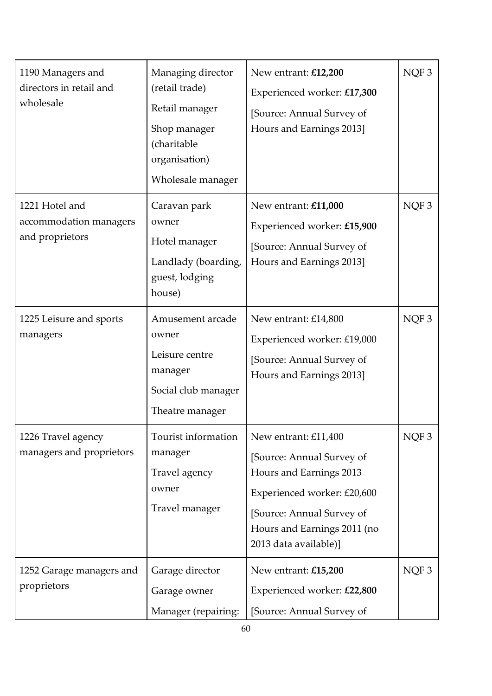| 1190 Managers and<br>directors in retail and<br>wholesale   | Managing director<br>(retail trade)<br>Retail manager<br>Shop manager<br>(charitable<br>organisation)<br>Wholesale manager | New entrant: £12,200<br>Experienced worker: £17,300<br>[Source: Annual Survey of<br>Hours and Earnings 2013]                                                                                     | NQF3             |
|-------------------------------------------------------------|----------------------------------------------------------------------------------------------------------------------------|--------------------------------------------------------------------------------------------------------------------------------------------------------------------------------------------------|------------------|
| 1221 Hotel and<br>accommodation managers<br>and proprietors | Caravan park<br>owner<br>Hotel manager<br>Landlady (boarding,<br>guest, lodging<br>house)                                  | New entrant: £11,000<br>Experienced worker: £15,900<br>[Source: Annual Survey of<br>Hours and Earnings 2013]                                                                                     | NQF <sub>3</sub> |
| 1225 Leisure and sports<br>managers                         | Amusement arcade<br>owner<br>Leisure centre<br>manager<br>Social club manager<br>Theatre manager                           | New entrant: £14,800<br>Experienced worker: £19,000<br>[Source: Annual Survey of<br>Hours and Earnings 2013]                                                                                     | NQF <sub>3</sub> |
| 1226 Travel agency<br>managers and proprietors              | Tourist information<br>manager<br>Travel agency<br>owner<br>Travel manager                                                 | New entrant: £11,400<br>[Source: Annual Survey of<br>Hours and Earnings 2013<br>Experienced worker: £20,600<br>[Source: Annual Survey of<br>Hours and Earnings 2011 (no<br>2013 data available)] | NQF <sub>3</sub> |
| 1252 Garage managers and<br>proprietors                     | Garage director<br>Garage owner<br>Manager (repairing:                                                                     | New entrant: £15,200<br>Experienced worker: £22,800<br>[Source: Annual Survey of                                                                                                                 | $\rm NQF$ 3      |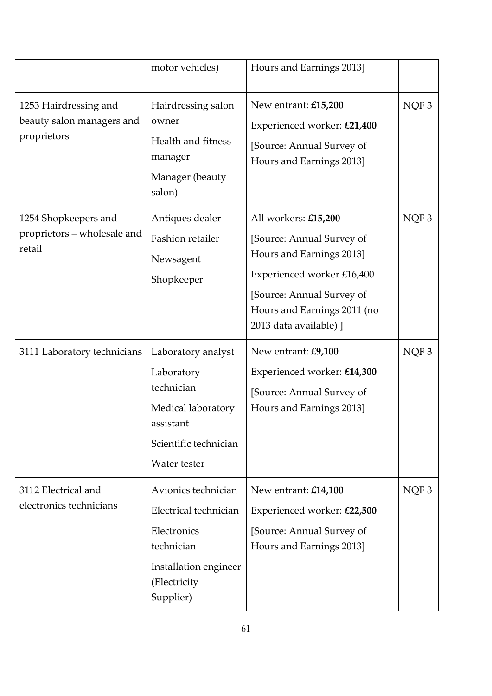|                                                                   | motor vehicles)                                                                                                                 | Hours and Earnings 2013]                                                                                                                                                                          |                  |
|-------------------------------------------------------------------|---------------------------------------------------------------------------------------------------------------------------------|---------------------------------------------------------------------------------------------------------------------------------------------------------------------------------------------------|------------------|
| 1253 Hairdressing and<br>beauty salon managers and<br>proprietors | Hairdressing salon<br>owner<br>Health and fitness<br>manager<br>Manager (beauty<br>salon)                                       | New entrant: £15,200<br>Experienced worker: £21,400<br>[Source: Annual Survey of<br>Hours and Earnings 2013]                                                                                      | NQF3             |
| 1254 Shopkeepers and<br>proprietors - wholesale and<br>retail     | Antiques dealer<br>Fashion retailer<br>Newsagent<br>Shopkeeper                                                                  | All workers: £15,200<br>[Source: Annual Survey of<br>Hours and Earnings 2013]<br>Experienced worker £16,400<br>[Source: Annual Survey of<br>Hours and Earnings 2011 (no<br>2013 data available) ] | NQF3             |
| 3111 Laboratory technicians                                       | Laboratory analyst<br>Laboratory<br>technician<br>Medical laboratory<br>assistant<br>Scientific technician<br>Water tester      | New entrant: £9,100<br>Experienced worker: £14,300<br>[Source: Annual Survey of<br>Hours and Earnings 2013]                                                                                       | NQF3             |
| 3112 Electrical and<br>electronics technicians                    | Avionics technician<br>Electrical technician<br>Electronics<br>technician<br>Installation engineer<br>(Electricity<br>Supplier) | New entrant: £14,100<br>Experienced worker: £22,500<br>[Source: Annual Survey of<br>Hours and Earnings 2013]                                                                                      | NQF <sub>3</sub> |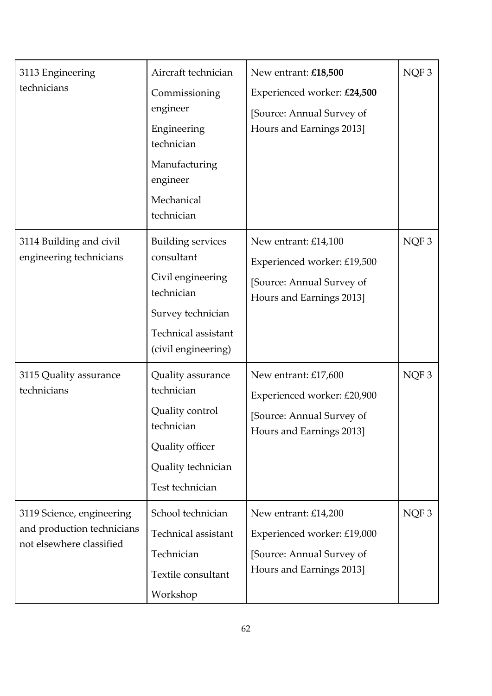| 3113 Engineering<br>technicians                                                     | Aircraft technician<br>Commissioning<br>engineer<br>Engineering<br>technician<br>Manufacturing<br>engineer<br>Mechanical<br>technician       | New entrant: £18,500<br>Experienced worker: £24,500<br>[Source: Annual Survey of<br>Hours and Earnings 2013] | NQF3             |
|-------------------------------------------------------------------------------------|----------------------------------------------------------------------------------------------------------------------------------------------|--------------------------------------------------------------------------------------------------------------|------------------|
| 3114 Building and civil<br>engineering technicians                                  | <b>Building services</b><br>consultant<br>Civil engineering<br>technician<br>Survey technician<br>Technical assistant<br>(civil engineering) | New entrant: £14,100<br>Experienced worker: £19,500<br>[Source: Annual Survey of<br>Hours and Earnings 2013] | NQF3             |
| 3115 Quality assurance<br>technicians                                               | Quality assurance<br>technician<br>Quality control<br>technician<br>Quality officer<br>Quality technician<br>Test technician                 | New entrant: £17,600<br>Experienced worker: £20,900<br>[Source: Annual Survey of<br>Hours and Earnings 2013] | NQF <sub>3</sub> |
| 3119 Science, engineering<br>and production technicians<br>not elsewhere classified | School technician<br>Technical assistant<br>Technician<br>Textile consultant<br>Workshop                                                     | New entrant: £14,200<br>Experienced worker: £19,000<br>[Source: Annual Survey of<br>Hours and Earnings 2013] | NQF <sub>3</sub> |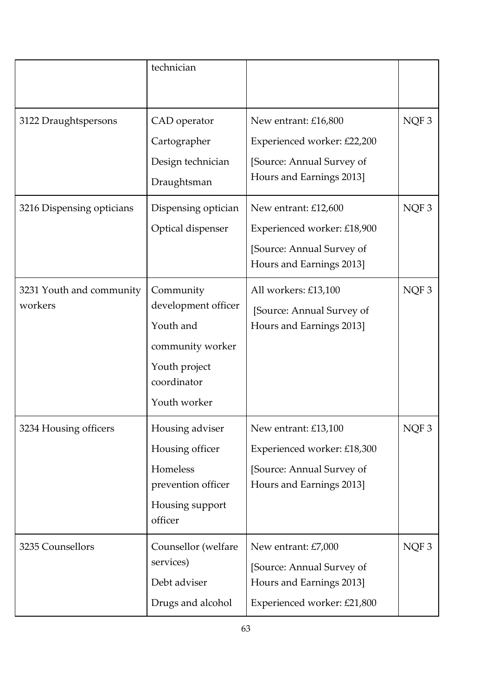|                           | technician                 |                             |                  |
|---------------------------|----------------------------|-----------------------------|------------------|
|                           |                            |                             |                  |
| 3122 Draughtspersons      | CAD operator               | New entrant: £16,800        | NQF3             |
|                           | Cartographer               | Experienced worker: £22,200 |                  |
|                           | Design technician          | [Source: Annual Survey of   |                  |
|                           | Draughtsman                | Hours and Earnings 2013]    |                  |
| 3216 Dispensing opticians | Dispensing optician        | New entrant: £12,600        | NQF <sub>3</sub> |
|                           | Optical dispenser          | Experienced worker: £18,900 |                  |
|                           |                            | [Source: Annual Survey of   |                  |
|                           |                            | Hours and Earnings 2013]    |                  |
| 3231 Youth and community  | Community                  | All workers: £13,100        | NQF3             |
| workers                   | development officer        | [Source: Annual Survey of   |                  |
|                           | Youth and                  | Hours and Earnings 2013]    |                  |
|                           | community worker           |                             |                  |
|                           | Youth project              |                             |                  |
|                           | coordinator                |                             |                  |
|                           | Youth worker               |                             |                  |
| 3234 Housing officers     | Housing adviser            | New entrant: £13,100        | NQF3             |
|                           | Housing officer            | Experienced worker: £18,300 |                  |
|                           | Homeless                   | [Source: Annual Survey of   |                  |
|                           | prevention officer         | Hours and Earnings 2013]    |                  |
|                           | Housing support<br>officer |                             |                  |
| 3235 Counsellors          | Counsellor (welfare        | New entrant: £7,000         | NQF3             |
|                           | services)                  | [Source: Annual Survey of   |                  |
|                           | Debt adviser               | Hours and Earnings 2013]    |                  |
|                           | Drugs and alcohol          | Experienced worker: £21,800 |                  |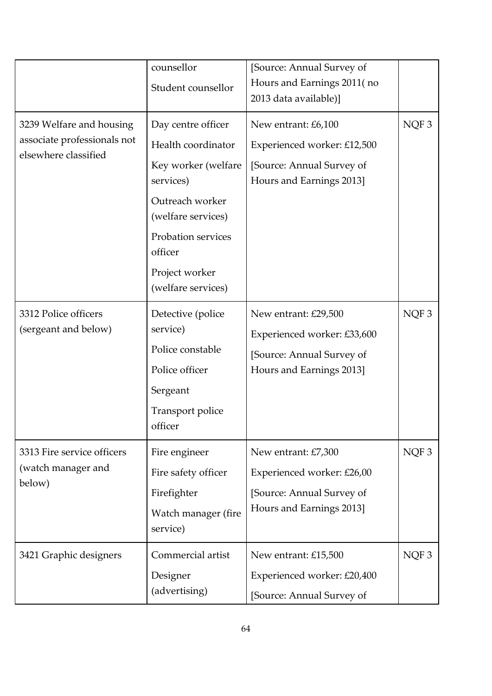|                                                                                 | counsellor<br>Student counsellor                                                                                                                                                               | [Source: Annual Survey of<br>Hours and Earnings 2011(no<br>2013 data available)]                             |      |
|---------------------------------------------------------------------------------|------------------------------------------------------------------------------------------------------------------------------------------------------------------------------------------------|--------------------------------------------------------------------------------------------------------------|------|
| 3239 Welfare and housing<br>associate professionals not<br>elsewhere classified | Day centre officer<br>Health coordinator<br>Key worker (welfare<br>services)<br>Outreach worker<br>(welfare services)<br>Probation services<br>officer<br>Project worker<br>(welfare services) | New entrant: £6,100<br>Experienced worker: £12,500<br>[Source: Annual Survey of<br>Hours and Earnings 2013]  | NQF3 |
| 3312 Police officers<br>(sergeant and below)                                    | Detective (police<br>service)<br>Police constable<br>Police officer<br>Sergeant<br>Transport police<br>officer                                                                                 | New entrant: £29,500<br>Experienced worker: £33,600<br>[Source: Annual Survey of<br>Hours and Earnings 2013] | NQF3 |
| 3313 Fire service officers<br>(watch manager and<br>below)                      | Fire engineer<br>Fire safety officer<br>Firefighter<br>Watch manager (fire<br>service)                                                                                                         | New entrant: £7,300<br>Experienced worker: £26,00<br>[Source: Annual Survey of<br>Hours and Earnings 2013]   | NQF3 |
| 3421 Graphic designers                                                          | Commercial artist<br>Designer<br>(advertising)                                                                                                                                                 | New entrant: £15,500<br>Experienced worker: £20,400<br>[Source: Annual Survey of                             | NQF3 |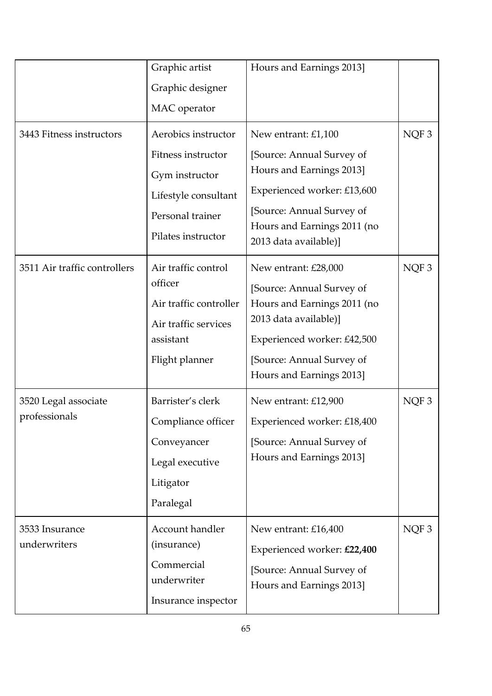|                                       | Graphic artist<br>Graphic designer<br>MAC operator                                                                            | Hours and Earnings 2013]                                                                                                                                                                          |                  |
|---------------------------------------|-------------------------------------------------------------------------------------------------------------------------------|---------------------------------------------------------------------------------------------------------------------------------------------------------------------------------------------------|------------------|
| 3443 Fitness instructors              | Aerobics instructor<br>Fitness instructor<br>Gym instructor<br>Lifestyle consultant<br>Personal trainer<br>Pilates instructor | New entrant: £1,100<br>[Source: Annual Survey of<br>Hours and Earnings 2013]<br>Experienced worker: £13,600<br>[Source: Annual Survey of<br>Hours and Earnings 2011 (no<br>2013 data available)]  | NQF <sub>3</sub> |
| 3511 Air traffic controllers          | Air traffic control<br>officer<br>Air traffic controller<br>Air traffic services<br>assistant<br>Flight planner               | New entrant: £28,000<br>[Source: Annual Survey of<br>Hours and Earnings 2011 (no<br>2013 data available)]<br>Experienced worker: £42,500<br>[Source: Annual Survey of<br>Hours and Earnings 2013] | NQF3             |
| 3520 Legal associate<br>professionals | Barrister's clerk<br>Compliance officer<br>Conveyancer<br>Legal executive<br>Litigator<br>Paralegal                           | New entrant: £12,900<br>Experienced worker: £18,400<br>[Source: Annual Survey of<br>Hours and Earnings 2013]                                                                                      | NQF <sub>3</sub> |
| 3533 Insurance<br>underwriters        | Account handler<br>(insurance)<br>Commercial<br>underwriter<br>Insurance inspector                                            | New entrant: £16,400<br>Experienced worker: £22,400<br>[Source: Annual Survey of<br>Hours and Earnings 2013]                                                                                      | NQF <sub>3</sub> |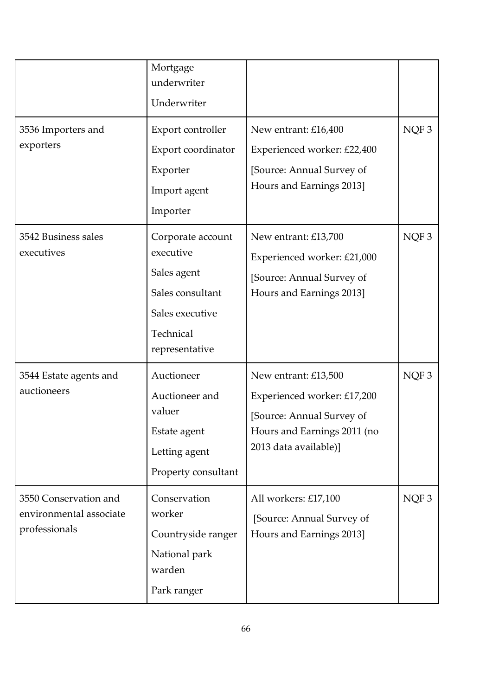|                                                                   | Mortgage<br>underwriter<br>Underwriter                                                                              |                                                                                                                                          |                  |
|-------------------------------------------------------------------|---------------------------------------------------------------------------------------------------------------------|------------------------------------------------------------------------------------------------------------------------------------------|------------------|
| 3536 Importers and<br>exporters                                   | Export controller<br>Export coordinator<br>Exporter<br>Import agent<br>Importer                                     | New entrant: £16,400<br>Experienced worker: £22,400<br>[Source: Annual Survey of<br>Hours and Earnings 2013]                             | NQF <sub>3</sub> |
| 3542 Business sales<br>executives                                 | Corporate account<br>executive<br>Sales agent<br>Sales consultant<br>Sales executive<br>Technical<br>representative | New entrant: £13,700<br>Experienced worker: £21,000<br>[Source: Annual Survey of<br>Hours and Earnings 2013]                             | NQF <sub>3</sub> |
| 3544 Estate agents and<br>auctioneers                             | Auctioneer<br>Auctioneer and<br>valuer<br>Estate agent<br>Letting agent<br>Property consultant                      | New entrant: £13,500<br>Experienced worker: £17,200<br>[Source: Annual Survey of<br>Hours and Earnings 2011 (no<br>2013 data available)] | NQF <sub>3</sub> |
| 3550 Conservation and<br>environmental associate<br>professionals | Conservation<br>worker<br>Countryside ranger<br>National park<br>warden<br>Park ranger                              | All workers: £17,100<br>[Source: Annual Survey of<br>Hours and Earnings 2013]                                                            | NQF <sub>3</sub> |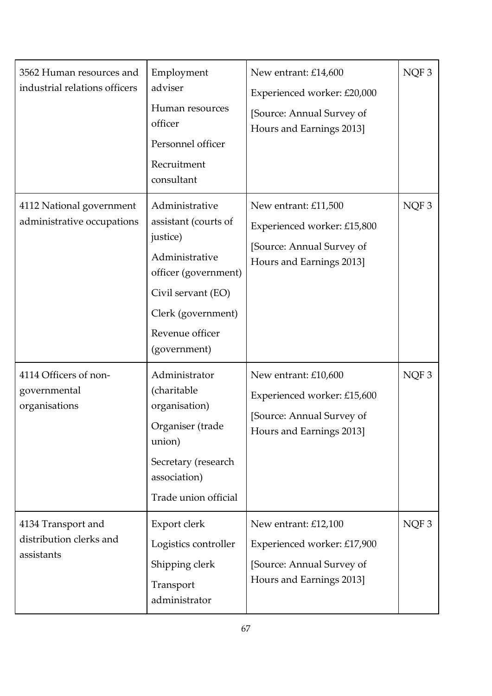| 3562 Human resources and<br>industrial relations officers   | Employment<br>adviser<br>Human resources<br>officer<br>Personnel officer<br>Recruitment<br>consultant                                                                       | New entrant: £14,600<br>Experienced worker: £20,000<br>[Source: Annual Survey of<br>Hours and Earnings 2013] | NQF3             |
|-------------------------------------------------------------|-----------------------------------------------------------------------------------------------------------------------------------------------------------------------------|--------------------------------------------------------------------------------------------------------------|------------------|
| 4112 National government<br>administrative occupations      | Administrative<br>assistant (courts of<br>justice)<br>Administrative<br>officer (government)<br>Civil servant (EO)<br>Clerk (government)<br>Revenue officer<br>(government) | New entrant: £11,500<br>Experienced worker: £15,800<br>[Source: Annual Survey of<br>Hours and Earnings 2013] | NQF <sub>3</sub> |
| 4114 Officers of non-<br>governmental<br>organisations      | Administrator<br>(charitable<br>organisation)<br>Organiser (trade<br>union)<br>Secretary (research<br>association)<br>Trade union official                                  | New entrant: £10,600<br>Experienced worker: £15,600<br>[Source: Annual Survey of<br>Hours and Earnings 2013] | NQF3             |
| 4134 Transport and<br>distribution clerks and<br>assistants | Export clerk<br>Logistics controller<br>Shipping clerk<br>Transport<br>administrator                                                                                        | New entrant: £12,100<br>Experienced worker: £17,900<br>[Source: Annual Survey of<br>Hours and Earnings 2013] | NQF3             |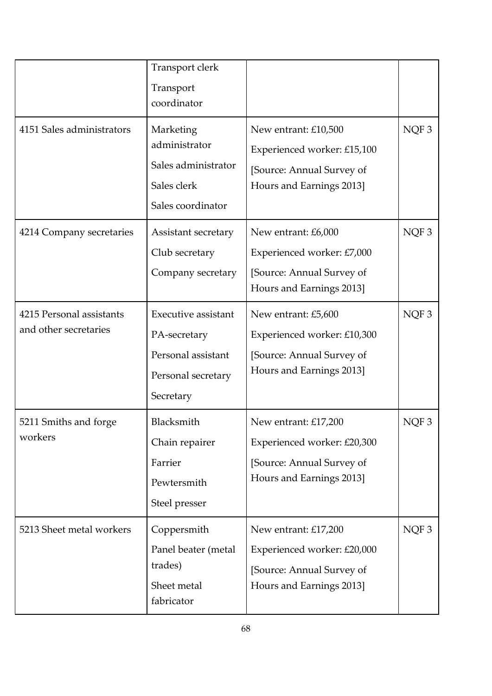|                                                   | Transport clerk<br>Transport<br>coordinator                                                         |                                                                                                              |                  |
|---------------------------------------------------|-----------------------------------------------------------------------------------------------------|--------------------------------------------------------------------------------------------------------------|------------------|
| 4151 Sales administrators                         | Marketing<br>administrator<br>Sales administrator<br>Sales clerk<br>Sales coordinator               | New entrant: £10,500<br>Experienced worker: £15,100<br>[Source: Annual Survey of<br>Hours and Earnings 2013] | NQF3             |
| 4214 Company secretaries                          | Assistant secretary<br>Club secretary<br>Company secretary                                          | New entrant: £6,000<br>Experienced worker: £7,000<br>[Source: Annual Survey of<br>Hours and Earnings 2013]   | NQF3             |
| 4215 Personal assistants<br>and other secretaries | <b>Executive assistant</b><br>PA-secretary<br>Personal assistant<br>Personal secretary<br>Secretary | New entrant: £5,600<br>Experienced worker: £10,300<br>[Source: Annual Survey of<br>Hours and Earnings 2013]  | NQF <sub>3</sub> |
| 5211 Smiths and forge<br>workers                  | Blacksmith<br>Chain repairer<br>Farrier<br>Pewtersmith<br>Steel presser                             | New entrant: £17,200<br>Experienced worker: £20,300<br>[Source: Annual Survey of<br>Hours and Earnings 2013] | NQF <sub>3</sub> |
| 5213 Sheet metal workers                          | Coppersmith<br>Panel beater (metal<br>trades)<br>Sheet metal<br>fabricator                          | New entrant: £17,200<br>Experienced worker: £20,000<br>[Source: Annual Survey of<br>Hours and Earnings 2013] | NQF3             |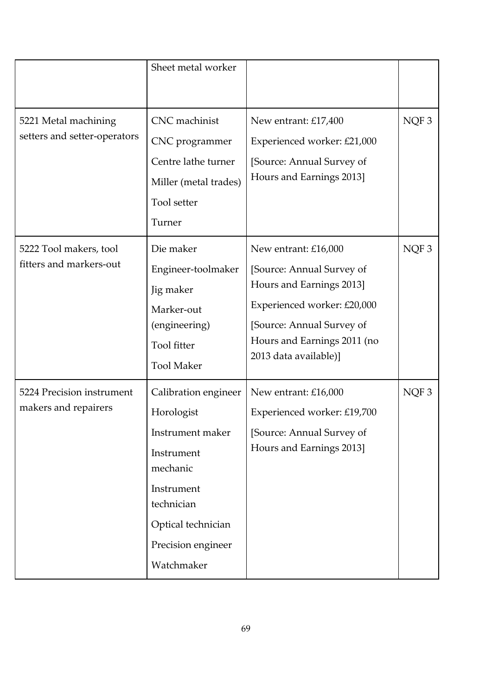|                                                      | Sheet metal worker                                                                                                                                                     |                                                                                                                                                                                                   |      |
|------------------------------------------------------|------------------------------------------------------------------------------------------------------------------------------------------------------------------------|---------------------------------------------------------------------------------------------------------------------------------------------------------------------------------------------------|------|
| 5221 Metal machining<br>setters and setter-operators | CNC machinist<br>CNC programmer<br>Centre lathe turner<br>Miller (metal trades)<br>Tool setter<br>Turner                                                               | New entrant: £17,400<br>Experienced worker: £21,000<br>[Source: Annual Survey of<br>Hours and Earnings 2013]                                                                                      | NQF3 |
| 5222 Tool makers, tool<br>fitters and markers-out    | Die maker<br>Engineer-toolmaker<br>Jig maker<br>Marker-out<br>(engineering)<br>Tool fitter<br><b>Tool Maker</b>                                                        | New entrant: £16,000<br>[Source: Annual Survey of<br>Hours and Earnings 2013]<br>Experienced worker: £20,000<br>[Source: Annual Survey of<br>Hours and Earnings 2011 (no<br>2013 data available)] | NQF3 |
| 5224 Precision instrument<br>makers and repairers    | Calibration engineer<br>Horologist<br>Instrument maker<br>Instrument<br>mechanic<br>Instrument<br>technician<br>Optical technician<br>Precision engineer<br>Watchmaker | New entrant: £16,000<br>Experienced worker: £19,700<br>[Source: Annual Survey of<br>Hours and Earnings 2013]                                                                                      | NQF3 |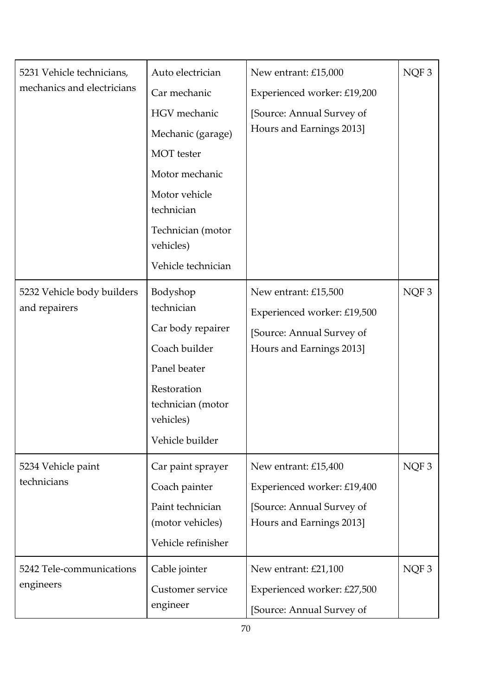| 5231 Vehicle technicians,<br>mechanics and electricians | Auto electrician<br>Car mechanic<br>HGV mechanic                                                                                                 | New entrant: £15,000<br>Experienced worker: £19,200<br>[Source: Annual Survey of                             | NQF <sub>3</sub> |
|---------------------------------------------------------|--------------------------------------------------------------------------------------------------------------------------------------------------|--------------------------------------------------------------------------------------------------------------|------------------|
|                                                         | Mechanic (garage)<br><b>MOT</b> tester                                                                                                           | Hours and Earnings 2013]                                                                                     |                  |
|                                                         | Motor mechanic                                                                                                                                   |                                                                                                              |                  |
|                                                         | Motor vehicle<br>technician                                                                                                                      |                                                                                                              |                  |
|                                                         | Technician (motor<br>vehicles)                                                                                                                   |                                                                                                              |                  |
|                                                         | Vehicle technician                                                                                                                               |                                                                                                              |                  |
| 5232 Vehicle body builders<br>and repairers             | Bodyshop<br>technician<br>Car body repairer<br>Coach builder<br>Panel beater<br>Restoration<br>technician (motor<br>vehicles)<br>Vehicle builder | New entrant: £15,500<br>Experienced worker: £19,500<br>[Source: Annual Survey of<br>Hours and Earnings 2013] | NQF3             |
| 5234 Vehicle paint<br>technicians                       | Car paint sprayer<br>Coach painter<br>Paint technician<br>(motor vehicles)<br>Vehicle refinisher                                                 | New entrant: £15,400<br>Experienced worker: £19,400<br>[Source: Annual Survey of<br>Hours and Earnings 2013] | NQF <sub>3</sub> |
| 5242 Tele-communications<br>engineers                   | Cable jointer<br>Customer service<br>engineer                                                                                                    | New entrant: £21,100<br>Experienced worker: £27,500<br>[Source: Annual Survey of                             | NQF <sub>3</sub> |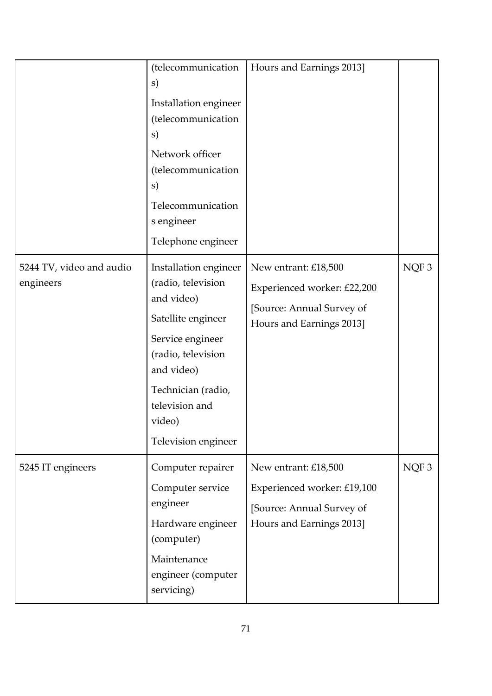|                                       | (telecommunication<br>s)<br>Installation engineer<br>(telecommunication<br>s)<br>Network officer<br>(telecommunication<br>s)<br>Telecommunication<br>s engineer<br>Telephone engineer                            | Hours and Earnings 2013]                                                                                     |      |
|---------------------------------------|------------------------------------------------------------------------------------------------------------------------------------------------------------------------------------------------------------------|--------------------------------------------------------------------------------------------------------------|------|
| 5244 TV, video and audio<br>engineers | Installation engineer<br>(radio, television<br>and video)<br>Satellite engineer<br>Service engineer<br>(radio, television<br>and video)<br>Technician (radio,<br>television and<br>video)<br>Television engineer | New entrant: £18,500<br>Experienced worker: £22,200<br>[Source: Annual Survey of<br>Hours and Earnings 2013] | NQF3 |
| 5245 IT engineers                     | Computer repairer<br>Computer service<br>engineer<br>Hardware engineer<br>(computer)<br>Maintenance<br>engineer (computer<br>servicing)                                                                          | New entrant: £18,500<br>Experienced worker: £19,100<br>[Source: Annual Survey of<br>Hours and Earnings 2013] | NQF3 |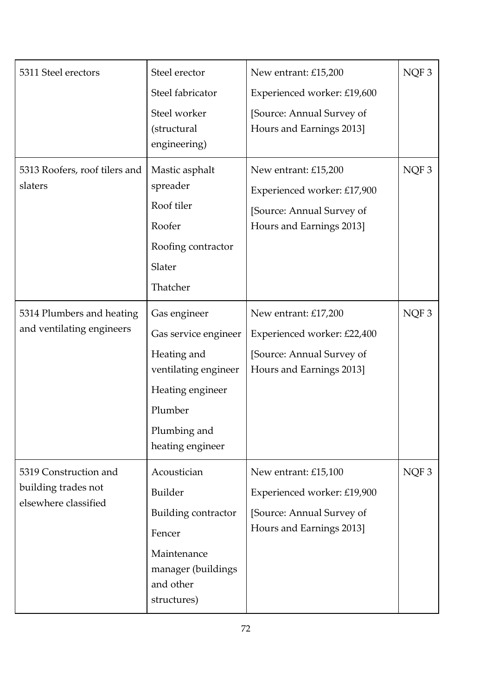| 5311 Steel erectors           | Steel erector                       | New entrant: £15,200                                  | NQF <sub>3</sub> |
|-------------------------------|-------------------------------------|-------------------------------------------------------|------------------|
|                               | Steel fabricator                    | Experienced worker: £19,600                           |                  |
|                               | Steel worker                        | [Source: Annual Survey of                             |                  |
|                               | (structural                         | Hours and Earnings 2013]                              |                  |
|                               | engineering)                        |                                                       |                  |
| 5313 Roofers, roof tilers and | Mastic asphalt                      | New entrant: £15,200                                  | NQF3             |
| slaters                       | spreader                            | Experienced worker: £17,900                           |                  |
|                               | Roof tiler                          | [Source: Annual Survey of                             |                  |
|                               | Roofer                              | Hours and Earnings 2013]                              |                  |
|                               | Roofing contractor                  |                                                       |                  |
|                               | Slater                              |                                                       |                  |
|                               | Thatcher                            |                                                       |                  |
| 5314 Plumbers and heating     | Gas engineer                        | New entrant: £17,200                                  | NQF <sub>3</sub> |
| and ventilating engineers     | Gas service engineer                | Experienced worker: £22,400                           |                  |
|                               | Heating and<br>ventilating engineer | [Source: Annual Survey of<br>Hours and Earnings 2013] |                  |
|                               | Heating engineer                    |                                                       |                  |
|                               | Plumber                             |                                                       |                  |
|                               | Plumbing and                        |                                                       |                  |
|                               | heating engineer                    |                                                       |                  |
| 5319 Construction and         | Acoustician                         | New entrant: £15,100                                  | NQF3             |
| building trades not           | <b>Builder</b>                      | Experienced worker: £19,900                           |                  |
| elsewhere classified          | Building contractor                 | [Source: Annual Survey of                             |                  |
|                               | Fencer                              | Hours and Earnings 2013]                              |                  |
|                               | Maintenance                         |                                                       |                  |
|                               | manager (buildings                  |                                                       |                  |
|                               | and other                           |                                                       |                  |
|                               | structures)                         |                                                       |                  |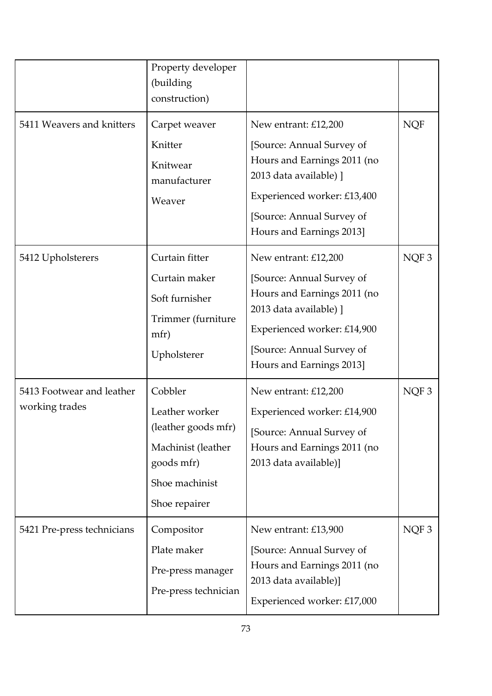|                                             | Property developer<br>(building<br>construction)                                                                        |                                                                                                                                                                                                    |            |
|---------------------------------------------|-------------------------------------------------------------------------------------------------------------------------|----------------------------------------------------------------------------------------------------------------------------------------------------------------------------------------------------|------------|
| 5411 Weavers and knitters                   | Carpet weaver<br>Knitter<br>Knitwear<br>manufacturer<br>Weaver                                                          | New entrant: £12,200<br>[Source: Annual Survey of<br>Hours and Earnings 2011 (no<br>2013 data available) ]<br>Experienced worker: £13,400<br>[Source: Annual Survey of<br>Hours and Earnings 2013] | <b>NQF</b> |
| 5412 Upholsterers                           | Curtain fitter<br>Curtain maker<br>Soft furnisher<br>Trimmer (furniture<br>mfr)<br>Upholsterer                          | New entrant: £12,200<br>[Source: Annual Survey of<br>Hours and Earnings 2011 (no<br>2013 data available) ]<br>Experienced worker: £14,900<br>[Source: Annual Survey of<br>Hours and Earnings 2013] | NQF3       |
| 5413 Footwear and leather<br>working trades | Cobbler<br>Leather worker<br>(leather goods mfr)<br>Machinist (leather<br>goods mfr)<br>Shoe machinist<br>Shoe repairer | New entrant: £12,200<br>Experienced worker: £14,900<br>[Source: Annual Survey of<br>Hours and Earnings 2011 (no<br>2013 data available)]                                                           | NQF3       |
| 5421 Pre-press technicians                  | Compositor<br>Plate maker<br>Pre-press manager<br>Pre-press technician                                                  | New entrant: £13,900<br>[Source: Annual Survey of<br>Hours and Earnings 2011 (no<br>2013 data available)]<br>Experienced worker: £17,000                                                           | NQF3       |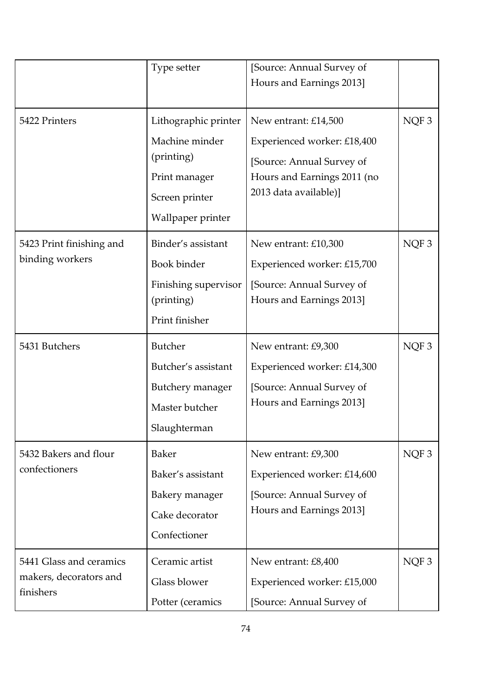|                                                                                                                                          | Type setter                                                                                 | [Source: Annual Survey of<br>Hours and Earnings 2013]                                                                                    |                  |
|------------------------------------------------------------------------------------------------------------------------------------------|---------------------------------------------------------------------------------------------|------------------------------------------------------------------------------------------------------------------------------------------|------------------|
| 5422 Printers<br>Lithographic printer<br>Machine minder<br>(printing)<br>Print manager<br>Screen printer<br>Wallpaper printer            |                                                                                             | New entrant: £14,500<br>Experienced worker: £18,400<br>[Source: Annual Survey of<br>Hours and Earnings 2011 (no<br>2013 data available)] | NQF3             |
| 5423 Print finishing and<br>Binder's assistant<br>binding workers<br>Book binder<br>Finishing supervisor<br>(printing)<br>Print finisher |                                                                                             | New entrant: £10,300<br>Experienced worker: £15,700<br>[Source: Annual Survey of<br>Hours and Earnings 2013]                             | NQF3             |
| 5431 Butchers                                                                                                                            | <b>Butcher</b><br>Butcher's assistant<br>Butchery manager<br>Master butcher<br>Slaughterman | New entrant: £9,300<br>Experienced worker: £14,300<br>[Source: Annual Survey of<br>Hours and Earnings 2013]                              | NQF <sub>3</sub> |
| 5432 Bakers and flour<br>confectioners                                                                                                   | <b>Baker</b><br>Baker's assistant<br>Bakery manager<br>Cake decorator<br>Confectioner       | New entrant: £9,300<br>Experienced worker: £14,600<br>[Source: Annual Survey of<br>Hours and Earnings 2013]                              | NQF3             |
| 5441 Glass and ceramics<br>makers, decorators and<br>finishers                                                                           | Ceramic artist<br>Glass blower<br>Potter (ceramics                                          | New entrant: £8,400<br>Experienced worker: £15,000<br>[Source: Annual Survey of                                                          | NQF3             |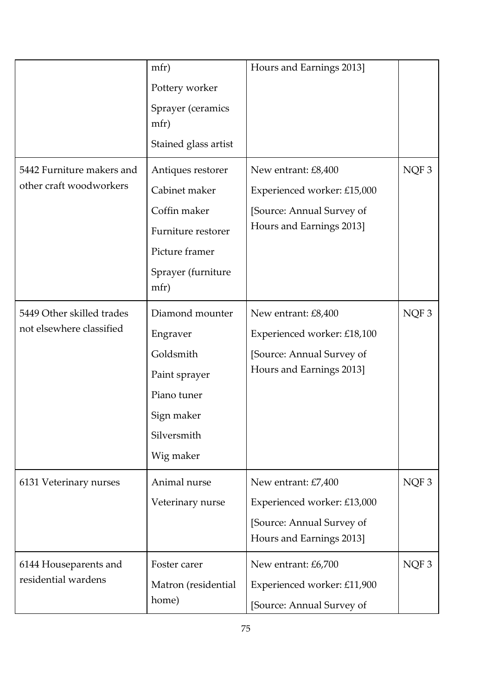|                           | mfr)                 | Hours and Earnings 2013]    |                  |
|---------------------------|----------------------|-----------------------------|------------------|
|                           | Pottery worker       |                             |                  |
|                           | Sprayer (ceramics    |                             |                  |
|                           | mfr)                 |                             |                  |
|                           | Stained glass artist |                             |                  |
| 5442 Furniture makers and | Antiques restorer    | New entrant: £8,400         | NQF3             |
| other craft woodworkers   | Cabinet maker        | Experienced worker: £15,000 |                  |
|                           | Coffin maker         | [Source: Annual Survey of   |                  |
|                           | Furniture restorer   | Hours and Earnings 2013]    |                  |
|                           | Picture framer       |                             |                  |
|                           | Sprayer (furniture   |                             |                  |
|                           | mfr)                 |                             |                  |
| 5449 Other skilled trades | Diamond mounter      | New entrant: £8,400         | NQF <sub>3</sub> |
| not elsewhere classified  | Engraver             | Experienced worker: £18,100 |                  |
|                           | Goldsmith            | [Source: Annual Survey of   |                  |
|                           | Paint sprayer        | Hours and Earnings 2013]    |                  |
|                           | Piano tuner          |                             |                  |
|                           | Sign maker           |                             |                  |
|                           | Silversmith          |                             |                  |
|                           | Wig maker            |                             |                  |
| 6131 Veterinary nurses    | Animal nurse         | New entrant: £7,400         | NQF <sub>3</sub> |
|                           | Veterinary nurse     | Experienced worker: £13,000 |                  |
|                           |                      | [Source: Annual Survey of   |                  |
|                           |                      | Hours and Earnings 2013]    |                  |
| 6144 Houseparents and     | Foster carer         | New entrant: £6,700         | NQF <sub>3</sub> |
| residential wardens       | Matron (residential  | Experienced worker: £11,900 |                  |
|                           | home)                | [Source: Annual Survey of   |                  |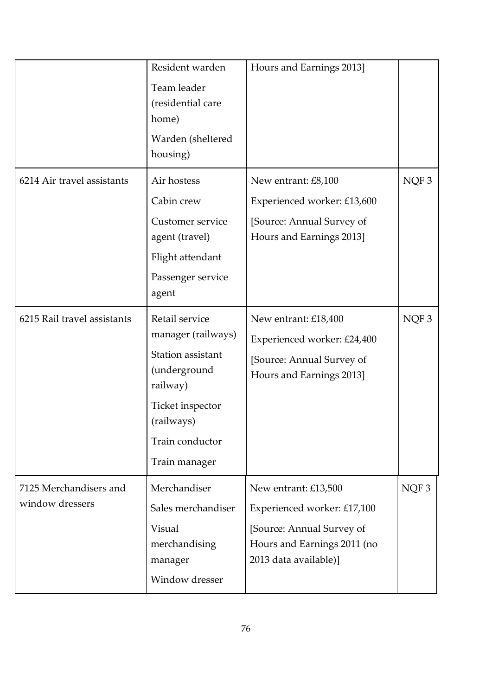|                                           | Resident warden<br>Team leader<br>(residential care<br>home)<br>Warden (sheltered<br>housing)                                                               | Hours and Earnings 2013]                                                                                                                 |                  |
|-------------------------------------------|-------------------------------------------------------------------------------------------------------------------------------------------------------------|------------------------------------------------------------------------------------------------------------------------------------------|------------------|
| 6214 Air travel assistants                | Air hostess<br>Cabin crew<br>Customer service<br>agent (travel)<br>Flight attendant<br>Passenger service<br>agent                                           | New entrant: £8,100<br>Experienced worker: £13,600<br>[Source: Annual Survey of<br>Hours and Earnings 2013]                              | NQF <sub>3</sub> |
| 6215 Rail travel assistants               | Retail service<br>manager (railways)<br>Station assistant<br>(underground<br>railway)<br>Ticket inspector<br>(railways)<br>Train conductor<br>Train manager | New entrant: £18,400<br>Experienced worker: £24,400<br>[Source: Annual Survey of<br>Hours and Earnings 2013]                             | NQF3             |
| 7125 Merchandisers and<br>window dressers | Merchandiser<br>Sales merchandiser<br>Visual<br>merchandising<br>manager<br>Window dresser                                                                  | New entrant: £13,500<br>Experienced worker: £17,100<br>[Source: Annual Survey of<br>Hours and Earnings 2011 (no<br>2013 data available)] | NQF <sub>3</sub> |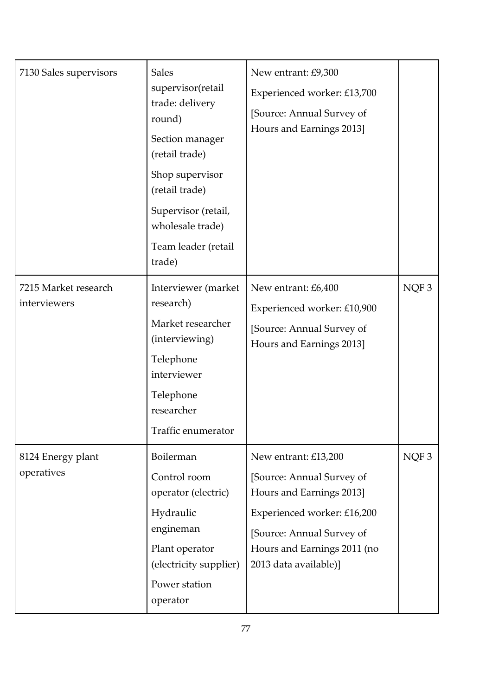| 7130 Sales supervisors               | <b>Sales</b><br>supervisor(retail<br>trade: delivery<br>round)<br>Section manager<br>(retail trade)<br>Shop supervisor<br>(retail trade)<br>Supervisor (retail,<br>wholesale trade)<br>Team leader (retail<br>trade) | New entrant: £9,300<br>Experienced worker: £13,700<br>[Source: Annual Survey of<br>Hours and Earnings 2013]                                                                                       |      |
|--------------------------------------|----------------------------------------------------------------------------------------------------------------------------------------------------------------------------------------------------------------------|---------------------------------------------------------------------------------------------------------------------------------------------------------------------------------------------------|------|
| 7215 Market research<br>interviewers | Interviewer (market<br>research)<br>Market researcher<br>(interviewing)<br>Telephone<br>interviewer<br>Telephone<br>researcher<br>Traffic enumerator                                                                 | New entrant: £6,400<br>Experienced worker: £10,900<br>[Source: Annual Survey of<br>Hours and Earnings 2013]                                                                                       | NQF3 |
| 8124 Energy plant<br>operatives      | Boilerman<br>Control room<br>operator (electric)<br>Hydraulic<br>engineman<br>Plant operator<br>(electricity supplier)<br>Power station<br>operator                                                                  | New entrant: £13,200<br>[Source: Annual Survey of<br>Hours and Earnings 2013]<br>Experienced worker: £16,200<br>[Source: Annual Survey of<br>Hours and Earnings 2011 (no<br>2013 data available)] | NQF3 |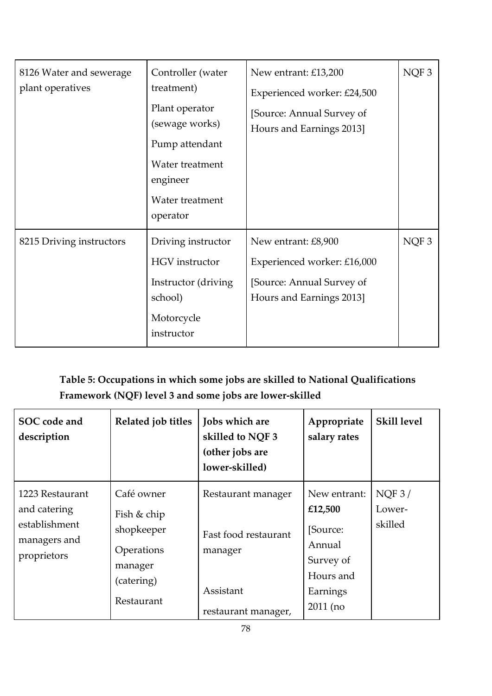| 8126 Water and sewerage<br>plant operatives | Controller (water<br>treatment)<br>Plant operator<br>(sewage works)<br>Pump attendant<br>Water treatment<br>engineer<br>Water treatment<br>operator | New entrant: £13,200<br>Experienced worker: £24,500<br>[Source: Annual Survey of<br>Hours and Earnings 2013] | NQF <sub>3</sub> |
|---------------------------------------------|-----------------------------------------------------------------------------------------------------------------------------------------------------|--------------------------------------------------------------------------------------------------------------|------------------|
| 8215 Driving instructors                    | Driving instructor<br><b>HGV</b> instructor<br>Instructor (driving)<br>school)<br>Motorcycle<br>instructor                                          | New entrant: £8,900<br>Experienced worker: £16,000<br>[Source: Annual Survey of<br>Hours and Earnings 2013]  | NQF <sub>3</sub> |

# **Table 5: Occupations in which some jobs are skilled to National Qualifications Framework (NQF) level 3 and some jobs are lower-skilled**

| SOC code and<br>description                                                     | Related job titles                                                                           | Jobs which are<br>skilled to NQF 3<br>(other jobs are<br>lower-skilled)                   | Appropriate<br>salary rates                                                                       | <b>Skill level</b>             |
|---------------------------------------------------------------------------------|----------------------------------------------------------------------------------------------|-------------------------------------------------------------------------------------------|---------------------------------------------------------------------------------------------------|--------------------------------|
| 1223 Restaurant<br>and catering<br>establishment<br>managers and<br>proprietors | Café owner<br>Fish & chip<br>shopkeeper<br>Operations<br>manager<br>(catering)<br>Restaurant | Restaurant manager<br>Fast food restaurant<br>manager<br>Assistant<br>restaurant manager, | New entrant:<br>£12,500<br>[Source:<br>Annual<br>Survey of<br>Hours and<br>Earnings<br>$2011$ (no | $NQF$ 3 /<br>Lower-<br>skilled |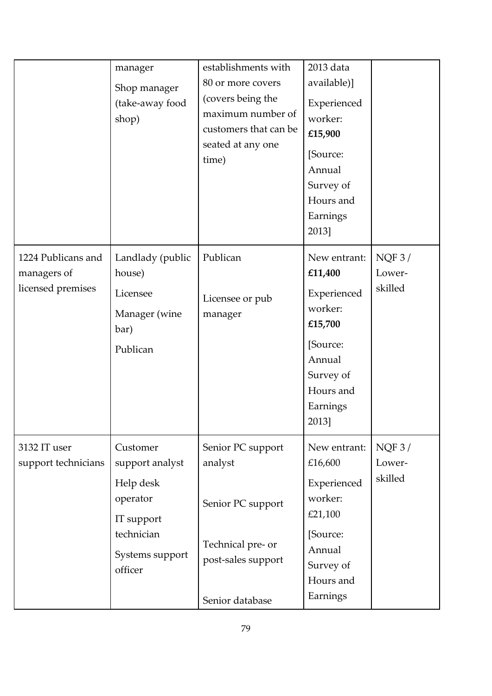|                                                        | manager<br>Shop manager<br>(take-away food<br>shop)                                                            | establishments with<br>80 or more covers<br>(covers being the<br>maximum number of<br>customers that can be<br>seated at any one<br>time) | 2013 data<br>available)]<br>Experienced<br>worker:<br>£15,900<br>[Source:<br>Annual<br>Survey of<br>Hours and<br>Earnings<br>2013] |                            |
|--------------------------------------------------------|----------------------------------------------------------------------------------------------------------------|-------------------------------------------------------------------------------------------------------------------------------------------|------------------------------------------------------------------------------------------------------------------------------------|----------------------------|
| 1224 Publicans and<br>managers of<br>licensed premises | Landlady (public<br>house)<br>Licensee<br>Manager (wine<br>bar)<br>Publican                                    | Publican<br>Licensee or pub<br>manager                                                                                                    | New entrant:<br>£11,400<br>Experienced<br>worker:<br>£15,700<br>[Source:<br>Annual<br>Survey of<br>Hours and<br>Earnings<br>2013]  | NQF3/<br>Lower-<br>skilled |
| 3132 IT user<br>support technicians                    | Customer<br>support analyst<br>Help desk<br>operator<br>IT support<br>technician<br>Systems support<br>officer | Senior PC support<br>analyst<br>Senior PC support<br>Technical pre- or<br>post-sales support<br>Senior database                           | New entrant:<br>£16,600<br>Experienced<br>worker:<br>£21,100<br>[Source:<br>Annual<br>Survey of<br>Hours and<br>Earnings           | NQF3/<br>Lower-<br>skilled |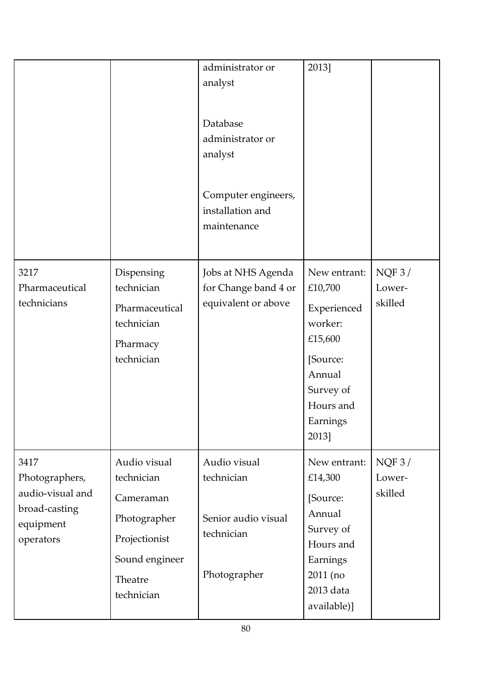|                                                                                       |                                                                                                                     | administrator or<br>analyst<br>Database<br>administrator or<br>analyst<br>Computer engineers,<br>installation and<br>maintenance | 2013]                                                                                                                             |                            |
|---------------------------------------------------------------------------------------|---------------------------------------------------------------------------------------------------------------------|----------------------------------------------------------------------------------------------------------------------------------|-----------------------------------------------------------------------------------------------------------------------------------|----------------------------|
| 3217<br>Pharmaceutical<br>technicians                                                 | Dispensing<br>technician<br>Pharmaceutical<br>technician<br>Pharmacy<br>technician                                  | Jobs at NHS Agenda<br>for Change band 4 or<br>equivalent or above                                                                | New entrant:<br>£10,700<br>Experienced<br>worker:<br>£15,600<br>[Source:<br>Annual<br>Survey of<br>Hours and<br>Earnings<br>2013] | NQF3/<br>Lower-<br>skilled |
| 3417<br>Photographers,<br>audio-visual and<br>broad-casting<br>equipment<br>operators | Audio visual<br>technician<br>Cameraman<br>Photographer<br>Projectionist<br>Sound engineer<br>Theatre<br>technician | Audio visual<br>technician<br>Senior audio visual<br>technician<br>Photographer                                                  | New entrant:<br>£14,300<br>[Source:<br>Annual<br>Survey of<br>Hours and<br>Earnings<br>2011 (no<br>2013 data<br>available)]       | NQF3/<br>Lower-<br>skilled |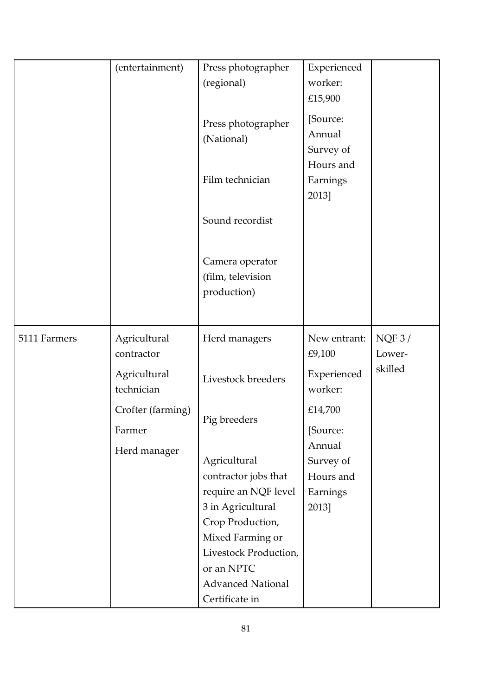|              | (entertainment)             | Press photographer<br>(regional)                                                                                                                                 | Experienced<br>worker:<br>£15,900                     |                 |
|--------------|-----------------------------|------------------------------------------------------------------------------------------------------------------------------------------------------------------|-------------------------------------------------------|-----------------|
|              |                             | Press photographer<br>(National)                                                                                                                                 | [Source:<br>Annual<br>Survey of                       |                 |
|              |                             | Film technician                                                                                                                                                  | Hours and<br>Earnings<br>2013]                        |                 |
|              |                             | Sound recordist                                                                                                                                                  |                                                       |                 |
|              |                             | Camera operator<br>(film, television<br>production)                                                                                                              |                                                       |                 |
|              |                             |                                                                                                                                                                  |                                                       |                 |
| 5111 Farmers | Agricultural<br>contractor  | Herd managers                                                                                                                                                    | New entrant:<br>£9,100                                | NQF3/<br>Lower- |
|              | Agricultural<br>technician  | Livestock breeders                                                                                                                                               | Experienced<br>worker:                                | skilled         |
|              | Crofter (farming)<br>Farmer | Pig breeders                                                                                                                                                     | £14,700<br>[Source:                                   |                 |
|              | Herd manager                | Agricultural<br>contractor jobs that<br>require an NQF level<br>3 in Agricultural<br>Crop Production,<br>Mixed Farming or<br>Livestock Production,<br>or an NPTC | Annual<br>Survey of<br>Hours and<br>Earnings<br>2013] |                 |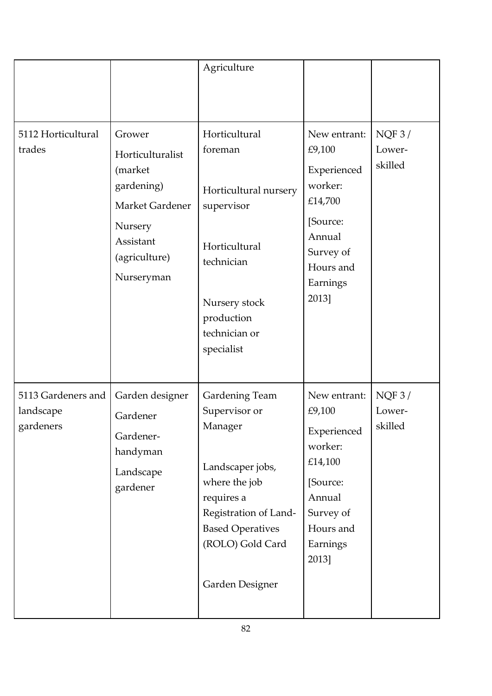|                                              |                                                                                                                               | Agriculture                                                                                                                                                                                     |                                                                                                                                  |                            |
|----------------------------------------------|-------------------------------------------------------------------------------------------------------------------------------|-------------------------------------------------------------------------------------------------------------------------------------------------------------------------------------------------|----------------------------------------------------------------------------------------------------------------------------------|----------------------------|
| 5112 Horticultural<br>trades                 | Grower<br>Horticulturalist<br>(market<br>gardening)<br>Market Gardener<br>Nursery<br>Assistant<br>(agriculture)<br>Nurseryman | Horticultural<br>foreman<br>Horticultural nursery<br>supervisor<br>Horticultural<br>technician<br>Nursery stock<br>production<br>technician or<br>specialist                                    | New entrant:<br>£9,100<br>Experienced<br>worker:<br>£14,700<br>[Source:<br>Annual<br>Survey of<br>Hours and<br>Earnings<br>2013] | NQF3/<br>Lower-<br>skilled |
| 5113 Gardeners and<br>landscape<br>gardeners | Garden designer<br>Gardener<br>Gardener-<br>handyman<br>Landscape<br>gardener                                                 | <b>Gardening Team</b><br>Supervisor or<br>Manager<br>Landscaper jobs,<br>where the job<br>requires a<br>Registration of Land-<br><b>Based Operatives</b><br>(ROLO) Gold Card<br>Garden Designer | New entrant:<br>£9,100<br>Experienced<br>worker:<br>£14,100<br>[Source:<br>Annual<br>Survey of<br>Hours and<br>Earnings<br>2013] | NQF3/<br>Lower-<br>skilled |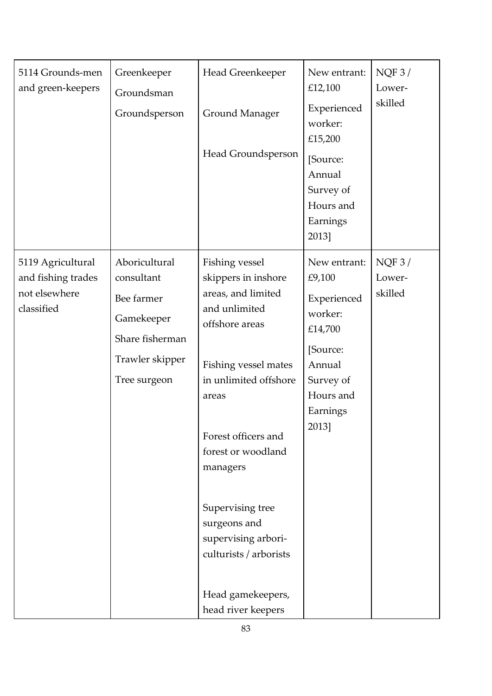| 5114 Grounds-men<br>and green-keepers                                  | Greenkeeper<br>Groundsman<br>Groundsperson                                                                    | Head Greenkeeper<br><b>Ground Manager</b><br>Head Groundsperson                                                                                                                                                                                                                                                                                   | New entrant:<br>£12,100<br>Experienced<br>worker:<br>£15,200<br>[Source:<br>Annual<br>Survey of<br>Hours and<br>Earnings<br>2013] | NQF3/<br>Lower-<br>skilled |
|------------------------------------------------------------------------|---------------------------------------------------------------------------------------------------------------|---------------------------------------------------------------------------------------------------------------------------------------------------------------------------------------------------------------------------------------------------------------------------------------------------------------------------------------------------|-----------------------------------------------------------------------------------------------------------------------------------|----------------------------|
| 5119 Agricultural<br>and fishing trades<br>not elsewhere<br>classified | Aboricultural<br>consultant<br>Bee farmer<br>Gamekeeper<br>Share fisherman<br>Trawler skipper<br>Tree surgeon | Fishing vessel<br>skippers in inshore<br>areas, and limited<br>and unlimited<br>offshore areas<br>Fishing vessel mates<br>in unlimited offshore<br>areas<br>Forest officers and<br>forest or woodland<br>managers<br>Supervising tree<br>surgeons and<br>supervising arbori-<br>culturists / arborists<br>Head gamekeepers,<br>head river keepers | New entrant:<br>£9,100<br>Experienced<br>worker:<br>£14,700<br>[Source:<br>Annual<br>Survey of<br>Hours and<br>Earnings<br>2013]  | NQF3/<br>Lower-<br>skilled |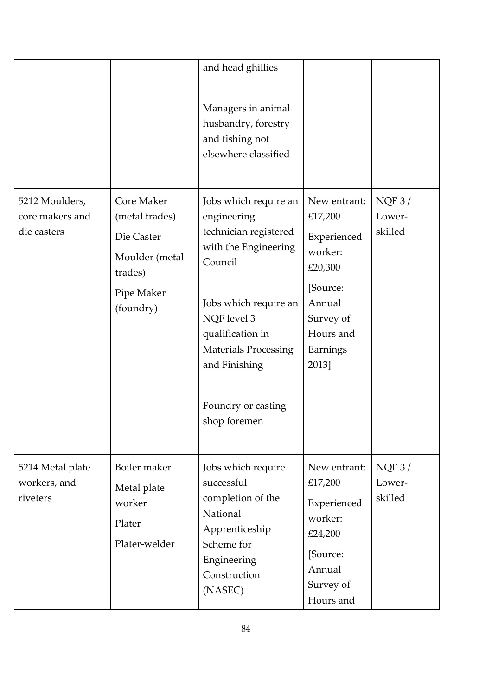|                                                  |                                                                                                    | and head ghillies<br>Managers in animal<br>husbandry, forestry<br>and fishing not<br>elsewhere classified                                                                                                                                          |                                                                                                                                   |                            |
|--------------------------------------------------|----------------------------------------------------------------------------------------------------|----------------------------------------------------------------------------------------------------------------------------------------------------------------------------------------------------------------------------------------------------|-----------------------------------------------------------------------------------------------------------------------------------|----------------------------|
| 5212 Moulders,<br>core makers and<br>die casters | Core Maker<br>(metal trades)<br>Die Caster<br>Moulder (metal<br>trades)<br>Pipe Maker<br>(foundry) | Jobs which require an<br>engineering<br>technician registered<br>with the Engineering<br>Council<br>Jobs which require an<br>NQF level 3<br>qualification in<br><b>Materials Processing</b><br>and Finishing<br>Foundry or casting<br>shop foremen | New entrant:<br>£17,200<br>Experienced<br>worker:<br>£20,300<br>[Source:<br>Annual<br>Survey of<br>Hours and<br>Earnings<br>2013] | NQF3/<br>Lower-<br>skilled |
| 5214 Metal plate<br>workers, and<br>riveters     | Boiler maker<br>Metal plate<br>worker<br>Plater<br>Plater-welder                                   | Jobs which require<br>successful<br>completion of the<br>National<br>Apprenticeship<br>Scheme for<br>Engineering<br>Construction<br>(NASEC)                                                                                                        | New entrant:<br>£17,200<br>Experienced<br>worker:<br>£24,200<br>[Source:<br>Annual<br>Survey of<br>Hours and                      | NQF3/<br>Lower-<br>skilled |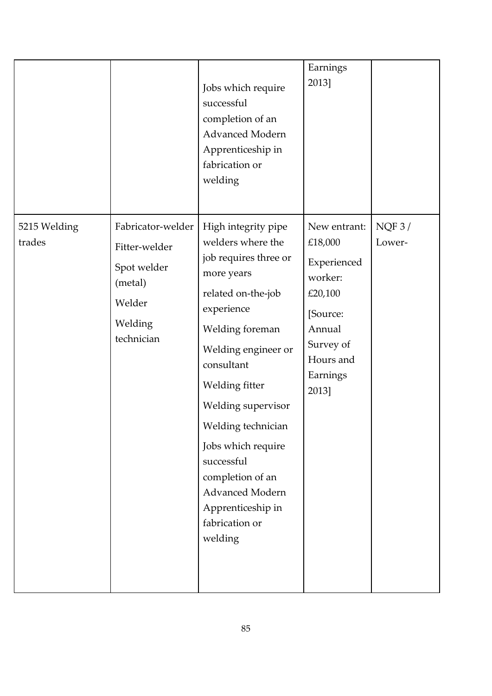|                        |                                                                                                 | Jobs which require<br>successful<br>completion of an<br><b>Advanced Modern</b><br>Apprenticeship in<br>fabrication or<br>welding                                                                                                                                                                                                                                       | Earnings<br>2013]                                                                                                                 |                 |
|------------------------|-------------------------------------------------------------------------------------------------|------------------------------------------------------------------------------------------------------------------------------------------------------------------------------------------------------------------------------------------------------------------------------------------------------------------------------------------------------------------------|-----------------------------------------------------------------------------------------------------------------------------------|-----------------|
| 5215 Welding<br>trades | Fabricator-welder<br>Fitter-welder<br>Spot welder<br>(metal)<br>Welder<br>Welding<br>technician | High integrity pipe<br>welders where the<br>job requires three or<br>more years<br>related on-the-job<br>experience<br>Welding foreman<br>Welding engineer or<br>consultant<br>Welding fitter<br>Welding supervisor<br>Welding technician<br>Jobs which require<br>successful<br>completion of an<br>Advanced Modern<br>Apprenticeship in<br>fabrication or<br>welding | New entrant:<br>£18,000<br>Experienced<br>worker:<br>£20,100<br>[Source:<br>Annual<br>Survey of<br>Hours and<br>Earnings<br>2013] | NQF3/<br>Lower- |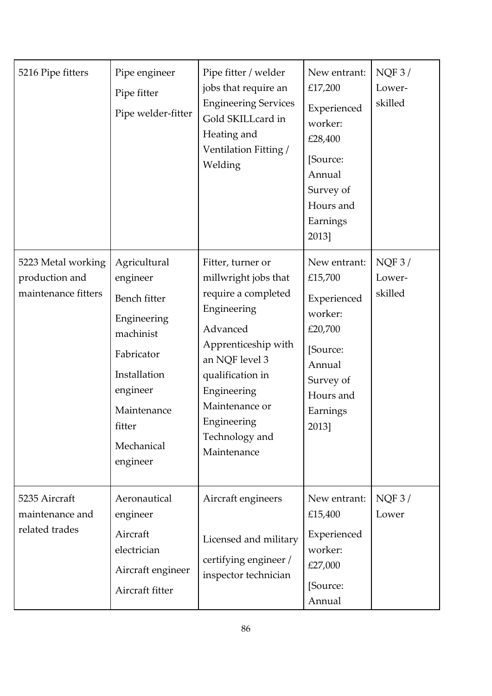| 5216 Pipe fitters                                           | Pipe engineer<br>Pipe fitter<br>Pipe welder-fitter                                                                                                                | Pipe fitter / welder<br>jobs that require an<br><b>Engineering Services</b><br>Gold SKILLcard in<br>Heating and<br>Ventilation Fitting /<br>Welding                                                                                       | New entrant:<br>£17,200<br>Experienced<br>worker:<br>£28,400<br>[Source:<br>Annual<br>Survey of<br>Hours and<br>Earnings<br>2013] | NQF3/<br>Lower-<br>skilled |
|-------------------------------------------------------------|-------------------------------------------------------------------------------------------------------------------------------------------------------------------|-------------------------------------------------------------------------------------------------------------------------------------------------------------------------------------------------------------------------------------------|-----------------------------------------------------------------------------------------------------------------------------------|----------------------------|
| 5223 Metal working<br>production and<br>maintenance fitters | Agricultural<br>engineer<br>Bench fitter<br>Engineering<br>machinist<br>Fabricator<br>Installation<br>engineer<br>Maintenance<br>fitter<br>Mechanical<br>engineer | Fitter, turner or<br>millwright jobs that<br>require a completed<br>Engineering<br>Advanced<br>Apprenticeship with<br>an NQF level 3<br>qualification in<br>Engineering<br>Maintenance or<br>Engineering<br>Technology and<br>Maintenance | New entrant:<br>£15,700<br>Experienced<br>worker:<br>£20,700<br>[Source:<br>Annual<br>Survey of<br>Hours and<br>Earnings<br>2013] | NQF3/<br>Lower-<br>skilled |
| 5235 Aircraft<br>maintenance and<br>related trades          | Aeronautical<br>engineer<br>Aircraft<br>electrician<br>Aircraft engineer<br>Aircraft fitter                                                                       | Aircraft engineers<br>Licensed and military<br>certifying engineer /<br>inspector technician                                                                                                                                              | New entrant:<br>£15,400<br>Experienced<br>worker:<br>£27,000<br>[Source:<br>Annual                                                | NQF3/<br>Lower             |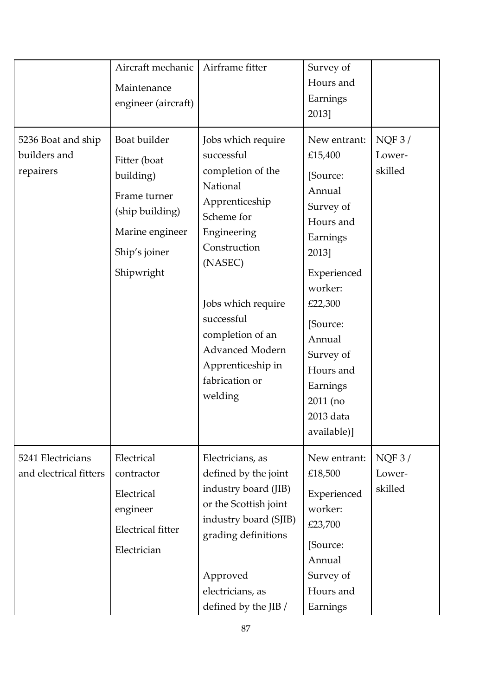|                                                 | Aircraft mechanic<br>Maintenance<br>engineer (aircraft)                                                                        | Airframe fitter                                                                                                                                                                                                                                                                 | Survey of<br>Hours and<br>Earnings<br>2013]                                                                                                                                                                                           |                            |
|-------------------------------------------------|--------------------------------------------------------------------------------------------------------------------------------|---------------------------------------------------------------------------------------------------------------------------------------------------------------------------------------------------------------------------------------------------------------------------------|---------------------------------------------------------------------------------------------------------------------------------------------------------------------------------------------------------------------------------------|----------------------------|
| 5236 Boat and ship<br>builders and<br>repairers | Boat builder<br>Fitter (boat<br>building)<br>Frame turner<br>(ship building)<br>Marine engineer<br>Ship's joiner<br>Shipwright | Jobs which require<br>successful<br>completion of the<br>National<br>Apprenticeship<br>Scheme for<br>Engineering<br>Construction<br>(NASEC)<br>Jobs which require<br>successful<br>completion of an<br><b>Advanced Modern</b><br>Apprenticeship in<br>fabrication or<br>welding | New entrant:<br>£15,400<br>[Source:<br>Annual<br>Survey of<br>Hours and<br>Earnings<br>2013]<br>Experienced<br>worker:<br>£22,300<br>[Source:<br>Annual<br>Survey of<br>Hours and<br>Earnings<br>2011 (no<br>2013 data<br>available)] | NQF3/<br>Lower-<br>skilled |
| 5241 Electricians<br>and electrical fitters     | Electrical<br>contractor<br>Electrical<br>engineer<br><b>Electrical fitter</b><br>Electrician                                  | Electricians, as<br>defined by the joint<br>industry board (JIB)<br>or the Scottish joint<br>industry board (SJIB)<br>grading definitions<br>Approved<br>electricians, as<br>defined by the JIB /                                                                               | New entrant:<br>£18,500<br>Experienced<br>worker:<br>£23,700<br>[Source:<br>Annual<br>Survey of<br>Hours and<br>Earnings                                                                                                              | NQF3/<br>Lower-<br>skilled |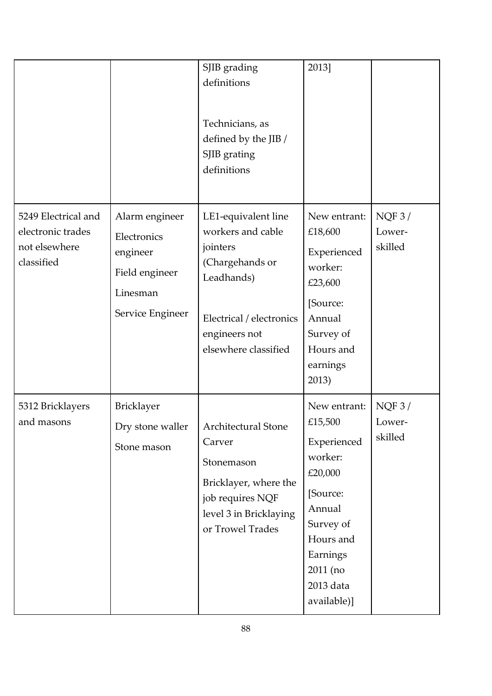|                                                                         |                                                                                             | SJIB grading<br>definitions<br>Technicians, as<br>defined by the JIB /<br>SJIB grating<br>definitions                                                      | 2013]                                                                                                                                                            |                            |
|-------------------------------------------------------------------------|---------------------------------------------------------------------------------------------|------------------------------------------------------------------------------------------------------------------------------------------------------------|------------------------------------------------------------------------------------------------------------------------------------------------------------------|----------------------------|
| 5249 Electrical and<br>electronic trades<br>not elsewhere<br>classified | Alarm engineer<br>Electronics<br>engineer<br>Field engineer<br>Linesman<br>Service Engineer | LE1-equivalent line<br>workers and cable<br>jointers<br>(Chargehands or<br>Leadhands)<br>Electrical / electronics<br>engineers not<br>elsewhere classified | New entrant:<br>£18,600<br>Experienced<br>worker:<br>£23,600<br>[Source:<br>Annual<br>Survey of<br>Hours and<br>earnings<br>2013)                                | NQF3/<br>Lower-<br>skilled |
| 5312 Bricklayers<br>and masons                                          | <b>Bricklayer</b><br>Dry stone waller<br>Stone mason                                        | Architectural Stone<br>Carver<br>Stonemason<br>Bricklayer, where the<br>job requires NQF<br>level 3 in Bricklaying<br>or Trowel Trades                     | New entrant:<br>£15,500<br>Experienced<br>worker:<br>£20,000<br>[Source:<br>Annual<br>Survey of<br>Hours and<br>Earnings<br>2011 (no<br>2013 data<br>available)] | NQF3/<br>Lower-<br>skilled |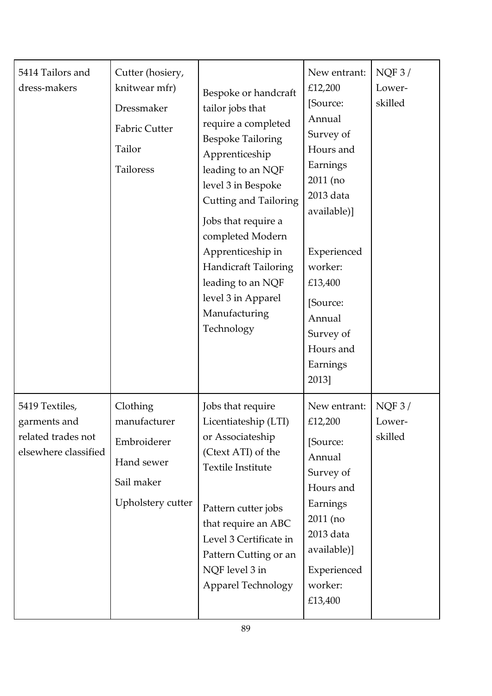| 5414 Tailors and<br>dress-makers                                             | Cutter (hosiery,<br>knitwear mfr)<br>Dressmaker<br><b>Fabric Cutter</b><br>Tailor<br>Tailoress | Bespoke or handcraft<br>tailor jobs that<br>require a completed<br><b>Bespoke Tailoring</b><br>Apprenticeship<br>leading to an NQF<br>level 3 in Bespoke<br><b>Cutting and Tailoring</b><br>Jobs that require a<br>completed Modern<br>Apprenticeship in<br><b>Handicraft Tailoring</b><br>leading to an NQF<br>level 3 in Apparel<br>Manufacturing<br>Technology | New entrant:<br>£12,200<br>[Source:<br>Annual<br>Survey of<br>Hours and<br>Earnings<br>2011 (no<br>2013 data<br>available)]<br>Experienced<br>worker:<br>£13,400<br>[Source:<br>Annual<br>Survey of<br>Hours and<br>Earnings<br>2013] | NQF3/<br>Lower-<br>skilled |
|------------------------------------------------------------------------------|------------------------------------------------------------------------------------------------|-------------------------------------------------------------------------------------------------------------------------------------------------------------------------------------------------------------------------------------------------------------------------------------------------------------------------------------------------------------------|---------------------------------------------------------------------------------------------------------------------------------------------------------------------------------------------------------------------------------------|----------------------------|
| 5419 Textiles,<br>garments and<br>related trades not<br>elsewhere classified | Clothing<br>manufacturer<br>Embroiderer<br>Hand sewer<br>Sail maker<br>Upholstery cutter       | Jobs that require<br>Licentiateship (LTI)<br>or Associateship<br>(Ctext ATI) of the<br>Textile Institute<br>Pattern cutter jobs<br>that require an ABC<br>Level 3 Certificate in<br>Pattern Cutting or an<br>NQF level 3 in<br><b>Apparel Technology</b>                                                                                                          | New entrant:<br>£12,200<br>[Source:<br>Annual<br>Survey of<br>Hours and<br>Earnings<br>2011 (no<br>2013 data<br>available)]<br>Experienced<br>worker:<br>£13,400                                                                      | NQF3/<br>Lower-<br>skilled |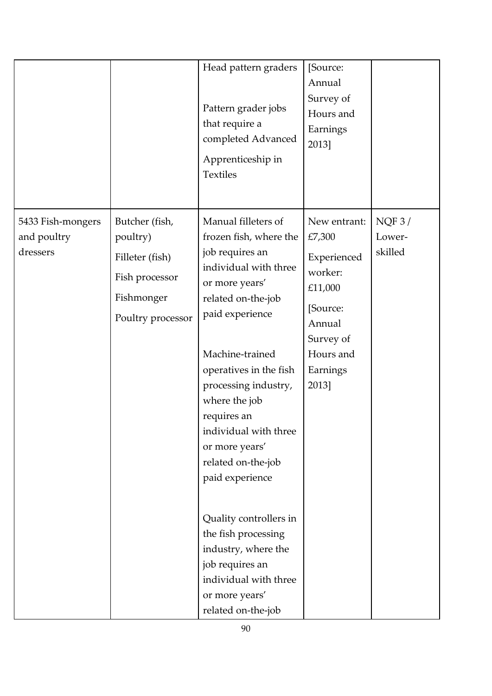|                                              |                                                                                                    | Head pattern graders<br>Pattern grader jobs<br>that require a<br>completed Advanced<br>Apprenticeship in<br><b>Textiles</b>                                                                                                                                                                                                                                                                                                                                                                               | [Source:<br>Annual<br>Survey of<br>Hours and<br>Earnings<br>2013]                                                                |                            |
|----------------------------------------------|----------------------------------------------------------------------------------------------------|-----------------------------------------------------------------------------------------------------------------------------------------------------------------------------------------------------------------------------------------------------------------------------------------------------------------------------------------------------------------------------------------------------------------------------------------------------------------------------------------------------------|----------------------------------------------------------------------------------------------------------------------------------|----------------------------|
| 5433 Fish-mongers<br>and poultry<br>dressers | Butcher (fish,<br>poultry)<br>Filleter (fish)<br>Fish processor<br>Fishmonger<br>Poultry processor | Manual filleters of<br>frozen fish, where the<br>job requires an<br>individual with three<br>or more years'<br>related on-the-job<br>paid experience<br>Machine-trained<br>operatives in the fish<br>processing industry,<br>where the job<br>requires an<br>individual with three<br>or more years'<br>related on-the-job<br>paid experience<br>Quality controllers in<br>the fish processing<br>industry, where the<br>job requires an<br>individual with three<br>or more years'<br>related on-the-job | New entrant:<br>£7,300<br>Experienced<br>worker:<br>£11,000<br>[Source:<br>Annual<br>Survey of<br>Hours and<br>Earnings<br>2013] | NQF3/<br>Lower-<br>skilled |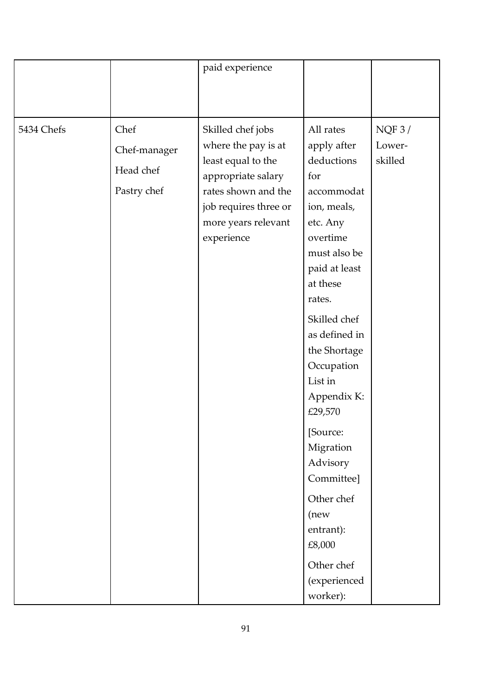|            |                                                  | paid experience                                                                                                                                                           |                                                                                                                                                                                                                                                                                                                                                                                                         |                            |
|------------|--------------------------------------------------|---------------------------------------------------------------------------------------------------------------------------------------------------------------------------|---------------------------------------------------------------------------------------------------------------------------------------------------------------------------------------------------------------------------------------------------------------------------------------------------------------------------------------------------------------------------------------------------------|----------------------------|
|            |                                                  |                                                                                                                                                                           |                                                                                                                                                                                                                                                                                                                                                                                                         |                            |
|            |                                                  |                                                                                                                                                                           |                                                                                                                                                                                                                                                                                                                                                                                                         |                            |
| 5434 Chefs | Chef<br>Chef-manager<br>Head chef<br>Pastry chef | Skilled chef jobs<br>where the pay is at<br>least equal to the<br>appropriate salary<br>rates shown and the<br>job requires three or<br>more years relevant<br>experience | All rates<br>apply after<br>deductions<br>for<br>accommodat<br>ion, meals,<br>etc. Any<br>overtime<br>must also be<br>paid at least<br>at these<br>rates.<br>Skilled chef<br>as defined in<br>the Shortage<br>Occupation<br>List in<br>Appendix K:<br>£29,570<br>[Source:<br>Migration<br>Advisory<br>Committee]<br>Other chef<br>(new<br>entrant):<br>£8,000<br>Other chef<br>(experienced<br>worker): | NQF3/<br>Lower-<br>skilled |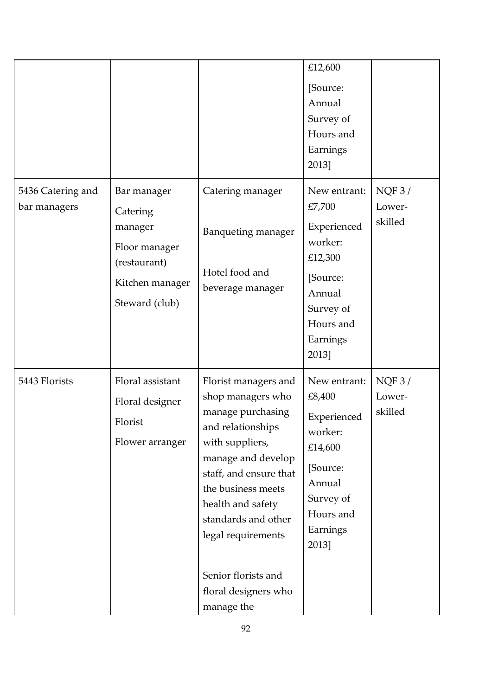|                                   |                                                                                                          |                                                                                                                                                                                                                                                                                                             | £12,600<br>[Source:<br>Annual<br>Survey of<br>Hours and<br>Earnings<br>2013]                                                     |                            |
|-----------------------------------|----------------------------------------------------------------------------------------------------------|-------------------------------------------------------------------------------------------------------------------------------------------------------------------------------------------------------------------------------------------------------------------------------------------------------------|----------------------------------------------------------------------------------------------------------------------------------|----------------------------|
| 5436 Catering and<br>bar managers | Bar manager<br>Catering<br>manager<br>Floor manager<br>(restaurant)<br>Kitchen manager<br>Steward (club) | Catering manager<br><b>Banqueting manager</b><br>Hotel food and<br>beverage manager                                                                                                                                                                                                                         | New entrant:<br>£7,700<br>Experienced<br>worker:<br>£12,300<br>[Source:<br>Annual<br>Survey of<br>Hours and<br>Earnings<br>2013] | NQF3/<br>Lower-<br>skilled |
| 5443 Florists                     | Floral assistant<br>Floral designer<br>Florist<br>Flower arranger                                        | Florist managers and<br>shop managers who<br>manage purchasing<br>and relationships<br>with suppliers,<br>manage and develop<br>staff, and ensure that<br>the business meets<br>health and safety<br>standards and other<br>legal requirements<br>Senior florists and<br>floral designers who<br>manage the | New entrant:<br>£8,400<br>Experienced<br>worker:<br>£14,600<br>[Source:<br>Annual<br>Survey of<br>Hours and<br>Earnings<br>2013] | NQF3/<br>Lower-<br>skilled |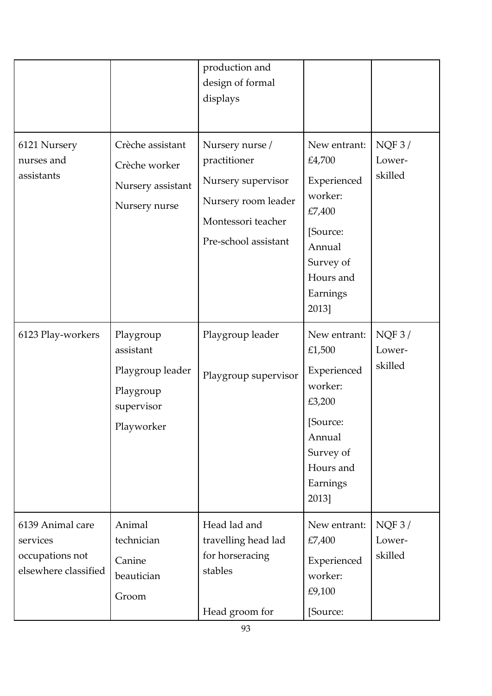|                                                                         |                                                                                     | production and<br>design of formal<br>displays                                                                             |                                                                                                                                 |                            |
|-------------------------------------------------------------------------|-------------------------------------------------------------------------------------|----------------------------------------------------------------------------------------------------------------------------|---------------------------------------------------------------------------------------------------------------------------------|----------------------------|
| 6121 Nursery<br>nurses and<br>assistants                                | Crèche assistant<br>Crèche worker<br>Nursery assistant<br>Nursery nurse             | Nursery nurse /<br>practitioner<br>Nursery supervisor<br>Nursery room leader<br>Montessori teacher<br>Pre-school assistant | New entrant:<br>£4,700<br>Experienced<br>worker:<br>£7,400<br>[Source:<br>Annual<br>Survey of<br>Hours and<br>Earnings<br>2013] | NQF3/<br>Lower-<br>skilled |
| 6123 Play-workers                                                       | Playgroup<br>assistant<br>Playgroup leader<br>Playgroup<br>supervisor<br>Playworker | Playgroup leader<br>Playgroup supervisor                                                                                   | New entrant:<br>£1,500<br>Experienced<br>worker:<br>£3,200<br>[Source:<br>Annual<br>Survey of<br>Hours and<br>Earnings<br>2013] | NQF3/<br>Lower-<br>skilled |
| 6139 Animal care<br>services<br>occupations not<br>elsewhere classified | Animal<br>technician<br>Canine<br>beautician<br>Groom                               | Head lad and<br>travelling head lad<br>for horseracing<br>stables<br>Head groom for                                        | New entrant:<br>£7,400<br>Experienced<br>worker:<br>£9,100<br>[Source:                                                          | NQF3/<br>Lower-<br>skilled |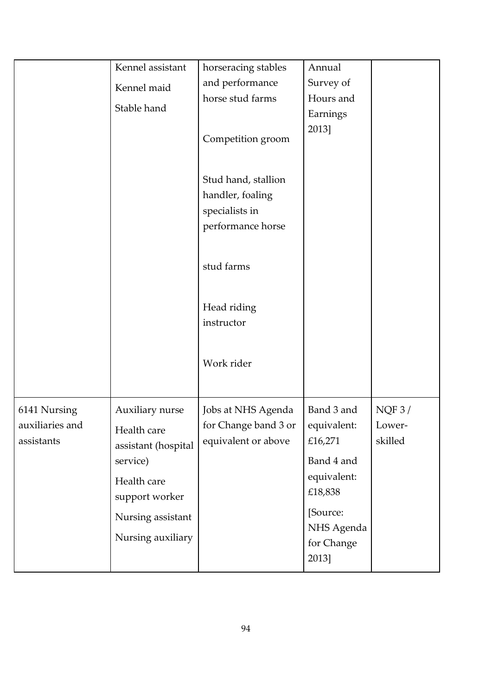|                 | Kennel assistant    | horseracing stables       | Annual      |         |
|-----------------|---------------------|---------------------------|-------------|---------|
|                 | Kennel maid         | and performance           | Survey of   |         |
|                 | Stable hand         | horse stud farms          | Hours and   |         |
|                 |                     |                           | Earnings    |         |
|                 |                     | Competition groom         | 2013]       |         |
|                 |                     | Stud hand, stallion       |             |         |
|                 |                     | handler, foaling          |             |         |
|                 |                     | specialists in            |             |         |
|                 |                     | performance horse         |             |         |
|                 |                     | stud farms                |             |         |
|                 |                     | Head riding<br>instructor |             |         |
|                 |                     | Work rider                |             |         |
| 6141 Nursing    | Auxiliary nurse     | Jobs at NHS Agenda        | Band 3 and  | NQF3/   |
| auxiliaries and |                     | for Change band 3 or      | equivalent: | Lower-  |
| assistants      | Health care         | equivalent or above       | £16,271     | skilled |
|                 | assistant (hospital |                           |             |         |
|                 | service)            |                           | Band 4 and  |         |
|                 | Health care         |                           | equivalent: |         |
|                 | support worker      |                           | £18,838     |         |
|                 | Nursing assistant   |                           | [Source:    |         |
|                 |                     |                           | NHS Agenda  |         |
|                 | Nursing auxiliary   |                           | for Change  |         |
|                 |                     |                           | 2013]       |         |
|                 |                     |                           |             |         |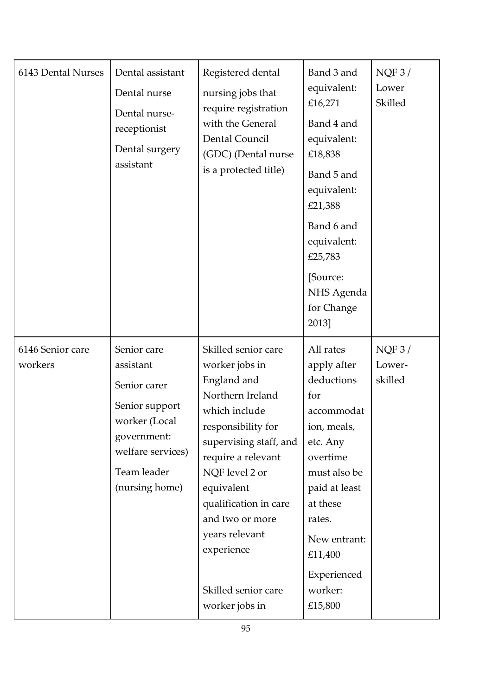| 6143 Dental Nurses          | Dental assistant<br>Dental nurse<br>Dental nurse-<br>receptionist<br>Dental surgery<br>assistant                                                 | Registered dental<br>nursing jobs that<br>require registration<br>with the General<br>Dental Council<br>(GDC) (Dental nurse<br>is a protected title)                                                                                                                                                                 | Band 3 and<br>equivalent:<br>£16,271<br>Band 4 and<br>equivalent:<br>£18,838<br>Band 5 and<br>equivalent:<br>£21,388<br>Band 6 and<br>equivalent:<br>£25,783<br>[Source:<br>NHS Agenda<br>for Change<br>2013]             | NQF3/<br>Lower<br>Skilled  |
|-----------------------------|--------------------------------------------------------------------------------------------------------------------------------------------------|----------------------------------------------------------------------------------------------------------------------------------------------------------------------------------------------------------------------------------------------------------------------------------------------------------------------|---------------------------------------------------------------------------------------------------------------------------------------------------------------------------------------------------------------------------|----------------------------|
| 6146 Senior care<br>workers | Senior care<br>assistant<br>Senior carer<br>Senior support<br>worker (Local<br>government:<br>welfare services)<br>Team leader<br>(nursing home) | Skilled senior care<br>worker jobs in<br>England and<br>Northern Ireland<br>which include<br>responsibility for<br>supervising staff, and<br>require a relevant<br>NQF level 2 or<br>equivalent<br>qualification in care<br>and two or more<br>years relevant<br>experience<br>Skilled senior care<br>worker jobs in | All rates<br>apply after<br>deductions<br>for<br>accommodat<br>ion, meals,<br>etc. Any<br>overtime<br>must also be<br>paid at least<br>at these<br>rates.<br>New entrant:<br>£11,400<br>Experienced<br>worker:<br>£15,800 | NQF3/<br>Lower-<br>skilled |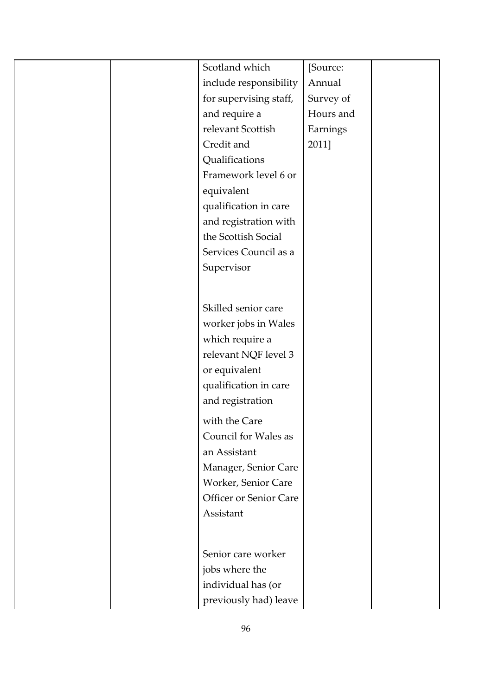| Scotland which         | [Source:  |
|------------------------|-----------|
| include responsibility | Annual    |
| for supervising staff, | Survey of |
| and require a          | Hours and |
| relevant Scottish      | Earnings  |
| Credit and             | 2011]     |
| Qualifications         |           |
| Framework level 6 or   |           |
| equivalent             |           |
| qualification in care  |           |
| and registration with  |           |
| the Scottish Social    |           |
| Services Council as a  |           |
| Supervisor             |           |
|                        |           |
|                        |           |
| Skilled senior care    |           |
| worker jobs in Wales   |           |
| which require a        |           |
| relevant NQF level 3   |           |
| or equivalent          |           |
| qualification in care  |           |
| and registration       |           |
| with the Care          |           |
| Council for Wales as   |           |
| an Assistant           |           |
| Manager, Senior Care   |           |
| Worker, Senior Care    |           |
| Officer or Senior Care |           |
| Assistant              |           |
|                        |           |
|                        |           |
| Senior care worker     |           |
| jobs where the         |           |
| individual has (or     |           |
| previously had) leave  |           |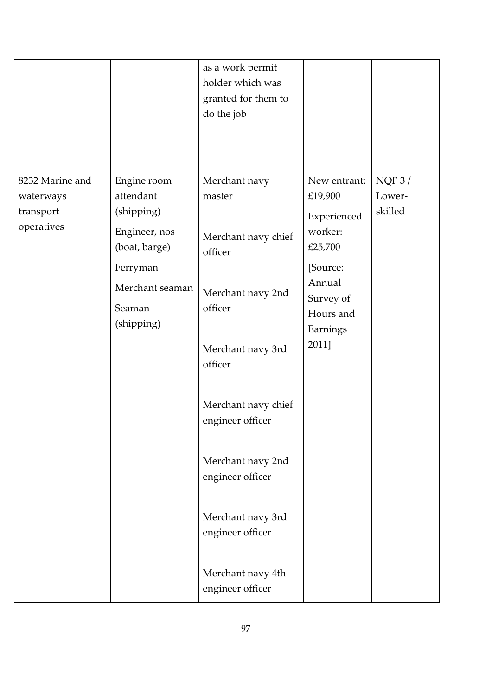|                                                         |                                                                                                                                 | as a work permit<br>holder which was<br>granted for them to<br>do the job                                                                                                                                                                                                                       |                                                                                                                                   |                            |
|---------------------------------------------------------|---------------------------------------------------------------------------------------------------------------------------------|-------------------------------------------------------------------------------------------------------------------------------------------------------------------------------------------------------------------------------------------------------------------------------------------------|-----------------------------------------------------------------------------------------------------------------------------------|----------------------------|
| 8232 Marine and<br>waterways<br>transport<br>operatives | Engine room<br>attendant<br>(shipping)<br>Engineer, nos<br>(boat, barge)<br>Ferryman<br>Merchant seaman<br>Seaman<br>(shipping) | Merchant navy<br>master<br>Merchant navy chief<br>officer<br>Merchant navy 2nd<br>officer<br>Merchant navy 3rd<br>officer<br>Merchant navy chief<br>engineer officer<br>Merchant navy 2nd<br>engineer officer<br>Merchant navy 3rd<br>engineer officer<br>Merchant navy 4th<br>engineer officer | New entrant:<br>£19,900<br>Experienced<br>worker:<br>£25,700<br>[Source:<br>Annual<br>Survey of<br>Hours and<br>Earnings<br>2011] | NQF3/<br>Lower-<br>skilled |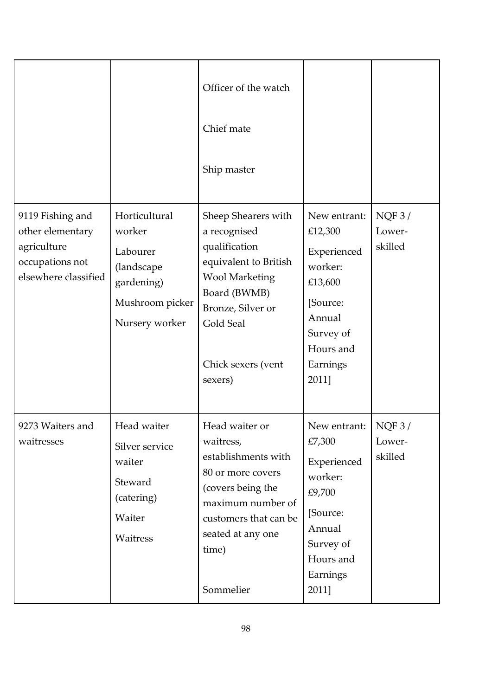|                                                                                                |                                                                                                      | Officer of the watch<br>Chief mate<br>Ship master                                                                                                                                         |                                                                                                                                   |                                |
|------------------------------------------------------------------------------------------------|------------------------------------------------------------------------------------------------------|-------------------------------------------------------------------------------------------------------------------------------------------------------------------------------------------|-----------------------------------------------------------------------------------------------------------------------------------|--------------------------------|
| 9119 Fishing and<br>other elementary<br>agriculture<br>occupations not<br>elsewhere classified | Horticultural<br>worker<br>Labourer<br>(landscape<br>gardening)<br>Mushroom picker<br>Nursery worker | Sheep Shearers with<br>a recognised<br>qualification<br>equivalent to British<br><b>Wool Marketing</b><br>Board (BWMB)<br>Bronze, Silver or<br>Gold Seal<br>Chick sexers (vent<br>sexers) | New entrant:<br>£12,300<br>Experienced<br>worker:<br>£13,600<br>[Source:<br>Annual<br>Survey of<br>Hours and<br>Earnings<br>2011] | NQF3/<br>Lower-<br>skilled     |
| 9273 Waiters and<br>waitresses                                                                 | Head waiter<br>Silver service<br>waiter<br>Steward<br>(catering)<br>Waiter<br>Waitress               | Head waiter or<br>waitress,<br>establishments with<br>80 or more covers<br>(covers being the<br>maximum number of<br>customers that can be<br>seated at any one<br>time)<br>Sommelier     | New entrant:  <br>£7,300<br>Experienced<br>worker:<br>£9,700<br>[Source:<br>Annual<br>Survey of<br>Hours and<br>Earnings<br>2011] | $NQF$ 3 /<br>Lower-<br>skilled |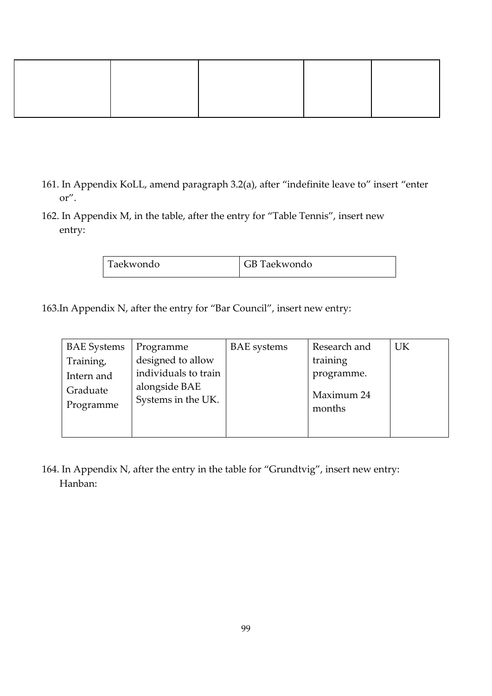- 161. In Appendix KoLL, amend paragraph 3.2(a), after "indefinite leave to" insert "enter or".
- 162. In Appendix M, in the table, after the entry for "Table Tennis", insert new entry:

| Taekwondo | GB Taekwondo |
|-----------|--------------|
|-----------|--------------|

163.In Appendix N, after the entry for "Bar Council", insert new entry:

| <b>BAE</b> Systems     | Programme                                 | <b>BAE</b> systems | Research and           | UK |
|------------------------|-------------------------------------------|--------------------|------------------------|----|
| Training,              | designed to allow<br>individuals to train |                    | training<br>programme. |    |
| Intern and<br>Graduate | alongside BAE                             |                    | Maximum 24             |    |
| Programme              | Systems in the UK.                        |                    | months                 |    |
|                        |                                           |                    |                        |    |

164. In Appendix N, after the entry in the table for "Grundtvig", insert new entry: Hanban: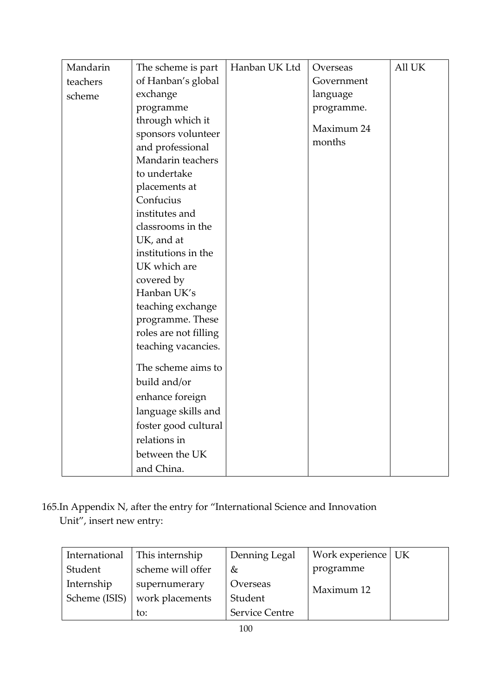| Mandarin | The scheme is part    | Hanban UK Ltd | Overseas   | All UK |
|----------|-----------------------|---------------|------------|--------|
| teachers | of Hanban's global    |               | Government |        |
| scheme   | exchange              |               | language   |        |
|          | programme             |               | programme. |        |
|          | through which it      |               |            |        |
|          | sponsors volunteer    |               | Maximum 24 |        |
|          | and professional      |               | months     |        |
|          | Mandarin teachers     |               |            |        |
|          | to undertake          |               |            |        |
|          | placements at         |               |            |        |
|          | Confucius             |               |            |        |
|          | institutes and        |               |            |        |
|          | classrooms in the     |               |            |        |
|          | UK, and at            |               |            |        |
|          | institutions in the   |               |            |        |
|          | UK which are          |               |            |        |
|          | covered by            |               |            |        |
|          | Hanban UK's           |               |            |        |
|          | teaching exchange     |               |            |        |
|          | programme. These      |               |            |        |
|          | roles are not filling |               |            |        |
|          | teaching vacancies.   |               |            |        |
|          | The scheme aims to    |               |            |        |
|          | build and/or          |               |            |        |
|          | enhance foreign       |               |            |        |
|          |                       |               |            |        |
|          | language skills and   |               |            |        |
|          | foster good cultural  |               |            |        |
|          | relations in          |               |            |        |
|          | between the UK        |               |            |        |
|          | and China.            |               |            |        |

165.In Appendix N, after the entry for "International Science and Innovation Unit", insert new entry:

| International | This internship   | Denning Legal         | Work experience   UK |  |
|---------------|-------------------|-----------------------|----------------------|--|
| Student       | scheme will offer | &                     | programme            |  |
| Internship    | supernumerary     | Overseas              | Maximum 12           |  |
| Scheme (ISIS) | work placements   | Student               |                      |  |
|               | to:               | <b>Service Centre</b> |                      |  |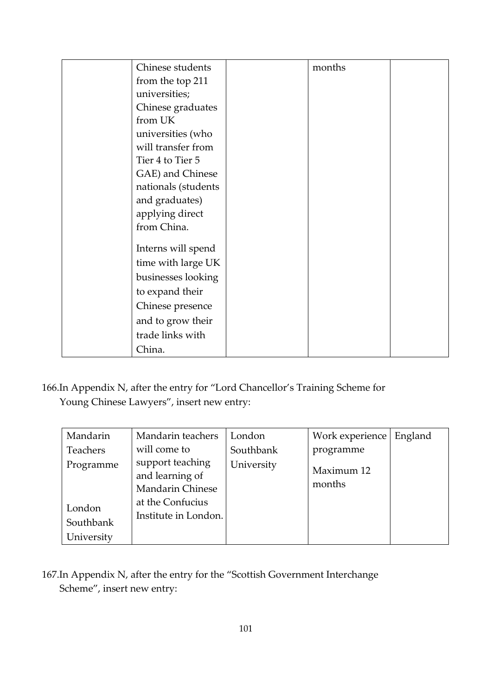| Chinese students    | months |  |
|---------------------|--------|--|
| from the top 211    |        |  |
| universities;       |        |  |
| Chinese graduates   |        |  |
| from UK             |        |  |
| universities (who   |        |  |
| will transfer from  |        |  |
| Tier 4 to Tier 5    |        |  |
| GAE) and Chinese    |        |  |
| nationals (students |        |  |
| and graduates)      |        |  |
| applying direct     |        |  |
| from China.         |        |  |
| Interns will spend  |        |  |
| time with large UK  |        |  |
| businesses looking  |        |  |
|                     |        |  |
| to expand their     |        |  |
| Chinese presence    |        |  |
| and to grow their   |        |  |
| trade links with    |        |  |
| China.              |        |  |

166.In Appendix N, after the entry for "Lord Chancellor's Training Scheme for Young Chinese Lawyers", insert new entry:

| Mandarin   | Mandarin teachers                                              | London     | Work experience      | England |
|------------|----------------------------------------------------------------|------------|----------------------|---------|
| Teachers   | will come to                                                   | Southbank  | programme            |         |
| Programme  | support teaching<br>and learning of<br><b>Mandarin Chinese</b> | University | Maximum 12<br>months |         |
| London     | at the Confucius<br>Institute in London.                       |            |                      |         |
| Southbank  |                                                                |            |                      |         |
| University |                                                                |            |                      |         |

167.In Appendix N, after the entry for the "Scottish Government Interchange Scheme", insert new entry: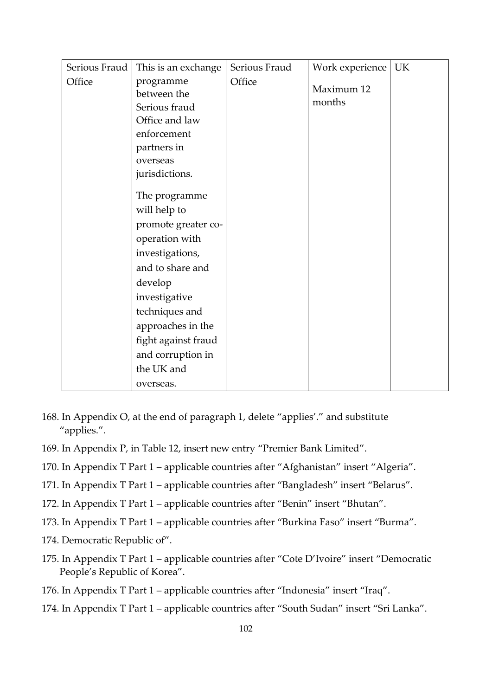| Serious Fraud | This is an exchange | Serious Fraud | Work experience | UK |
|---------------|---------------------|---------------|-----------------|----|
| Office        | programme           | Office        | Maximum 12      |    |
|               | between the         |               |                 |    |
|               | Serious fraud       |               | months          |    |
|               | Office and law      |               |                 |    |
|               | enforcement         |               |                 |    |
|               | partners in         |               |                 |    |
|               | overseas            |               |                 |    |
|               | jurisdictions.      |               |                 |    |
|               |                     |               |                 |    |
|               | The programme       |               |                 |    |
|               | will help to        |               |                 |    |
|               | promote greater co- |               |                 |    |
|               | operation with      |               |                 |    |
|               | investigations,     |               |                 |    |
|               | and to share and    |               |                 |    |
|               | develop             |               |                 |    |
|               | investigative       |               |                 |    |
|               | techniques and      |               |                 |    |
|               | approaches in the   |               |                 |    |
|               | fight against fraud |               |                 |    |
|               | and corruption in   |               |                 |    |
|               | the UK and          |               |                 |    |
|               | overseas.           |               |                 |    |

- 168. In Appendix O, at the end of paragraph 1, delete "applies'." and substitute "applies.".
- 169. In Appendix P, in Table 12, insert new entry "Premier Bank Limited".
- 170. In Appendix T Part 1 applicable countries after "Afghanistan" insert "Algeria".
- 171. In Appendix T Part 1 applicable countries after "Bangladesh" insert "Belarus".
- 172. In Appendix T Part 1 applicable countries after "Benin" insert "Bhutan".
- 173. In Appendix T Part 1 applicable countries after "Burkina Faso" insert "Burma".
- 174. Democratic Republic of".
- 175. In Appendix T Part 1 applicable countries after "Cote D'Ivoire" insert "Democratic People's Republic of Korea".
- 176. In Appendix T Part 1 applicable countries after "Indonesia" insert "Iraq".
- 174. In Appendix T Part 1 applicable countries after "South Sudan" insert "Sri Lanka".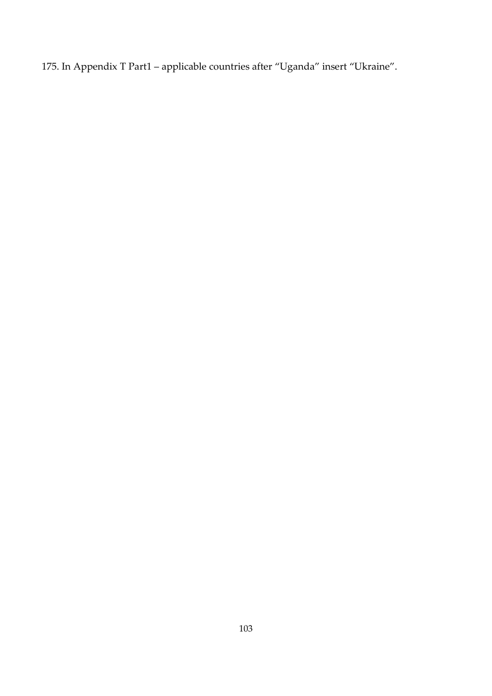175. In Appendix T Part1 – applicable countries after "Uganda" insert "Ukraine".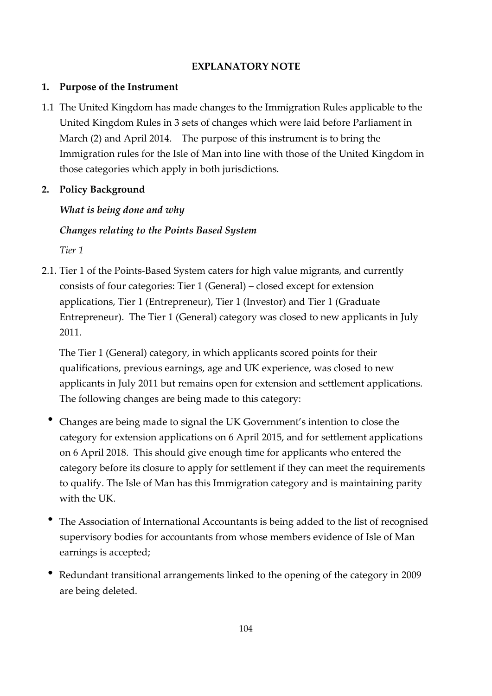#### **EXPLANATORY NOTE**

#### **1. Purpose of the Instrument**

1.1 The United Kingdom has made changes to the Immigration Rules applicable to the United Kingdom Rules in 3 sets of changes which were laid before Parliament in March (2) and April 2014. The purpose of this instrument is to bring the Immigration rules for the Isle of Man into line with those of the United Kingdom in those categories which apply in both jurisdictions.

# **2. Policy Background**

# *What is being done and why*

# *Changes relating to the Points Based System*

*Tier 1* 

2.1. Tier 1 of the Points-Based System caters for high value migrants, and currently consists of four categories: Tier 1 (General) – closed except for extension applications, Tier 1 (Entrepreneur), Tier 1 (Investor) and Tier 1 (Graduate Entrepreneur). The Tier 1 (General) category was closed to new applicants in July 2011.

 The Tier 1 (General) category, in which applicants scored points for their qualifications, previous earnings, age and UK experience, was closed to new applicants in July 2011 but remains open for extension and settlement applications. The following changes are being made to this category:

- Changes are being made to signal the UK Government's intention to close the category for extension applications on 6 April 2015, and for settlement applications on 6 April 2018. This should give enough time for applicants who entered the category before its closure to apply for settlement if they can meet the requirements to qualify. The Isle of Man has this Immigration category and is maintaining parity with the UK.
- The Association of International Accountants is being added to the list of recognised supervisory bodies for accountants from whose members evidence of Isle of Man earnings is accepted;
- Redundant transitional arrangements linked to the opening of the category in 2009 are being deleted.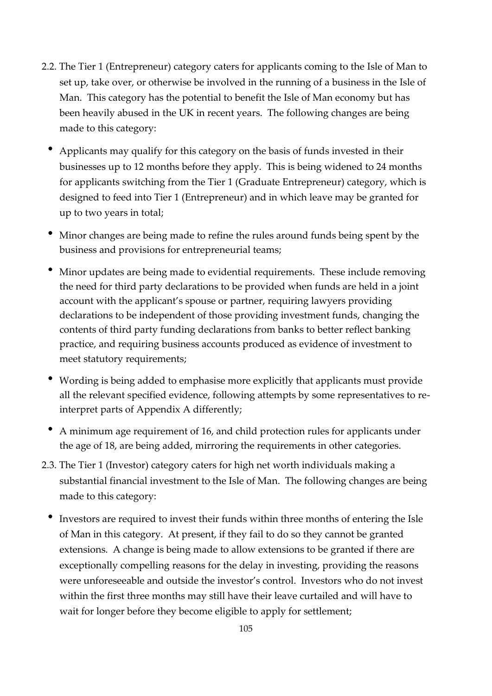- 2.2. The Tier 1 (Entrepreneur) category caters for applicants coming to the Isle of Man to set up, take over, or otherwise be involved in the running of a business in the Isle of Man. This category has the potential to benefit the Isle of Man economy but has been heavily abused in the UK in recent years. The following changes are being made to this category:
	- Applicants may qualify for this category on the basis of funds invested in their businesses up to 12 months before they apply. This is being widened to 24 months for applicants switching from the Tier 1 (Graduate Entrepreneur) category, which is designed to feed into Tier 1 (Entrepreneur) and in which leave may be granted for up to two years in total;
	- Minor changes are being made to refine the rules around funds being spent by the business and provisions for entrepreneurial teams;
	- Minor updates are being made to evidential requirements. These include removing the need for third party declarations to be provided when funds are held in a joint account with the applicant's spouse or partner, requiring lawyers providing declarations to be independent of those providing investment funds, changing the contents of third party funding declarations from banks to better reflect banking practice, and requiring business accounts produced as evidence of investment to meet statutory requirements;
	- Wording is being added to emphasise more explicitly that applicants must provide all the relevant specified evidence, following attempts by some representatives to reinterpret parts of Appendix A differently;
	- A minimum age requirement of 16, and child protection rules for applicants under the age of 18, are being added, mirroring the requirements in other categories.
- 2.3. The Tier 1 (Investor) category caters for high net worth individuals making a substantial financial investment to the Isle of Man. The following changes are being made to this category:
	- Investors are required to invest their funds within three months of entering the Isle of Man in this category. At present, if they fail to do so they cannot be granted extensions. A change is being made to allow extensions to be granted if there are exceptionally compelling reasons for the delay in investing, providing the reasons were unforeseeable and outside the investor's control. Investors who do not invest within the first three months may still have their leave curtailed and will have to wait for longer before they become eligible to apply for settlement;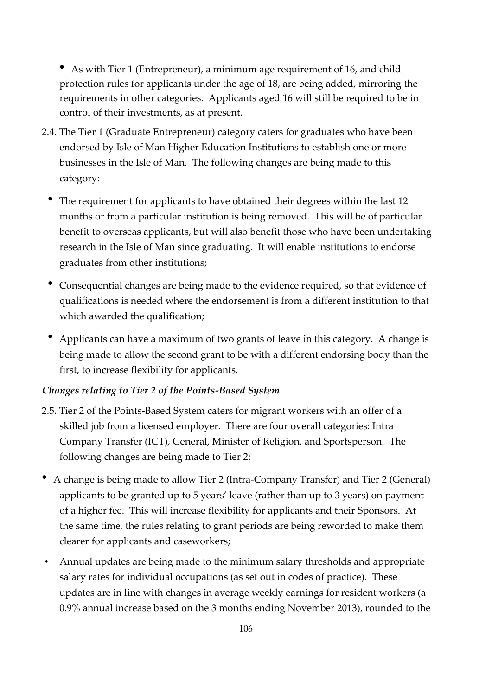As with Tier 1 (Entrepreneur), a minimum age requirement of 16, and child protection rules for applicants under the age of 18, are being added, mirroring the requirements in other categories. Applicants aged 16 will still be required to be in control of their investments, as at present.

- 2.4. The Tier 1 (Graduate Entrepreneur) category caters for graduates who have been endorsed by Isle of Man Higher Education Institutions to establish one or more businesses in the Isle of Man. The following changes are being made to this category:
	- The requirement for applicants to have obtained their degrees within the last 12 months or from a particular institution is being removed. This will be of particular benefit to overseas applicants, but will also benefit those who have been undertaking research in the Isle of Man since graduating. It will enable institutions to endorse graduates from other institutions;
	- Consequential changes are being made to the evidence required, so that evidence of qualifications is needed where the endorsement is from a different institution to that which awarded the qualification;
	- Applicants can have a maximum of two grants of leave in this category. A change is being made to allow the second grant to be with a different endorsing body than the first, to increase flexibility for applicants.

### *Changes relating to Tier 2 of the Points-Based System*

- 2.5. Tier 2 of the Points-Based System caters for migrant workers with an offer of a skilled job from a licensed employer. There are four overall categories: Intra Company Transfer (ICT), General, Minister of Religion, and Sportsperson. The following changes are being made to Tier 2:
- A change is being made to allow Tier 2 (Intra-Company Transfer) and Tier 2 (General) applicants to be granted up to 5 years' leave (rather than up to 3 years) on payment of a higher fee. This will increase flexibility for applicants and their Sponsors. At the same time, the rules relating to grant periods are being reworded to make them clearer for applicants and caseworkers;
- Annual updates are being made to the minimum salary thresholds and appropriate salary rates for individual occupations (as set out in codes of practice). These updates are in line with changes in average weekly earnings for resident workers (a 0.9% annual increase based on the 3 months ending November 2013), rounded to the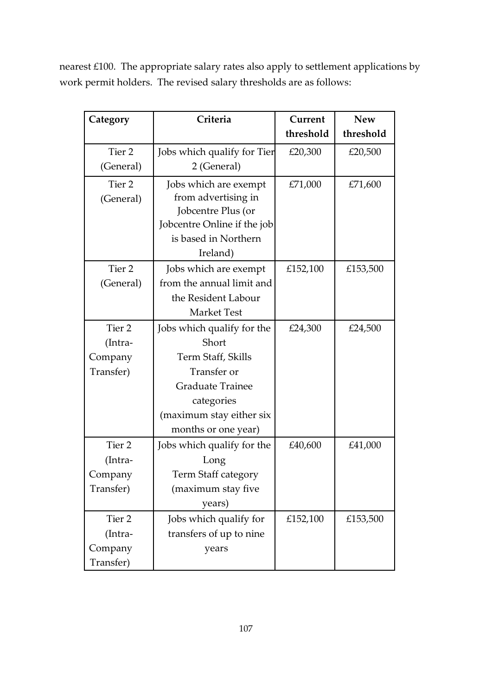nearest £100. The appropriate salary rates also apply to settlement applications by work permit holders. The revised salary thresholds are as follows:

| Category          | Criteria                    | Current   | <b>New</b> |
|-------------------|-----------------------------|-----------|------------|
|                   |                             | threshold | threshold  |
| Tier <sub>2</sub> | Jobs which qualify for Tier | £20,300   | £20,500    |
| (General)         | 2 (General)                 |           |            |
| Tier <sub>2</sub> | Jobs which are exempt       | £71,000   | £71,600    |
| (General)         | from advertising in         |           |            |
|                   | Jobcentre Plus (or          |           |            |
|                   | Jobcentre Online if the job |           |            |
|                   | is based in Northern        |           |            |
|                   | Ireland)                    |           |            |
| Tier 2            | Jobs which are exempt       | £152,100  | £153,500   |
| (General)         | from the annual limit and   |           |            |
|                   | the Resident Labour         |           |            |
|                   | <b>Market Test</b>          |           |            |
| Tier <sub>2</sub> | Jobs which qualify for the  | £24,300   | £24,500    |
| (Intra-           | Short                       |           |            |
| Company           | Term Staff, Skills          |           |            |
| Transfer)         | Transfer or                 |           |            |
|                   | <b>Graduate Trainee</b>     |           |            |
|                   | categories                  |           |            |
|                   | (maximum stay either six    |           |            |
|                   | months or one year)         |           |            |
| Tier 2            | Jobs which qualify for the  | £40,600   | £41,000    |
| (Intra-           | Long                        |           |            |
| Company           | Term Staff category         |           |            |
| Transfer)         | (maximum stay five          |           |            |
|                   | years)                      |           |            |
| Tier 2            | Jobs which qualify for      | £152,100  | £153,500   |
| (Intra-           | transfers of up to nine     |           |            |
| Company           | years                       |           |            |
| Transfer)         |                             |           |            |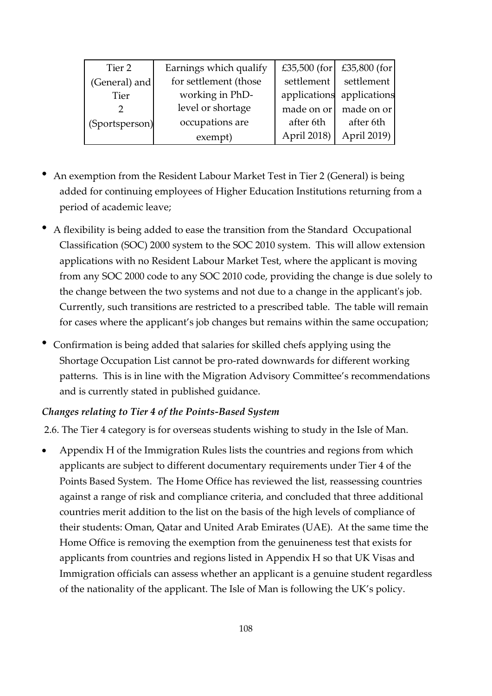| Tier 2         | Earnings which qualify | £35,500 (for | $£35,800$ (for            |
|----------------|------------------------|--------------|---------------------------|
| (General) and  | for settlement (those  | settlement   | settlement                |
| <b>Tier</b>    | working in PhD-        |              | applications applications |
|                | level or shortage      | made on or   | made on or                |
| (Sportsperson) | occupations are        | after 6th    | after 6th                 |
|                | exempt)                | April 2018)  | April 2019)               |

- An exemption from the Resident Labour Market Test in Tier 2 (General) is being added for continuing employees of Higher Education Institutions returning from a period of academic leave;
- A flexibility is being added to ease the transition from the Standard Occupational Classification (SOC) 2000 system to the SOC 2010 system. This will allow extension applications with no Resident Labour Market Test, where the applicant is moving from any SOC 2000 code to any SOC 2010 code, providing the change is due solely to the change between the two systems and not due to a change in the applicant's job. Currently, such transitions are restricted to a prescribed table. The table will remain for cases where the applicant's job changes but remains within the same occupation;
- Confirmation is being added that salaries for skilled chefs applying using the Shortage Occupation List cannot be pro-rated downwards for different working patterns. This is in line with the Migration Advisory Committee's recommendations and is currently stated in published guidance.

#### *Changes relating to Tier 4 of the Points-Based System*

2.6. The Tier 4 category is for overseas students wishing to study in the Isle of Man.

 Appendix H of the Immigration Rules lists the countries and regions from which applicants are subject to different documentary requirements under Tier 4 of the Points Based System. The Home Office has reviewed the list, reassessing countries against a range of risk and compliance criteria, and concluded that three additional countries merit addition to the list on the basis of the high levels of compliance of their students: Oman, Qatar and United Arab Emirates (UAE). At the same time the Home Office is removing the exemption from the genuineness test that exists for applicants from countries and regions listed in Appendix H so that UK Visas and Immigration officials can assess whether an applicant is a genuine student regardless of the nationality of the applicant. The Isle of Man is following the UK's policy.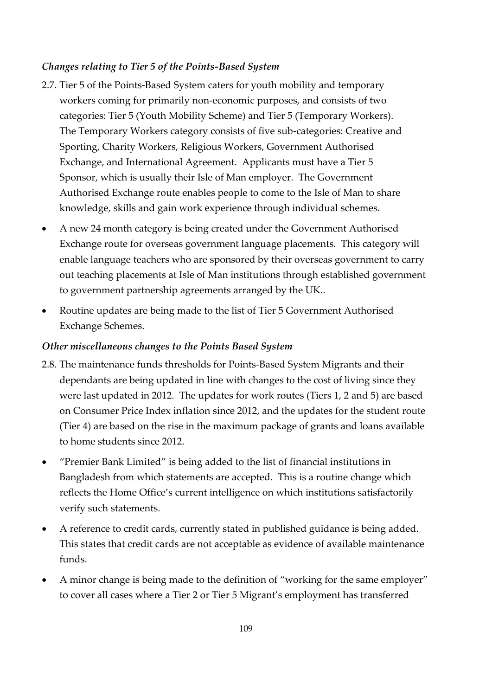### *Changes relating to Tier 5 of the Points-Based System*

- 2.7. Tier 5 of the Points-Based System caters for youth mobility and temporary workers coming for primarily non-economic purposes, and consists of two categories: Tier 5 (Youth Mobility Scheme) and Tier 5 (Temporary Workers). The Temporary Workers category consists of five sub-categories: Creative and Sporting, Charity Workers, Religious Workers, Government Authorised Exchange, and International Agreement. Applicants must have a Tier 5 Sponsor, which is usually their Isle of Man employer. The Government Authorised Exchange route enables people to come to the Isle of Man to share knowledge, skills and gain work experience through individual schemes.
- A new 24 month category is being created under the Government Authorised Exchange route for overseas government language placements. This category will enable language teachers who are sponsored by their overseas government to carry out teaching placements at Isle of Man institutions through established government to government partnership agreements arranged by the UK..
- Routine updates are being made to the list of Tier 5 Government Authorised Exchange Schemes.

### *Other miscellaneous changes to the Points Based System*

- 2.8. The maintenance funds thresholds for Points-Based System Migrants and their dependants are being updated in line with changes to the cost of living since they were last updated in 2012. The updates for work routes (Tiers 1, 2 and 5) are based on Consumer Price Index inflation since 2012, and the updates for the student route (Tier 4) are based on the rise in the maximum package of grants and loans available to home students since 2012.
- "Premier Bank Limited" is being added to the list of financial institutions in Bangladesh from which statements are accepted. This is a routine change which reflects the Home Office's current intelligence on which institutions satisfactorily verify such statements.
- A reference to credit cards, currently stated in published guidance is being added. This states that credit cards are not acceptable as evidence of available maintenance funds.
- A minor change is being made to the definition of "working for the same employer" to cover all cases where a Tier 2 or Tier 5 Migrant's employment has transferred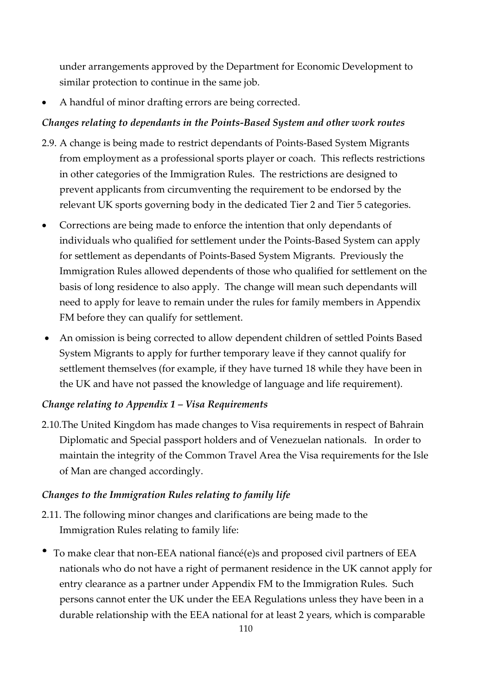under arrangements approved by the Department for Economic Development to similar protection to continue in the same job.

A handful of minor drafting errors are being corrected.

## *Changes relating to dependants in the Points-Based System and other work routes*

- 2.9. A change is being made to restrict dependants of Points-Based System Migrants from employment as a professional sports player or coach. This reflects restrictions in other categories of the Immigration Rules. The restrictions are designed to prevent applicants from circumventing the requirement to be endorsed by the relevant UK sports governing body in the dedicated Tier 2 and Tier 5 categories.
- Corrections are being made to enforce the intention that only dependants of individuals who qualified for settlement under the Points-Based System can apply for settlement as dependants of Points-Based System Migrants. Previously the Immigration Rules allowed dependents of those who qualified for settlement on the basis of long residence to also apply. The change will mean such dependants will need to apply for leave to remain under the rules for family members in Appendix FM before they can qualify for settlement.
- An omission is being corrected to allow dependent children of settled Points Based System Migrants to apply for further temporary leave if they cannot qualify for settlement themselves (for example, if they have turned 18 while they have been in the UK and have not passed the knowledge of language and life requirement).

#### *Change relating to Appendix 1 – Visa Requirements*

2.10.The United Kingdom has made changes to Visa requirements in respect of Bahrain Diplomatic and Special passport holders and of Venezuelan nationals. In order to maintain the integrity of the Common Travel Area the Visa requirements for the Isle of Man are changed accordingly.

#### *Changes to the Immigration Rules relating to family life*

- 2.11. The following minor changes and clarifications are being made to the Immigration Rules relating to family life:
- To make clear that non-EEA national fiancé(e)s and proposed civil partners of EEA nationals who do not have a right of permanent residence in the UK cannot apply for entry clearance as a partner under Appendix FM to the Immigration Rules. Such persons cannot enter the UK under the EEA Regulations unless they have been in a durable relationship with the EEA national for at least 2 years, which is comparable